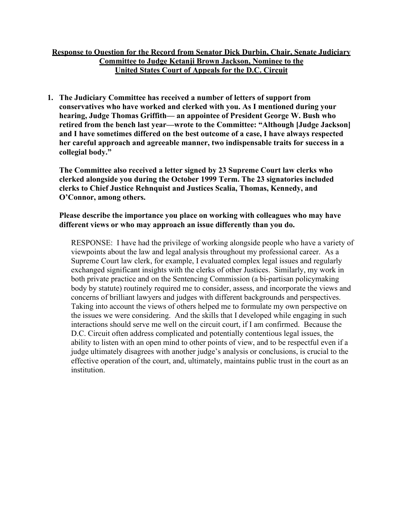# **Response to Question for the Record from Senator Dick Durbin, Chair, Senate Judiciary Committee to Judge Ketanji Brown Jackson, Nominee to the United States Court of Appeals for the D.C. Circuit**

**1. The Judiciary Committee has received a number of letters of support from conservatives who have worked and clerked with you. As I mentioned during your hearing, Judge Thomas Griffith— an appointee of President George W. Bush who retired from the bench last year—wrote to the Committee: "Although [Judge Jackson] and I have sometimes differed on the best outcome of a case, I have always respected her careful approach and agreeable manner, two indispensable traits for success in a collegial body."** 

**The Committee also received a letter signed by 23 Supreme Court law clerks who clerked alongside you during the October 1999 Term. The 23 signatories included clerks to Chief Justice Rehnquist and Justices Scalia, Thomas, Kennedy, and O'Connor, among others.**

#### **Please describe the importance you place on working with colleagues who may have different views or who may approach an issue differently than you do.**

RESPONSE: I have had the privilege of working alongside people who have a variety of viewpoints about the law and legal analysis throughout my professional career. As a Supreme Court law clerk, for example, I evaluated complex legal issues and regularly exchanged significant insights with the clerks of other Justices. Similarly, my work in both private practice and on the Sentencing Commission (a bi-partisan policymaking body by statute) routinely required me to consider, assess, and incorporate the views and concerns of brilliant lawyers and judges with different backgrounds and perspectives. Taking into account the views of others helped me to formulate my own perspective on the issues we were considering. And the skills that I developed while engaging in such interactions should serve me well on the circuit court, if I am confirmed. Because the D.C. Circuit often address complicated and potentially contentious legal issues, the ability to listen with an open mind to other points of view, and to be respectful even if a judge ultimately disagrees with another judge's analysis or conclusions, is crucial to the effective operation of the court, and, ultimately, maintains public trust in the court as an institution.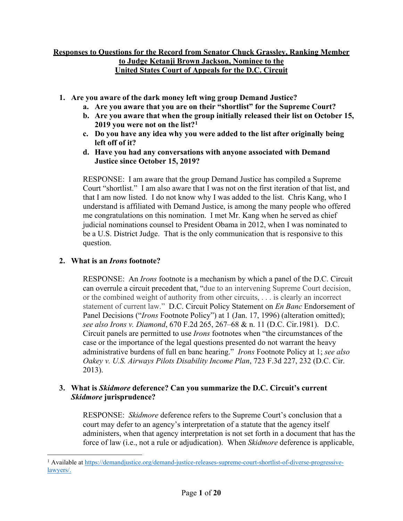# **Responses to Questions for the Record from Senator Chuck Grassley, Ranking Member to Judge Ketanji Brown Jackson, Nominee to the United States Court of Appeals for the D.C. Circuit**

- **1. Are you aware of the dark money left wing group Demand Justice?**
	- **a. Are you aware that you are on their "shortlist" for the Supreme Court?**
	- **b. Are you aware that when the group initially released their list on October 15, 2019 you were not on the list?[1](#page-1-0)**
	- **c. Do you have any idea why you were added to the list after originally being left off of it?**
	- **d. Have you had any conversations with anyone associated with Demand Justice since October 15, 2019?**

RESPONSE: I am aware that the group Demand Justice has compiled a Supreme Court "shortlist." I am also aware that I was not on the first iteration of that list, and that I am now listed. I do not know why I was added to the list. Chris Kang, who I understand is affiliated with Demand Justice, is among the many people who offered me congratulations on this nomination. I met Mr. Kang when he served as chief judicial nominations counsel to President Obama in 2012, when I was nominated to be a U.S. District Judge. That is the only communication that is responsive to this question.

# **2. What is an** *Irons* **footnote?**

RESPONSE: An *Irons* footnote is a mechanism by which a panel of the D.C. Circuit can overrule a circuit precedent that, "due to an intervening Supreme Court decision, or the combined weight of authority from other circuits, . . . is clearly an incorrect statement of current law." D.C. Circuit Policy Statement on *En Banc* Endorsement of Panel Decisions ("*Irons* Footnote Policy") at 1 (Jan. 17, 1996) (alteration omitted); *see also Irons v. Diamond*, 670 F.2d 265, 267–68 & n. 11 (D.C. Cir.1981). D.C. Circuit panels are permitted to use *Irons* footnotes when "the circumstances of the case or the importance of the legal questions presented do not warrant the heavy administrative burdens of full en banc hearing." *Irons* Footnote Policy at 1; *see also Oakey v. U.S. Airways Pilots Disability Income Plan*, 723 F.3d 227, 232 (D.C. Cir. 2013).

#### **3. What is** *Skidmore* **deference? Can you summarize the D.C. Circuit's current**  *Skidmore* **jurisprudence?**

RESPONSE: *Skidmore* deference refers to the Supreme Court's conclusion that a court may defer to an agency's interpretation of a statute that the agency itself administers, when that agency interpretation is not set forth in a document that has the force of law (i.e., not a rule or adjudication). When *Skidmore* deference is applicable,

<span id="page-1-0"></span><sup>&</sup>lt;sup>1</sup> Available at [https://demandjustice.org/demand-justice-releases-supreme-court-shortlist-of-diverse-progressive](https://demandjustice.org/demand-justice-releases-supreme-court-shortlist-of-diverse-progressive-lawyers/)[lawyers/.](https://demandjustice.org/demand-justice-releases-supreme-court-shortlist-of-diverse-progressive-lawyers/)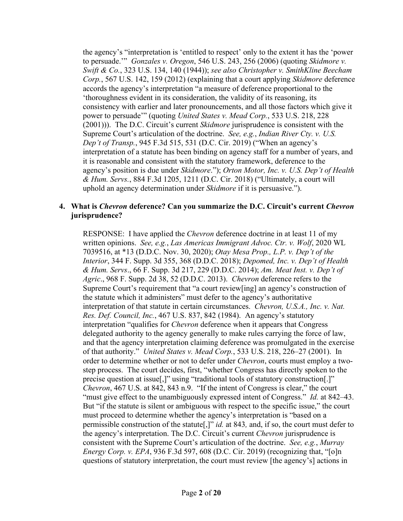the agency's "interpretation is 'entitled to respect' only to the extent it has the 'power to persuade.'" *Gonzales v. Oregon*, 546 U.S. 243, 256 (2006) (quoting *Skidmore v. Swift & Co.*, 323 U.S. 134, 140 (1944)); *see also Christopher v. SmithKline Beecham Corp.*, 567 U.S. 142, 159 (2012) (explaining that a court applying *Skidmore* deference accords the agency's interpretation "a measure of deference proportional to the 'thoroughness evident in its consideration, the validity of its reasoning, its consistency with earlier and later pronouncements, and all those factors which give it power to persuade'" (quoting *United States v. Mead Corp.*, 533 U.S. 218, 228 (2001))). The D.C. Circuit's current *Skidmore* jurisprudence is consistent with the Supreme Court's articulation of the doctrine. *See, e.g.*, *Indian River Cty. v. U.S. Dep't of Transp.*, 945 F.3d 515, 531 (D.C. Cir. 2019) ("When an agency's interpretation of a statute has been binding on agency staff for a number of years, and it is reasonable and consistent with the statutory framework, deference to the agency's position is due under *Skidmore*."); *Orton Motor, Inc. v. U.S. Dep't of Health & Hum. Servs.*, 884 F.3d 1205, 1211 (D.C. Cir. 2018) ("Ultimately, a court will uphold an agency determination under *Skidmore* if it is persuasive.").

## **4. What is** *Chevron* **deference? Can you summarize the D.C. Circuit's current** *Chevron* **jurisprudence?**

RESPONSE: I have applied the *Chevron* deference doctrine in at least 11 of my written opinions. *See, e.g.*, *Las Americas Immigrant Advoc. Ctr. v. Wolf*, 2020 WL 7039516, at \*13 (D.D.C. Nov. 30, 2020); *Otay Mesa Prop., L.P. v. Dep't of the Interior*, 344 F. Supp. 3d 355, 368 (D.D.C. 2018); *Depomed, Inc. v. Dep't of Health & Hum. Servs*., 66 F. Supp. 3d 217, 229 (D.D.C. 2014); *Am. Meat Inst. v. Dep't of Agric*., 968 F. Supp. 2d 38, 52 (D.D.C. 2013). *Chevron* deference refers to the Supreme Court's requirement that "a court review[ing] an agency's construction of the statute which it administers" must defer to the agency's authoritative interpretation of that statute in certain circumstances. *Chevron, U.S.A., Inc. v. Nat. Res. Def. Council, Inc.*, 467 U.S. 837, 842 (1984). An agency's statutory interpretation "qualifies for *Chevron* deference when it appears that Congress delegated authority to the agency generally to make rules carrying the force of law, and that the agency interpretation claiming deference was promulgated in the exercise of that authority." *United States v. Mead Corp.*, 533 U.S. 218, 226–27 (2001). In order to determine whether or not to defer under *Chevron*, courts must employ a twostep process. The court decides, first, "whether Congress has directly spoken to the precise question at issue[,]" using "traditional tools of statutory construction[.]" *Chevron*, 467 U.S. at 842, 843 n.9. "If the intent of Congress is clear," the court "must give effect to the unambiguously expressed intent of Congress." *Id.* at 842–43. But "if the statute is silent or ambiguous with respect to the specific issue," the court must proceed to determine whether the agency's interpretation is "based on a permissible construction of the statute[,]" *id.* at 843*,* and, if so, the court must defer to the agency's interpretation. The D.C. Circuit's current *Chevron* jurisprudence is consistent with the Supreme Court's articulation of the doctrine. *See, e.g.*, *Murray Energy Corp. v. EPA*, 936 F.3d 597, 608 (D.C. Cir. 2019) (recognizing that, "[o]n questions of statutory interpretation, the court must review [the agency's] actions in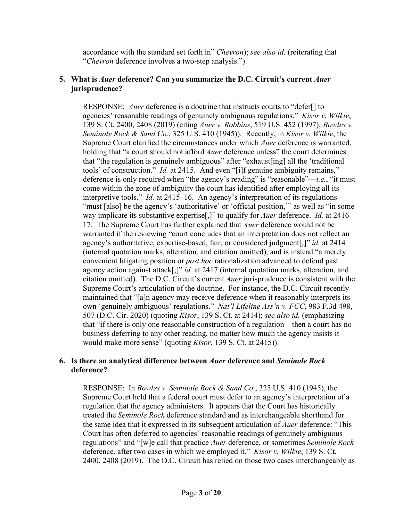accordance with the standard set forth in" *Chevron*); *see also id.* (reiterating that "*Chevron* deference involves a two-step analysis.").

#### **5. What is** *Auer* **deference? Can you summarize the D.C. Circuit's current** *Auer* **jurisprudence?**

RESPONSE: *Auer* deference is a doctrine that instructs courts to "defer[] to agencies' reasonable readings of genuinely ambiguous regulations." *Kisor v. Wilkie*, 139 S. Ct. 2400, 2408 (2019) (citing *Auer v. Robbins*, 519 U.S. 452 (1997); *Bowles v. Seminole Rock & Sand Co.*, 325 U.S. 410 (1945)). Recently, in *Kisor v. Wilkie*, the Supreme Court clarified the circumstances under which *Auer* deference is warranted, holding that "a court should not afford *Auer* deference unless" the court determines that "the regulation is genuinely ambiguous" after "exhaust[ing] all the 'traditional tools' of construction." *Id.* at 2415. And even "[i]f genuine ambiguity remains," deference is only required when "the agency's reading" is "reasonable"—*i.e.*, "it must come within the zone of ambiguity the court has identified after employing all its interpretive tools." *Id.* at 2415–16. An agency's interpretation of its regulations "must [also] be the agency's 'authoritative' or 'official position," as well as "in some way implicate its substantive expertise[,]" to qualify for *Auer* deference. *Id.* at 2416– 17. The Supreme Court has further explained that *Auer* deference would not be warranted if the reviewing "court concludes that an interpretation does not reflect an agency's authoritative, expertise-based, fair, or considered judgment[,]" *id.* at 2414 (internal quotation marks, alteration, and citation omitted), and is instead "a merely convenient litigating position or *post hoc* rationalization advanced to defend past agency action against attack[,]" *id.* at 2417 (internal quotation marks, alteration, and citation omitted). The D.C. Circuit's current *Auer* jurisprudence is consistent with the Supreme Court's articulation of the doctrine. For instance, the D.C. Circuit recently maintained that "[a]n agency may receive deference when it reasonably interprets its own 'genuinely ambiguous' regulations." *Nat'l Lifeline Ass'n v. FCC*, 983 F.3d 498, 507 (D.C. Cir. 2020) (quoting *Kisor*, 139 S. Ct. at 2414); *see also id.* (emphasizing that "if there is only one reasonable construction of a regulation—then a court has no business deferring to any other reading, no matter how much the agency insists it would make more sense" (quoting *Kisor*, 139 S. Ct. at 2415)).

#### **6. Is there an analytical difference between** *Auer* **deference and** *Seminole Rock* **deference?**

RESPONSE: In *Bowles v. Seminole Rock & Sand Co.*, 325 U.S. 410 (1945), the Supreme Court held that a federal court must defer to an agency's interpretation of a regulation that the agency administers. It appears that the Court has historically treated the *Seminole Rock* deference standard and as interchangeable shorthand for the same idea that it expressed in its subsequent articulation of *Auer* deference: "This Court has often deferred to agencies' reasonable readings of genuinely ambiguous regulations" and "[w]e call that practice *Auer* deference, or sometimes *Seminole Rock* deference, after two cases in which we employed it." *Kisor v. Wilkie*, 139 S. Ct. 2400, 2408 (2019). The D.C. Circuit has relied on those two cases interchangeably as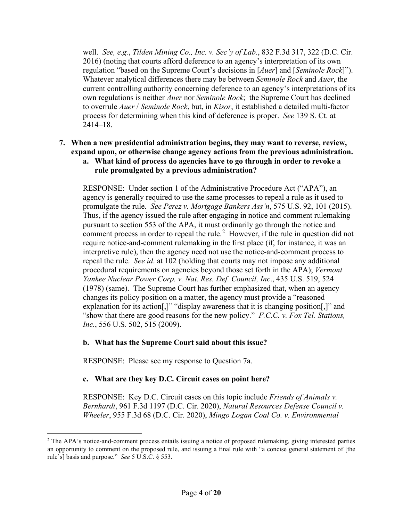well. *See, e.g.*, *Tilden Mining Co., Inc. v. Sec'y of Lab.*, 832 F.3d 317, 322 (D.C. Cir. 2016) (noting that courts afford deference to an agency's interpretation of its own regulation "based on the Supreme Court's decisions in [*Auer*] and [*Seminole Rock*]"). Whatever analytical differences there may be between *Seminole Rock* and *Auer*, the current controlling authority concerning deference to an agency's interpretations of its own regulations is neither *Auer* nor *Seminole Rock*; the Supreme Court has declined to overrule *Auer* / *Seminole Rock*, but, in *Kisor*, it established a detailed multi-factor process for determining when this kind of deference is proper. *See* 139 S. Ct. at 2414–18.

# **7. When a new presidential administration begins, they may want to reverse, review, expand upon, or otherwise change agency actions from the previous administration.**

**a. What kind of process do agencies have to go through in order to revoke a rule promulgated by a previous administration?**

RESPONSE: Under section 1 of the Administrative Procedure Act ("APA"), an agency is generally required to use the same processes to repeal a rule as it used to promulgate the rule. *See Perez v. Mortgage Bankers Ass'n*, 575 U.S. 92, 101 (2015). Thus, if the agency issued the rule after engaging in notice and comment rulemaking pursuant to section 553 of the APA, it must ordinarily go through the notice and comment process in order to repeal the rule.<sup>[2](#page-4-0)</sup> However, if the rule in question did not require notice-and-comment rulemaking in the first place (if, for instance, it was an interpretive rule), then the agency need not use the notice-and-comment process to repeal the rule. *See id*. at 102 (holding that courts may not impose any additional procedural requirements on agencies beyond those set forth in the APA); *Vermont Yankee Nuclear Power Corp. v. Nat. Res. Def. Council, Inc*., 435 U.S. 519, 524 (1978) (same). The Supreme Court has further emphasized that, when an agency changes its policy position on a matter, the agency must provide a "reasoned explanation for its action[,]" "display awareness that it is changing position[,]" and "show that there are good reasons for the new policy." *F.C.C. v. Fox Tel. Stations, Inc.*, 556 U.S. 502, 515 (2009).

# **b. What has the Supreme Court said about this issue?**

RESPONSE: Please see my response to Question 7a.

# **c. What are they key D.C. Circuit cases on point here?**

RESPONSE: Key D.C. Circuit cases on this topic include *Friends of Animals v. Bernhardt*, 961 F.3d 1197 (D.C. Cir. 2020), *Natural Resources Defense Council v. Wheeler*, 955 F.3d 68 (D.C. Cir. 2020), *Mingo Logan Coal Co. v. Environmental* 

<span id="page-4-0"></span><sup>&</sup>lt;sup>2</sup> The APA's notice-and-comment process entails issuing a notice of proposed rulemaking, giving interested parties an opportunity to comment on the proposed rule, and issuing a final rule with "a concise general statement of [the rule's] basis and purpose." *See* 5 U.S.C. § 553.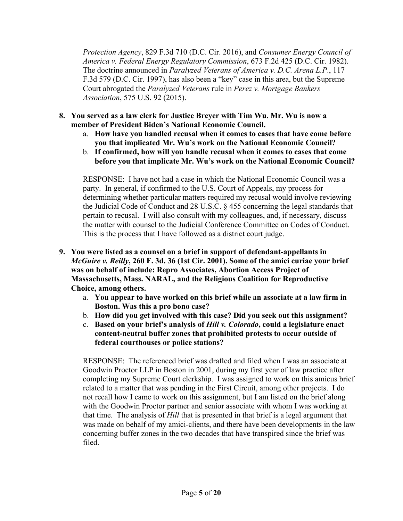*Protection Agency*, 829 F.3d 710 (D.C. Cir. 2016), and *Consumer Energy Council of America v. Federal Energy Regulatory Commission*, 673 F.2d 425 (D.C. Cir. 1982). The doctrine announced in *Paralyzed Veterans of America v. D.C. Arena L.P*., 117 F.3d 579 (D.C. Cir. 1997), has also been a "key" case in this area, but the Supreme Court abrogated the *Paralyzed Veterans* rule in *Perez v. Mortgage Bankers Association*, 575 U.S. 92 (2015).

- **8. You served as a law clerk for Justice Breyer with Tim Wu. Mr. Wu is now a member of President Biden's National Economic Council.**
	- a. **How have you handled recusal when it comes to cases that have come before you that implicated Mr. Wu's work on the National Economic Council?**
	- b. **If confirmed, how will you handle recusal when it comes to cases that come before you that implicate Mr. Wu's work on the National Economic Council?**

RESPONSE: I have not had a case in which the National Economic Council was a party. In general, if confirmed to the U.S. Court of Appeals, my process for determining whether particular matters required my recusal would involve reviewing the Judicial Code of Conduct and 28 U.S.C. § 455 concerning the legal standards that pertain to recusal. I will also consult with my colleagues, and, if necessary, discuss the matter with counsel to the Judicial Conference Committee on Codes of Conduct. This is the process that I have followed as a district court judge.

- **9. You were listed as a counsel on a brief in support of defendant-appellants in**  *McGuire v. Reilly***, 260 F. 3d. 36 (1st Cir. 2001). Some of the amici curiae your brief was on behalf of include: Repro Associates, Abortion Access Project of Massachusetts, Mass. NARAL, and the Religious Coalition for Reproductive Choice, among others.** 
	- a. **You appear to have worked on this brief while an associate at a law firm in Boston. Was this a pro bono case?**
	- b. **How did you get involved with this case? Did you seek out this assignment?**
	- c. **Based on your brief's analysis of** *Hill v. Colorado***, could a legislature enact content-neutral buffer zones that prohibited protests to occur outside of federal courthouses or police stations?**

RESPONSE: The referenced brief was drafted and filed when I was an associate at Goodwin Proctor LLP in Boston in 2001, during my first year of law practice after completing my Supreme Court clerkship. I was assigned to work on this amicus brief related to a matter that was pending in the First Circuit, among other projects. I do not recall how I came to work on this assignment, but I am listed on the brief along with the Goodwin Proctor partner and senior associate with whom I was working at that time. The analysis of *Hill* that is presented in that brief is a legal argument that was made on behalf of my amici-clients, and there have been developments in the law concerning buffer zones in the two decades that have transpired since the brief was filed.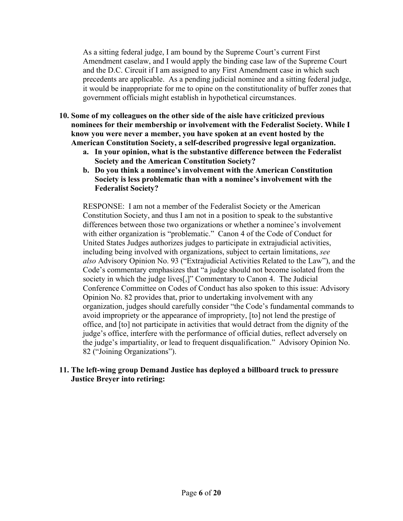As a sitting federal judge, I am bound by the Supreme Court's current First Amendment caselaw, and I would apply the binding case law of the Supreme Court and the D.C. Circuit if I am assigned to any First Amendment case in which such precedents are applicable. As a pending judicial nominee and a sitting federal judge, it would be inappropriate for me to opine on the constitutionality of buffer zones that government officials might establish in hypothetical circumstances.

- **10. Some of my colleagues on the other side of the aisle have criticized previous nominees for their membership or involvement with the Federalist Society. While I know you were never a member, you have spoken at an event hosted by the American Constitution Society, a self-described progressive legal organization.** 
	- **a. In your opinion, what is the substantive difference between the Federalist Society and the American Constitution Society?**
	- **b. Do you think a nominee's involvement with the American Constitution Society is less problematic than with a nominee's involvement with the Federalist Society?**

RESPONSE: I am not a member of the Federalist Society or the American Constitution Society, and thus I am not in a position to speak to the substantive differences between those two organizations or whether a nominee's involvement with either organization is "problematic." Canon 4 of the Code of Conduct for United States Judges authorizes judges to participate in extrajudicial activities, including being involved with organizations, subject to certain limitations, *see also* Advisory Opinion No. 93 ("Extrajudicial Activities Related to the Law"), and the Code's commentary emphasizes that "a judge should not become isolated from the society in which the judge lives[,]" Commentary to Canon 4. The Judicial Conference Committee on Codes of Conduct has also spoken to this issue: Advisory Opinion No. 82 provides that, prior to undertaking involvement with any organization, judges should carefully consider "the Code's fundamental commands to avoid impropriety or the appearance of impropriety, [to] not lend the prestige of office, and [to] not participate in activities that would detract from the dignity of the judge's office, interfere with the performance of official duties, reflect adversely on the judge's impartiality, or lead to frequent disqualification." Advisory Opinion No. 82 ("Joining Organizations").

#### **11. The left-wing group Demand Justice has deployed a billboard truck to pressure Justice Breyer into retiring:**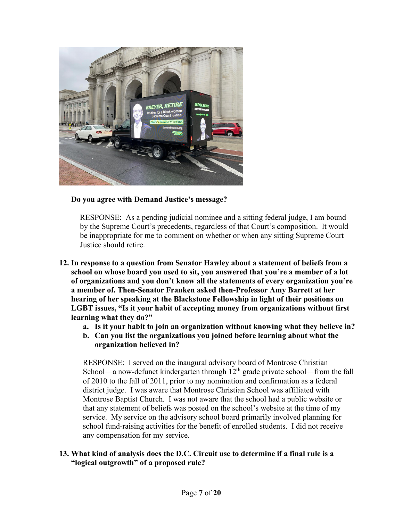

#### **Do you agree with Demand Justice's message?**

RESPONSE: As a pending judicial nominee and a sitting federal judge, I am bound by the Supreme Court's precedents, regardless of that Court's composition. It would be inappropriate for me to comment on whether or when any sitting Supreme Court Justice should retire.

- **12. In response to a question from Senator Hawley about a statement of beliefs from a school on whose board you used to sit, you answered that you're a member of a lot of organizations and you don't know all the statements of every organization you're a member of. Then-Senator Franken asked then-Professor Amy Barrett at her hearing of her speaking at the Blackstone Fellowship in light of their positions on LGBT issues, "Is it your habit of accepting money from organizations without first learning what they do?"**
	- **a. Is it your habit to join an organization without knowing what they believe in?**
	- **b. Can you list the organizations you joined before learning about what the organization believed in?**

RESPONSE: I served on the inaugural advisory board of Montrose Christian School—a now-defunct kindergarten through  $12<sup>th</sup>$  grade private school—from the fall of 2010 to the fall of 2011, prior to my nomination and confirmation as a federal district judge. I was aware that Montrose Christian School was affiliated with Montrose Baptist Church. I was not aware that the school had a public website or that any statement of beliefs was posted on the school's website at the time of my service. My service on the advisory school board primarily involved planning for school fund-raising activities for the benefit of enrolled students. I did not receive any compensation for my service.

# **13. What kind of analysis does the D.C. Circuit use to determine if a final rule is a "logical outgrowth" of a proposed rule?**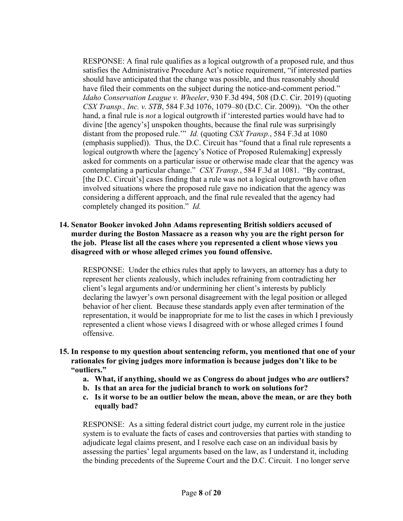RESPONSE: A final rule qualifies as a logical outgrowth of a proposed rule, and thus satisfies the Administrative Procedure Act's notice requirement, "if interested parties should have anticipated that the change was possible, and thus reasonably should have filed their comments on the subject during the notice-and-comment period." *Idaho Conservation League v. Wheeler*, 930 F.3d 494, 508 (D.C. Cir. 2019) (quoting *CSX Transp., Inc. v. STB*, 584 F.3d 1076, 1079–80 (D.C. Cir. 2009)). "On the other hand, a final rule is *not* a logical outgrowth if 'interested parties would have had to divine [the agency's] unspoken thoughts, because the final rule was surprisingly distant from the proposed rule.'" *Id.* (quoting *CSX Transp.*, 584 F.3d at 1080 (emphasis supplied)). Thus, the D.C. Circuit has "found that a final rule represents a logical outgrowth where the [agency's Notice of Proposed Rulemaking] expressly asked for comments on a particular issue or otherwise made clear that the agency was contemplating a particular change." *CSX Transp.*, 584 F.3d at 1081. "By contrast, [the D.C. Circuit's] cases finding that a rule was not a logical outgrowth have often involved situations where the proposed rule gave no indication that the agency was considering a different approach, and the final rule revealed that the agency had completely changed its position." *Id.*

## **14. Senator Booker invoked John Adams representing British soldiers accused of murder during the Boston Massacre as a reason why you are the right person for the job. Please list all the cases where you represented a client whose views you disagreed with or whose alleged crimes you found offensive.**

RESPONSE: Under the ethics rules that apply to lawyers, an attorney has a duty to represent her clients zealously, which includes refraining from contradicting her client's legal arguments and/or undermining her client's interests by publicly declaring the lawyer's own personal disagreement with the legal position or alleged behavior of her client. Because these standards apply even after termination of the representation, it would be inappropriate for me to list the cases in which I previously represented a client whose views I disagreed with or whose alleged crimes I found offensive.

- **15. In response to my question about sentencing reform, you mentioned that one of your rationales for giving judges more information is because judges don't like to be "outliers."**
	- **a. What, if anything, should we as Congress do about judges who** *are* **outliers?**
	- **b. Is that an area for the judicial branch to work on solutions for?**
	- **c. Is it worse to be an outlier below the mean, above the mean, or are they both equally bad?**

RESPONSE: As a sitting federal district court judge, my current role in the justice system is to evaluate the facts of cases and controversies that parties with standing to adjudicate legal claims present, and I resolve each case on an individual basis by assessing the parties' legal arguments based on the law, as I understand it, including the binding precedents of the Supreme Court and the D.C. Circuit. I no longer serve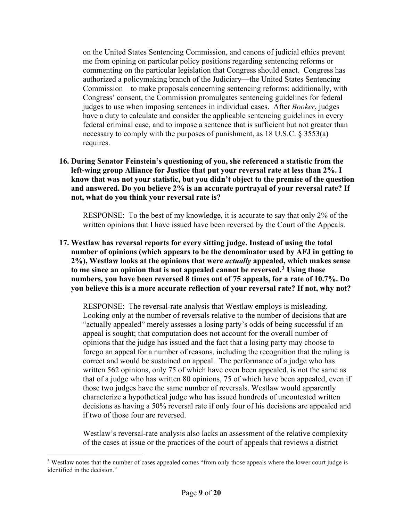on the United States Sentencing Commission, and canons of judicial ethics prevent me from opining on particular policy positions regarding sentencing reforms or commenting on the particular legislation that Congress should enact. Congress has authorized a policymaking branch of the Judiciary—the United States Sentencing Commission—to make proposals concerning sentencing reforms; additionally, with Congress' consent, the Commission promulgates sentencing guidelines for federal judges to use when imposing sentences in individual cases. After *Booker*, judges have a duty to calculate and consider the applicable sentencing guidelines in every federal criminal case, and to impose a sentence that is sufficient but not greater than necessary to comply with the purposes of punishment, as 18 U.S.C. § 3553(a) requires.

**16. During Senator Feinstein's questioning of you, she referenced a statistic from the left-wing group Alliance for Justice that put your reversal rate at less than 2%. I know that was not your statistic, but you didn't object to the premise of the question and answered. Do you believe 2% is an accurate portrayal of your reversal rate? If not, what do you think your reversal rate is?**

RESPONSE: To the best of my knowledge, it is accurate to say that only 2% of the written opinions that I have issued have been reversed by the Court of the Appeals.

**17. Westlaw has reversal reports for every sitting judge. Instead of using the total number of opinions (which appears to be the denominator used by AFJ in getting to 2%), Westlaw looks at the opinions that were** *actually* **appealed, which makes sense to me since an opinion that is not appealed cannot be reversed.[3](#page-9-0) Using those numbers, you have been reversed 8 times out of 75 appeals, for a rate of 10.7%. Do you believe this is a more accurate reflection of your reversal rate? If not, why not?** 

RESPONSE: The reversal-rate analysis that Westlaw employs is misleading. Looking only at the number of reversals relative to the number of decisions that are "actually appealed" merely assesses a losing party's odds of being successful if an appeal is sought; that computation does not account for the overall number of opinions that the judge has issued and the fact that a losing party may choose to forego an appeal for a number of reasons, including the recognition that the ruling is correct and would be sustained on appeal. The performance of a judge who has written 562 opinions, only 75 of which have even been appealed, is not the same as that of a judge who has written 80 opinions, 75 of which have been appealed, even if those two judges have the same number of reversals. Westlaw would apparently characterize a hypothetical judge who has issued hundreds of uncontested written decisions as having a 50% reversal rate if only four of his decisions are appealed and if two of those four are reversed.

Westlaw's reversal-rate analysis also lacks an assessment of the relative complexity of the cases at issue or the practices of the court of appeals that reviews a district

<span id="page-9-0"></span><sup>&</sup>lt;sup>3</sup> Westlaw notes that the number of cases appealed comes "from only those appeals where the lower court judge is identified in the decision."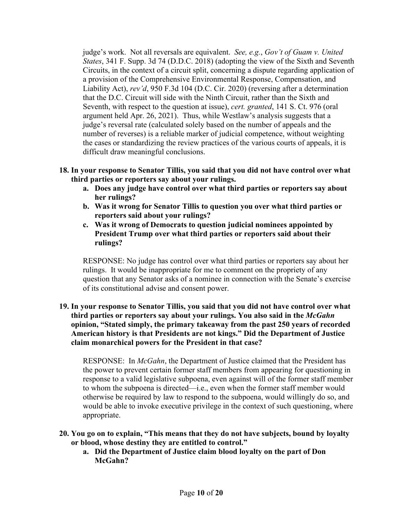judge's work. Not all reversals are equivalent. *See, e.g.*, *Gov't of Guam v. United States*, 341 F. Supp. 3d 74 (D.D.C. 2018) (adopting the view of the Sixth and Seventh Circuits, in the context of a circuit split, concerning a dispute regarding application of a provision of the Comprehensive Environmental Response, Compensation, and Liability Act), *rev'd*, 950 F.3d 104 (D.C. Cir. 2020) (reversing after a determination that the D.C. Circuit will side with the Ninth Circuit, rather than the Sixth and Seventh, with respect to the question at issue), *cert. granted*, 141 S. Ct. 976 (oral argument held Apr. 26, 2021). Thus, while Westlaw's analysis suggests that a judge's reversal rate (calculated solely based on the number of appeals and the number of reverses) is a reliable marker of judicial competence, without weighting the cases or standardizing the review practices of the various courts of appeals, it is difficult draw meaningful conclusions.

- **18. In your response to Senator Tillis, you said that you did not have control over what third parties or reporters say about your rulings.** 
	- **a. Does any judge have control over what third parties or reporters say about her rulings?**
	- **b. Was it wrong for Senator Tillis to question you over what third parties or reporters said about your rulings?**
	- **c. Was it wrong of Democrats to question judicial nominees appointed by President Trump over what third parties or reporters said about their rulings?**

RESPONSE: No judge has control over what third parties or reporters say about her rulings. It would be inappropriate for me to comment on the propriety of any question that any Senator asks of a nominee in connection with the Senate's exercise of its constitutional advise and consent power.

# **19. In your response to Senator Tillis, you said that you did not have control over what third parties or reporters say about your rulings. You also said in the** *McGahn* **opinion, "Stated simply, the primary takeaway from the past 250 years of recorded American history is that Presidents are not kings." Did the Department of Justice claim monarchical powers for the President in that case?**

RESPONSE: In *McGahn*, the Department of Justice claimed that the President has the power to prevent certain former staff members from appearing for questioning in response to a valid legislative subpoena, even against will of the former staff member to whom the subpoena is directed—i.e., even when the former staff member would otherwise be required by law to respond to the subpoena, would willingly do so, and would be able to invoke executive privilege in the context of such questioning, where appropriate.

- **20. You go on to explain, "This means that they do not have subjects, bound by loyalty or blood, whose destiny they are entitled to control."** 
	- **a. Did the Department of Justice claim blood loyalty on the part of Don McGahn?**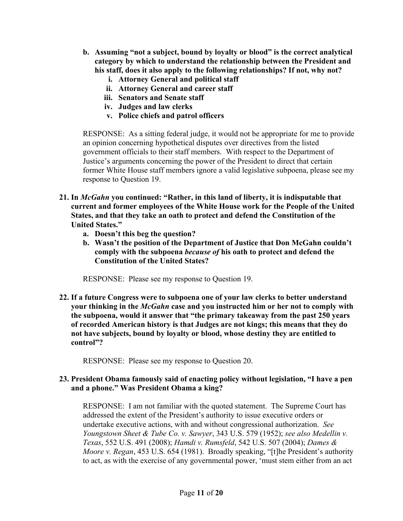- **b. Assuming "not a subject, bound by loyalty or blood" is the correct analytical category by which to understand the relationship between the President and his staff, does it also apply to the following relationships? If not, why not?**
	- **i. Attorney General and political staff**
	- **ii. Attorney General and career staff**
	- **iii. Senators and Senate staff**
	- **iv. Judges and law clerks**
	- **v. Police chiefs and patrol officers**

RESPONSE: As a sitting federal judge, it would not be appropriate for me to provide an opinion concerning hypothetical disputes over directives from the listed government officials to their staff members. With respect to the Department of Justice's arguments concerning the power of the President to direct that certain former White House staff members ignore a valid legislative subpoena, please see my response to Question 19.

- **21. In** *McGahn* **you continued: "Rather, in this land of liberty, it is indisputable that current and former employees of the White House work for the People of the United States, and that they take an oath to protect and defend the Constitution of the United States."** 
	- **a. Doesn't this beg the question?**
	- **b. Wasn't the position of the Department of Justice that Don McGahn couldn't comply with the subpoena** *because of* **his oath to protect and defend the Constitution of the United States?**

RESPONSE: Please see my response to Question 19.

**22. If a future Congress were to subpoena one of your law clerks to better understand your thinking in the** *McGahn* **case and you instructed him or her not to comply with the subpoena, would it answer that "the primary takeaway from the past 250 years of recorded American history is that Judges are not kings; this means that they do not have subjects, bound by loyalty or blood, whose destiny they are entitled to control"?**

RESPONSE: Please see my response to Question 20.

# **23. President Obama famously said of enacting policy without legislation, "I have a pen and a phone." Was President Obama a king?**

RESPONSE: I am not familiar with the quoted statement. The Supreme Court has addressed the extent of the President's authority to issue executive orders or undertake executive actions, with and without congressional authorization. *See Youngstown Sheet & Tube Co. v. Sawyer*, 343 U.S. 579 (1952); *see also Medellin v. Texas*, 552 U.S. 491 (2008); *Hamdi v. Rumsfeld*, 542 U.S. 507 (2004); *Dames & Moore v. Regan*, 453 U.S. 654 (1981). Broadly speaking, "[t]he President's authority to act, as with the exercise of any governmental power, 'must stem either from an act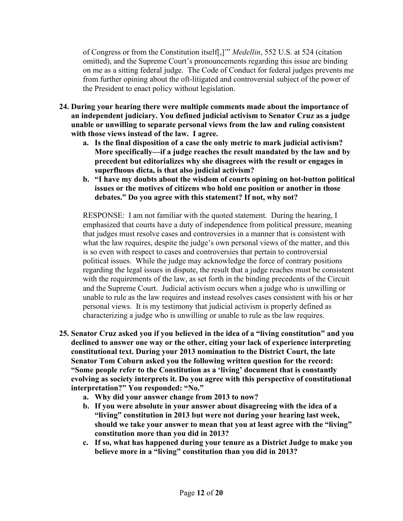of Congress or from the Constitution itself[,]'" *Medellin*, 552 U.S. at 524 (citation omitted), and the Supreme Court's pronouncements regarding this issue are binding on me as a sitting federal judge. The Code of Conduct for federal judges prevents me from further opining about the oft-litigated and controversial subject of the power of the President to enact policy without legislation.

- **24. During your hearing there were multiple comments made about the importance of an independent judiciary. You defined judicial activism to Senator Cruz as a judge unable or unwilling to separate personal views from the law and ruling consistent with those views instead of the law. I agree.** 
	- **a. Is the final disposition of a case the only metric to mark judicial activism? More specifically—if a judge reaches the result mandated by the law and by precedent but editorializes why she disagrees with the result or engages in superfluous dicta, is that also judicial activism?**
	- **b. "I have my doubts about the wisdom of courts opining on hot-button political issues or the motives of citizens who hold one position or another in those debates." Do you agree with this statement? If not, why not?**

RESPONSE: I am not familiar with the quoted statement. During the hearing, I emphasized that courts have a duty of independence from political pressure, meaning that judges must resolve cases and controversies in a manner that is consistent with what the law requires, despite the judge's own personal views of the matter, and this is so even with respect to cases and controversies that pertain to controversial political issues. While the judge may acknowledge the force of contrary positions regarding the legal issues in dispute, the result that a judge reaches must be consistent with the requirements of the law, as set forth in the binding precedents of the Circuit and the Supreme Court. Judicial activism occurs when a judge who is unwilling or unable to rule as the law requires and instead resolves cases consistent with his or her personal views. It is my testimony that judicial activism is properly defined as characterizing a judge who is unwilling or unable to rule as the law requires.

- **25. Senator Cruz asked you if you believed in the idea of a "living constitution" and you declined to answer one way or the other, citing your lack of experience interpreting constitutional text. During your 2013 nomination to the District Court, the late Senator Tom Coburn asked you the following written question for the record: "Some people refer to the Constitution as a 'living' document that is constantly evolving as society interprets it. Do you agree with this perspective of constitutional interpretation?" You responded: "No."**
	- **a. Why did your answer change from 2013 to now?**
	- **b. If you were absolute in your answer about disagreeing with the idea of a "living" constitution in 2013 but were not during your hearing last week, should we take your answer to mean that you at least agree with the "living" constitution more than you did in 2013?**
	- **c. If so, what has happened during your tenure as a District Judge to make you believe more in a "living" constitution than you did in 2013?**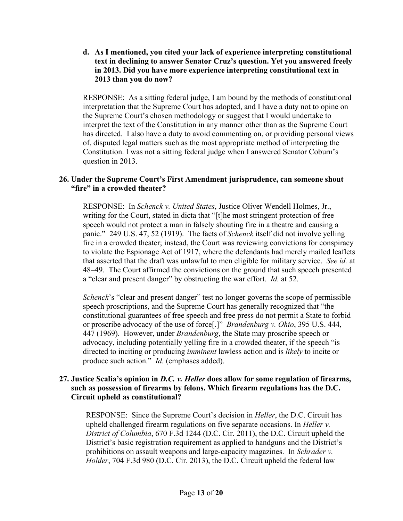**d. As I mentioned, you cited your lack of experience interpreting constitutional text in declining to answer Senator Cruz's question. Yet you answered freely in 2013. Did you have more experience interpreting constitutional text in 2013 than you do now?**

RESPONSE: As a sitting federal judge, I am bound by the methods of constitutional interpretation that the Supreme Court has adopted, and I have a duty not to opine on the Supreme Court's chosen methodology or suggest that I would undertake to interpret the text of the Constitution in any manner other than as the Supreme Court has directed. I also have a duty to avoid commenting on, or providing personal views of, disputed legal matters such as the most appropriate method of interpreting the Constitution. I was not a sitting federal judge when I answered Senator Coburn's question in 2013.

# **26. Under the Supreme Court's First Amendment jurisprudence, can someone shout "fire" in a crowded theater?**

RESPONSE: In *Schenck v. United States*, Justice Oliver Wendell Holmes, Jr., writing for the Court, stated in dicta that "[t]he most stringent protection of free speech would not protect a man in falsely shouting fire in a theatre and causing a panic." 249 U.S. 47, 52 (1919). The facts of *Schenck* itself did not involve yelling fire in a crowded theater; instead, the Court was reviewing convictions for conspiracy to violate the Espionage Act of 1917, where the defendants had merely mailed leaflets that asserted that the draft was unlawful to men eligible for military service. *See id.* at 48–49. The Court affirmed the convictions on the ground that such speech presented a "clear and present danger" by obstructing the war effort. *Id.* at 52.

*Schenck*'s "clear and present danger" test no longer governs the scope of permissible speech proscriptions, and the Supreme Court has generally recognized that "the constitutional guarantees of free speech and free press do not permit a State to forbid or proscribe advocacy of the use of force[.]" *Brandenburg v. Ohio*, 395 U.S. 444, 447 (1969). However, under *Brandenburg*, the State may proscribe speech or advocacy, including potentially yelling fire in a crowded theater, if the speech "is directed to inciting or producing *imminent* lawless action and is *likely* to incite or produce such action." *Id.* (emphases added).

#### **27. Justice Scalia's opinion in** *D.C. v. Heller* **does allow for some regulation of firearms, such as possession of firearms by felons. Which firearm regulations has the D.C. Circuit upheld as constitutional?**

RESPONSE: Since the Supreme Court's decision in *Heller*, the D.C. Circuit has upheld challenged firearm regulations on five separate occasions. In *Heller v. District of Columbia*, 670 F.3d 1244 (D.C. Cir. 2011), the D.C. Circuit upheld the District's basic registration requirement as applied to handguns and the District's prohibitions on assault weapons and large-capacity magazines. In *Schrader v. Holder*, 704 F.3d 980 (D.C. Cir. 2013), the D.C. Circuit upheld the federal law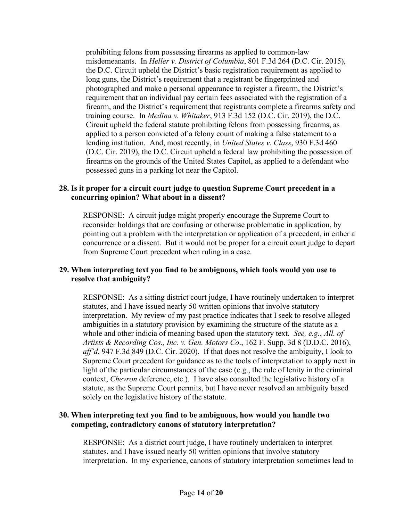prohibiting felons from possessing firearms as applied to common-law misdemeanants. In *Heller v. District of Columbia*, 801 F.3d 264 (D.C. Cir. 2015), the D.C. Circuit upheld the District's basic registration requirement as applied to long guns, the District's requirement that a registrant be fingerprinted and photographed and make a personal appearance to register a firearm, the District's requirement that an individual pay certain fees associated with the registration of a firearm, and the District's requirement that registrants complete a firearms safety and training course. In *Medina v. Whitaker*, 913 F.3d 152 (D.C. Cir. 2019), the D.C. Circuit upheld the federal statute prohibiting felons from possessing firearms, as applied to a person convicted of a felony count of making a false statement to a lending institution. And, most recently, in *United States v. Class*, 930 F.3d 460 (D.C. Cir. 2019), the D.C. Circuit upheld a federal law prohibiting the possession of firearms on the grounds of the United States Capitol, as applied to a defendant who possessed guns in a parking lot near the Capitol.

#### **28. Is it proper for a circuit court judge to question Supreme Court precedent in a concurring opinion? What about in a dissent?**

RESPONSE: A circuit judge might properly encourage the Supreme Court to reconsider holdings that are confusing or otherwise problematic in application, by pointing out a problem with the interpretation or application of a precedent, in either a concurrence or a dissent. But it would not be proper for a circuit court judge to depart from Supreme Court precedent when ruling in a case.

# **29. When interpreting text you find to be ambiguous, which tools would you use to resolve that ambiguity?**

RESPONSE: As a sitting district court judge, I have routinely undertaken to interpret statutes, and I have issued nearly 50 written opinions that involve statutory interpretation. My review of my past practice indicates that I seek to resolve alleged ambiguities in a statutory provision by examining the structure of the statute as a whole and other indicia of meaning based upon the statutory text. *See, e.g.*, *All. of Artists & Recording Cos., Inc. v. Gen. Motors Co*., 162 F. Supp. 3d 8 (D.D.C. 2016), *aff'd*, 947 F.3d 849 (D.C. Cir. 2020). If that does not resolve the ambiguity, I look to Supreme Court precedent for guidance as to the tools of interpretation to apply next in light of the particular circumstances of the case (e.g., the rule of lenity in the criminal context, *Chevron* deference, etc.). I have also consulted the legislative history of a statute, as the Supreme Court permits, but I have never resolved an ambiguity based solely on the legislative history of the statute.

#### **30. When interpreting text you find to be ambiguous, how would you handle two competing, contradictory canons of statutory interpretation?**

RESPONSE: As a district court judge, I have routinely undertaken to interpret statutes, and I have issued nearly 50 written opinions that involve statutory interpretation. In my experience, canons of statutory interpretation sometimes lead to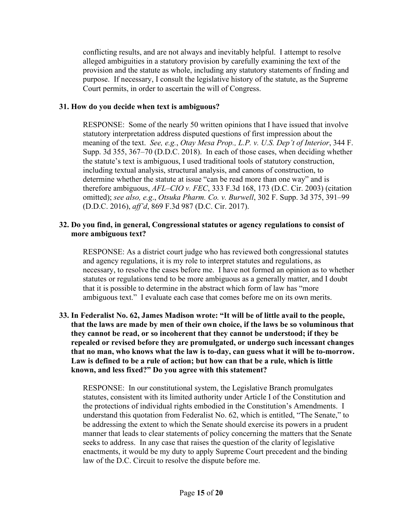conflicting results, and are not always and inevitably helpful. I attempt to resolve alleged ambiguities in a statutory provision by carefully examining the text of the provision and the statute as whole, including any statutory statements of finding and purpose. If necessary, I consult the legislative history of the statute, as the Supreme Court permits, in order to ascertain the will of Congress.

#### **31. How do you decide when text is ambiguous?**

RESPONSE: Some of the nearly 50 written opinions that I have issued that involve statutory interpretation address disputed questions of first impression about the meaning of the text. *See, e.g.*, *Otay Mesa Prop., L.P. v. U.S. Dep't of Interior*, 344 F. Supp. 3d 355, 367–70 (D.D.C. 2018). In each of those cases, when deciding whether the statute's text is ambiguous, I used traditional tools of statutory construction, including textual analysis, structural analysis, and canons of construction, to determine whether the statute at issue "can be read more than one way" and is therefore ambiguous, *AFL–CIO v. FEC*, 333 F.3d 168, 173 (D.C. Cir. 2003) (citation omitted); *see also, e.g*., *Otsuka Pharm. Co. v. Burwell*, 302 F. Supp. 3d 375, 391–99 (D.D.C. 2016), *aff'd*, 869 F.3d 987 (D.C. Cir. 2017).

## **32. Do you find, in general, Congressional statutes or agency regulations to consist of more ambiguous text?**

RESPONSE: As a district court judge who has reviewed both congressional statutes and agency regulations, it is my role to interpret statutes and regulations, as necessary, to resolve the cases before me. I have not formed an opinion as to whether statutes or regulations tend to be more ambiguous as a generally matter, and I doubt that it is possible to determine in the abstract which form of law has "more ambiguous text." I evaluate each case that comes before me on its own merits.

# **33. In Federalist No. 62, James Madison wrote: "It will be of little avail to the people, that the laws are made by men of their own choice, if the laws be so voluminous that they cannot be read, or so incoherent that they cannot be understood; if they be repealed or revised before they are promulgated, or undergo such incessant changes that no man, who knows what the law is to-day, can guess what it will be to-morrow. Law is defined to be a rule of action; but how can that be a rule, which is little known, and less fixed?" Do you agree with this statement?**

RESPONSE: In our constitutional system, the Legislative Branch promulgates statutes, consistent with its limited authority under Article I of the Constitution and the protections of individual rights embodied in the Constitution's Amendments. I understand this quotation from Federalist No. 62, which is entitled, "The Senate," to be addressing the extent to which the Senate should exercise its powers in a prudent manner that leads to clear statements of policy concerning the matters that the Senate seeks to address. In any case that raises the question of the clarity of legislative enactments, it would be my duty to apply Supreme Court precedent and the binding law of the D.C. Circuit to resolve the dispute before me.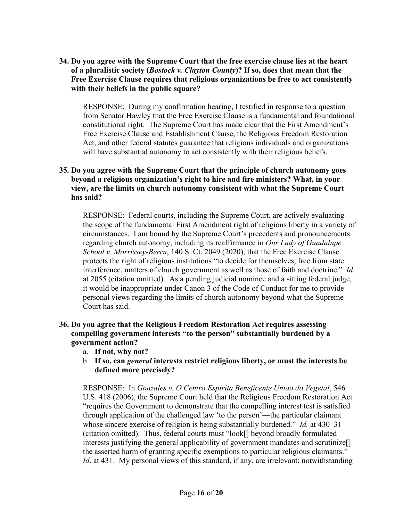# **34. Do you agree with the Supreme Court that the free exercise clause lies at the heart of a pluralistic society (***Bostock v. Clayton County***)? If so, does that mean that the Free Exercise Clause requires that religious organizations be free to act consistently with their beliefs in the public square?**

RESPONSE: During my confirmation hearing, I testified in response to a question from Senator Hawley that the Free Exercise Clause is a fundamental and foundational constitutional right. The Supreme Court has made clear that the First Amendment's Free Exercise Clause and Establishment Clause, the Religious Freedom Restoration Act, and other federal statutes guarantee that religious individuals and organizations will have substantial autonomy to act consistently with their religious beliefs.

## **35. Do you agree with the Supreme Court that the principle of church autonomy goes beyond a religious organization's right to hire and fire ministers? What, in your view, are the limits on church autonomy consistent with what the Supreme Court has said?**

RESPONSE: Federal courts, including the Supreme Court, are actively evaluating the scope of the fundamental First Amendment right of religious liberty in a variety of circumstances. I am bound by the Supreme Court's precedents and pronouncements regarding church autonomy, including its reaffirmance in *Our Lady of Guadalupe School v. Morrissey-Berru*, 140 S. Ct. 2049 (2020), that the Free Exercise Clause protects the right of religious institutions "to decide for themselves, free from state interference, matters of church government as well as those of faith and doctrine." *Id*. at 2055 (citation omitted). As a pending judicial nominee and a sitting federal judge, it would be inappropriate under Canon 3 of the Code of Conduct for me to provide personal views regarding the limits of church autonomy beyond what the Supreme Court has said.

## **36. Do you agree that the Religious Freedom Restoration Act requires assessing compelling government interests "to the person" substantially burdened by a government action?**

- a. **If not, why not?**
- b. **If so, can** *general* **interests restrict religious liberty, or must the interests be defined more precisely?**

RESPONSE: In *Gonzales v. O Centro Espirita Beneficente Uniao do Vegetal*, 546 U.S. 418 (2006), the Supreme Court held that the Religious Freedom Restoration Act "requires the Government to demonstrate that the compelling interest test is satisfied through application of the challenged law 'to the person'—the particular claimant whose sincere exercise of religion is being substantially burdened." *Id.* at 430–31 (citation omitted). Thus, federal courts must "look[] beyond broadly formulated interests justifying the general applicability of government mandates and scrutinize[] the asserted harm of granting specific exemptions to particular religious claimants." Id. at 431. My personal views of this standard, if any, are irrelevant; notwithstanding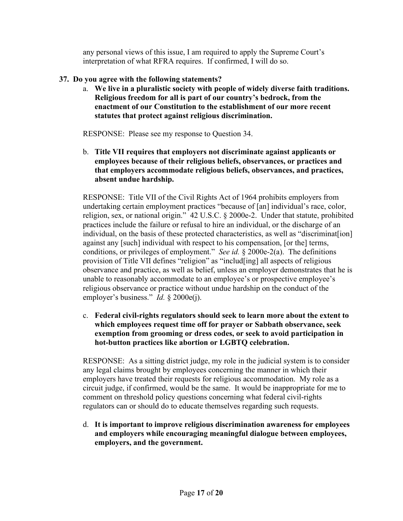any personal views of this issue, I am required to apply the Supreme Court's interpretation of what RFRA requires. If confirmed, I will do so.

# **37. Do you agree with the following statements?**

a. **We live in a pluralistic society with people of widely diverse faith traditions. Religious freedom for all is part of our country's bedrock, from the enactment of our Constitution to the establishment of our more recent statutes that protect against religious discrimination.**

RESPONSE: Please see my response to Question 34.

b. **Title VII requires that employers not discriminate against applicants or employees because of their religious beliefs, observances, or practices and that employers accommodate religious beliefs, observances, and practices, absent undue hardship.**

RESPONSE: Title VII of the Civil Rights Act of 1964 prohibits employers from undertaking certain employment practices "because of [an] individual's race, color, religion, sex, or national origin." 42 U.S.C. § 2000e-2. Under that statute, prohibited practices include the failure or refusal to hire an individual, or the discharge of an individual, on the basis of these protected characteristics, as well as "discriminat [ion] against any [such] individual with respect to his compensation, [or the] terms, conditions, or privileges of employment." *See id.* § 2000e-2(a). The definitions provision of Title VII defines "religion" as "includ[ing] all aspects of religious observance and practice, as well as belief, unless an employer demonstrates that he is unable to reasonably accommodate to an employee's or prospective employee's religious observance or practice without undue hardship on the conduct of the employer's business." *Id.* § 2000e(j).

c. **Federal civil-rights regulators should seek to learn more about the extent to which employees request time off for prayer or Sabbath observance, seek exemption from grooming or dress codes, or seek to avoid participation in hot-button practices like abortion or LGBTQ celebration.** 

RESPONSE: As a sitting district judge, my role in the judicial system is to consider any legal claims brought by employees concerning the manner in which their employers have treated their requests for religious accommodation. My role as a circuit judge, if confirmed, would be the same. It would be inappropriate for me to comment on threshold policy questions concerning what federal civil-rights regulators can or should do to educate themselves regarding such requests.

d. **It is important to improve religious discrimination awareness for employees and employers while encouraging meaningful dialogue between employees, employers, and the government.**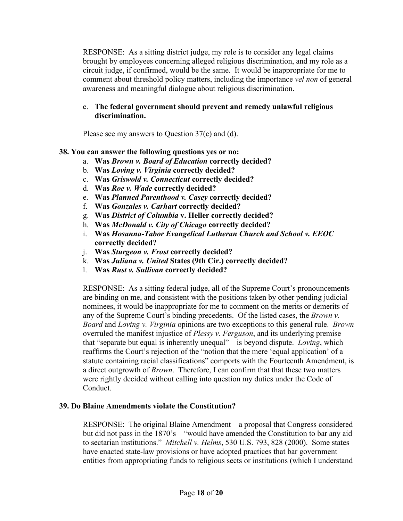RESPONSE: As a sitting district judge, my role is to consider any legal claims brought by employees concerning alleged religious discrimination, and my role as a circuit judge, if confirmed, would be the same. It would be inappropriate for me to comment about threshold policy matters, including the importance *vel non* of general awareness and meaningful dialogue about religious discrimination.

## e. **The federal government should prevent and remedy unlawful religious discrimination.**

Please see my answers to Question 37(c) and (d).

#### **38. You can answer the following questions yes or no:**

- a. **Was** *Brown v. Board of Education* **correctly decided?**
- b. **Was** *Loving v. Virginia* **correctly decided?**
- c. **Was** *Griswold v. Connecticut* **correctly decided?**
- d. **Was** *Roe v. Wade* **correctly decided?**
- e. **Was** *Planned Parenthood v. Casey* **correctly decided?**
- f. **Was** *Gonzales v. Carhart* **correctly decided?**
- g. **Was** *District of Columbia* **v. Heller correctly decided?**
- h. **Was** *McDonald v. City of Chicago* **correctly decided?**
- i. **Was** *Hosanna-Tabor Evangelical Lutheran Church and School v. EEOC* **correctly decided?**
- j. **Was** *Sturgeon v. Frost* **correctly decided?**
- k. **Was** *Juliana v. United* **States (9th Cir.) correctly decided?**
- l. **Was** *Rust v. Sullivan* **correctly decided?**

RESPONSE: As a sitting federal judge, all of the Supreme Court's pronouncements are binding on me, and consistent with the positions taken by other pending judicial nominees, it would be inappropriate for me to comment on the merits or demerits of any of the Supreme Court's binding precedents. Of the listed cases, the *Brown v. Board* and *Loving v. Virginia* opinions are two exceptions to this general rule. *Brown* overruled the manifest injustice of *Plessy v. Ferguson*, and its underlying premise that "separate but equal is inherently unequal"—is beyond dispute. *Loving*, which reaffirms the Court's rejection of the "notion that the mere 'equal application' of a statute containing racial classifications" comports with the Fourteenth Amendment, is a direct outgrowth of *Brown*. Therefore, I can confirm that that these two matters were rightly decided without calling into question my duties under the Code of Conduct.

#### **39. Do Blaine Amendments violate the Constitution?**

RESPONSE: The original Blaine Amendment—a proposal that Congress considered but did not pass in the 1870's—"would have amended the Constitution to bar any aid to sectarian institutions." *Mitchell v. Helms*, 530 U.S. 793, 828 (2000). Some states have enacted state-law provisions or have adopted practices that bar government entities from appropriating funds to religious sects or institutions (which I understand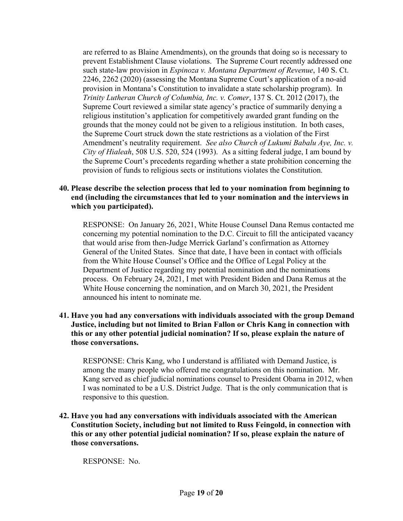are referred to as Blaine Amendments), on the grounds that doing so is necessary to prevent Establishment Clause violations. The Supreme Court recently addressed one such state-law provision in *Espinoza v. Montana Department of Revenue*, 140 S. Ct. 2246, 2262 (2020) (assessing the Montana Supreme Court's application of a no-aid provision in Montana's Constitution to invalidate a state scholarship program). In *Trinity Lutheran Church of Columbia, Inc. v. Comer*, 137 S. Ct. 2012 (2017), the Supreme Court reviewed a similar state agency's practice of summarily denying a religious institution's application for competitively awarded grant funding on the grounds that the money could not be given to a religious institution. In both cases, the Supreme Court struck down the state restrictions as a violation of the First Amendment's neutrality requirement. *See also Church of Lukumi Babalu Aye, Inc. v. City of Hialeah*, 508 U.S. 520, 524 (1993). As a sitting federal judge, I am bound by the Supreme Court's precedents regarding whether a state prohibition concerning the provision of funds to religious sects or institutions violates the Constitution.

# **40. Please describe the selection process that led to your nomination from beginning to end (including the circumstances that led to your nomination and the interviews in which you participated).**

RESPONSE: On January 26, 2021, White House Counsel Dana Remus contacted me concerning my potential nomination to the D.C. Circuit to fill the anticipated vacancy that would arise from then-Judge Merrick Garland's confirmation as Attorney General of the United States. Since that date, I have been in contact with officials from the White House Counsel's Office and the Office of Legal Policy at the Department of Justice regarding my potential nomination and the nominations process. On February 24, 2021, I met with President Biden and Dana Remus at the White House concerning the nomination, and on March 30, 2021, the President announced his intent to nominate me.

## **41. Have you had any conversations with individuals associated with the group Demand Justice, including but not limited to Brian Fallon or Chris Kang in connection with this or any other potential judicial nomination? If so, please explain the nature of those conversations.**

RESPONSE: Chris Kang, who I understand is affiliated with Demand Justice, is among the many people who offered me congratulations on this nomination. Mr. Kang served as chief judicial nominations counsel to President Obama in 2012, when I was nominated to be a U.S. District Judge. That is the only communication that is responsive to this question.

**42. Have you had any conversations with individuals associated with the American Constitution Society, including but not limited to Russ Feingold, in connection with this or any other potential judicial nomination? If so, please explain the nature of those conversations.**

RESPONSE: No.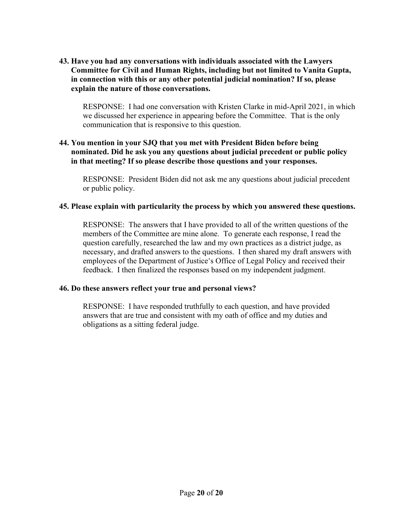**43. Have you had any conversations with individuals associated with the Lawyers Committee for Civil and Human Rights, including but not limited to Vanita Gupta, in connection with this or any other potential judicial nomination? If so, please explain the nature of those conversations.**

RESPONSE: I had one conversation with Kristen Clarke in mid-April 2021, in which we discussed her experience in appearing before the Committee. That is the only communication that is responsive to this question.

# **44. You mention in your SJQ that you met with President Biden before being nominated. Did he ask you any questions about judicial precedent or public policy in that meeting? If so please describe those questions and your responses.**

RESPONSE: President Biden did not ask me any questions about judicial precedent or public policy.

#### **45. Please explain with particularity the process by which you answered these questions.**

RESPONSE: The answers that I have provided to all of the written questions of the members of the Committee are mine alone. To generate each response, I read the question carefully, researched the law and my own practices as a district judge, as necessary, and drafted answers to the questions. I then shared my draft answers with employees of the Department of Justice's Office of Legal Policy and received their feedback. I then finalized the responses based on my independent judgment.

#### **46. Do these answers reflect your true and personal views?**

RESPONSE: I have responded truthfully to each question, and have provided answers that are true and consistent with my oath of office and my duties and obligations as a sitting federal judge.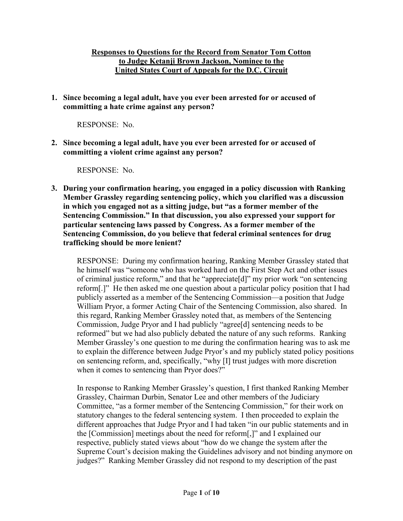# **Responses to Questions for the Record from Senator Tom Cotton to Judge Ketanji Brown Jackson, Nominee to the United States Court of Appeals for the D.C. Circuit**

**1. Since becoming a legal adult, have you ever been arrested for or accused of committing a hate crime against any person?**

RESPONSE: No.

**2. Since becoming a legal adult, have you ever been arrested for or accused of committing a violent crime against any person?**

RESPONSE: No.

**3. During your confirmation hearing, you engaged in a policy discussion with Ranking Member Grassley regarding sentencing policy, which you clarified was a discussion in which you engaged not as a sitting judge, but "as a former member of the Sentencing Commission." In that discussion, you also expressed your support for particular sentencing laws passed by Congress. As a former member of the Sentencing Commission, do you believe that federal criminal sentences for drug trafficking should be more lenient?**

RESPONSE: During my confirmation hearing, Ranking Member Grassley stated that he himself was "someone who has worked hard on the First Step Act and other issues of criminal justice reform," and that he "appreciate[d]" my prior work "on sentencing reform[.]" He then asked me one question about a particular policy position that I had publicly asserted as a member of the Sentencing Commission—a position that Judge William Pryor, a former Acting Chair of the Sentencing Commission, also shared. In this regard, Ranking Member Grassley noted that, as members of the Sentencing Commission, Judge Pryor and I had publicly "agree[d] sentencing needs to be reformed" but we had also publicly debated the nature of any such reforms. Ranking Member Grassley's one question to me during the confirmation hearing was to ask me to explain the difference between Judge Pryor's and my publicly stated policy positions on sentencing reform, and, specifically, "why [I] trust judges with more discretion when it comes to sentencing than Pryor does?"

In response to Ranking Member Grassley's question, I first thanked Ranking Member Grassley, Chairman Durbin, Senator Lee and other members of the Judiciary Committee, "as a former member of the Sentencing Commission," for their work on statutory changes to the federal sentencing system. I then proceeded to explain the different approaches that Judge Pryor and I had taken "in our public statements and in the [Commission] meetings about the need for reform[,]" and I explained our respective, publicly stated views about "how do we change the system after the Supreme Court's decision making the Guidelines advisory and not binding anymore on judges?" Ranking Member Grassley did not respond to my description of the past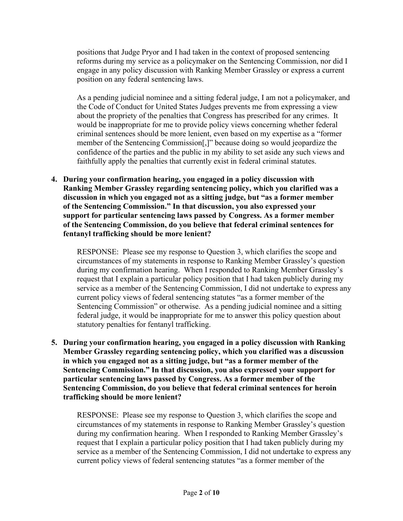positions that Judge Pryor and I had taken in the context of proposed sentencing reforms during my service as a policymaker on the Sentencing Commission, nor did I engage in any policy discussion with Ranking Member Grassley or express a current position on any federal sentencing laws.

As a pending judicial nominee and a sitting federal judge, I am not a policymaker, and the Code of Conduct for United States Judges prevents me from expressing a view about the propriety of the penalties that Congress has prescribed for any crimes. It would be inappropriate for me to provide policy views concerning whether federal criminal sentences should be more lenient, even based on my expertise as a "former member of the Sentencing Commission[,]" because doing so would jeopardize the confidence of the parties and the public in my ability to set aside any such views and faithfully apply the penalties that currently exist in federal criminal statutes.

**4. During your confirmation hearing, you engaged in a policy discussion with Ranking Member Grassley regarding sentencing policy, which you clarified was a discussion in which you engaged not as a sitting judge, but "as a former member of the Sentencing Commission." In that discussion, you also expressed your support for particular sentencing laws passed by Congress. As a former member of the Sentencing Commission, do you believe that federal criminal sentences for fentanyl trafficking should be more lenient?**

RESPONSE: Please see my response to Question 3, which clarifies the scope and circumstances of my statements in response to Ranking Member Grassley's question during my confirmation hearing. When I responded to Ranking Member Grassley's request that I explain a particular policy position that I had taken publicly during my service as a member of the Sentencing Commission, I did not undertake to express any current policy views of federal sentencing statutes "as a former member of the Sentencing Commission" or otherwise. As a pending judicial nominee and a sitting federal judge, it would be inappropriate for me to answer this policy question about statutory penalties for fentanyl trafficking.

**5. During your confirmation hearing, you engaged in a policy discussion with Ranking Member Grassley regarding sentencing policy, which you clarified was a discussion in which you engaged not as a sitting judge, but "as a former member of the Sentencing Commission." In that discussion, you also expressed your support for particular sentencing laws passed by Congress. As a former member of the Sentencing Commission, do you believe that federal criminal sentences for heroin trafficking should be more lenient?**

RESPONSE: Please see my response to Question 3, which clarifies the scope and circumstances of my statements in response to Ranking Member Grassley's question during my confirmation hearing. When I responded to Ranking Member Grassley's request that I explain a particular policy position that I had taken publicly during my service as a member of the Sentencing Commission, I did not undertake to express any current policy views of federal sentencing statutes "as a former member of the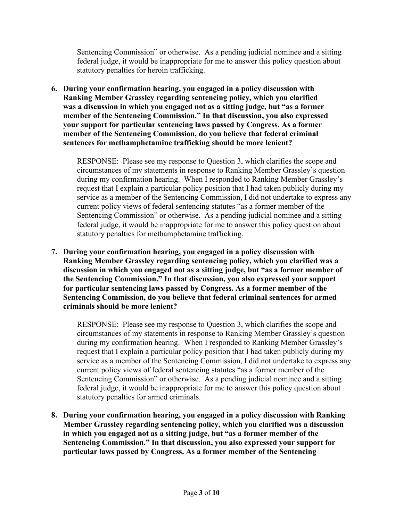Sentencing Commission" or otherwise. As a pending judicial nominee and a sitting federal judge, it would be inappropriate for me to answer this policy question about statutory penalties for heroin trafficking.

**6. During your confirmation hearing, you engaged in a policy discussion with Ranking Member Grassley regarding sentencing policy, which you clarified was a discussion in which you engaged not as a sitting judge, but "as a former member of the Sentencing Commission." In that discussion, you also expressed your support for particular sentencing laws passed by Congress. As a former member of the Sentencing Commission, do you believe that federal criminal sentences for methamphetamine trafficking should be more lenient?**

RESPONSE: Please see my response to Question 3, which clarifies the scope and circumstances of my statements in response to Ranking Member Grassley's question during my confirmation hearing. When I responded to Ranking Member Grassley's request that I explain a particular policy position that I had taken publicly during my service as a member of the Sentencing Commission, I did not undertake to express any current policy views of federal sentencing statutes "as a former member of the Sentencing Commission" or otherwise. As a pending judicial nominee and a sitting federal judge, it would be inappropriate for me to answer this policy question about statutory penalties for methamphetamine trafficking.

**7. During your confirmation hearing, you engaged in a policy discussion with Ranking Member Grassley regarding sentencing policy, which you clarified was a discussion in which you engaged not as a sitting judge, but "as a former member of the Sentencing Commission." In that discussion, you also expressed your support for particular sentencing laws passed by Congress. As a former member of the Sentencing Commission, do you believe that federal criminal sentences for armed criminals should be more lenient?**

RESPONSE: Please see my response to Question 3, which clarifies the scope and circumstances of my statements in response to Ranking Member Grassley's question during my confirmation hearing. When I responded to Ranking Member Grassley's request that I explain a particular policy position that I had taken publicly during my service as a member of the Sentencing Commission, I did not undertake to express any current policy views of federal sentencing statutes "as a former member of the Sentencing Commission" or otherwise. As a pending judicial nominee and a sitting federal judge, it would be inappropriate for me to answer this policy question about statutory penalties for armed criminals.

**8. During your confirmation hearing, you engaged in a policy discussion with Ranking Member Grassley regarding sentencing policy, which you clarified was a discussion in which you engaged not as a sitting judge, but "as a former member of the Sentencing Commission." In that discussion, you also expressed your support for particular laws passed by Congress. As a former member of the Sentencing**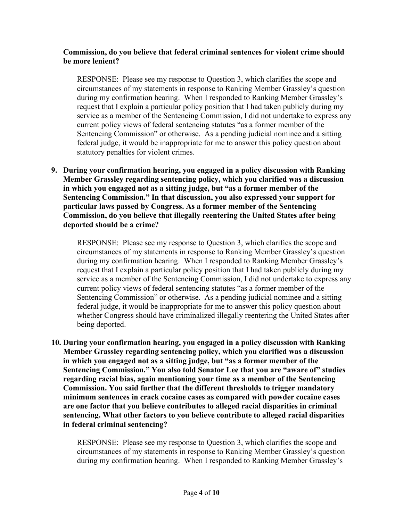## **Commission, do you believe that federal criminal sentences for violent crime should be more lenient?**

RESPONSE: Please see my response to Question 3, which clarifies the scope and circumstances of my statements in response to Ranking Member Grassley's question during my confirmation hearing. When I responded to Ranking Member Grassley's request that I explain a particular policy position that I had taken publicly during my service as a member of the Sentencing Commission, I did not undertake to express any current policy views of federal sentencing statutes "as a former member of the Sentencing Commission" or otherwise. As a pending judicial nominee and a sitting federal judge, it would be inappropriate for me to answer this policy question about statutory penalties for violent crimes.

**9. During your confirmation hearing, you engaged in a policy discussion with Ranking Member Grassley regarding sentencing policy, which you clarified was a discussion in which you engaged not as a sitting judge, but "as a former member of the Sentencing Commission." In that discussion, you also expressed your support for particular laws passed by Congress. As a former member of the Sentencing Commission, do you believe that illegally reentering the United States after being deported should be a crime?**

RESPONSE: Please see my response to Question 3, which clarifies the scope and circumstances of my statements in response to Ranking Member Grassley's question during my confirmation hearing. When I responded to Ranking Member Grassley's request that I explain a particular policy position that I had taken publicly during my service as a member of the Sentencing Commission, I did not undertake to express any current policy views of federal sentencing statutes "as a former member of the Sentencing Commission" or otherwise. As a pending judicial nominee and a sitting federal judge, it would be inappropriate for me to answer this policy question about whether Congress should have criminalized illegally reentering the United States after being deported.

**10. During your confirmation hearing, you engaged in a policy discussion with Ranking Member Grassley regarding sentencing policy, which you clarified was a discussion in which you engaged not as a sitting judge, but "as a former member of the Sentencing Commission." You also told Senator Lee that you are "aware of" studies regarding racial bias, again mentioning your time as a member of the Sentencing Commission. You said further that the different thresholds to trigger mandatory minimum sentences in crack cocaine cases as compared with powder cocaine cases are one factor that you believe contributes to alleged racial disparities in criminal sentencing. What other factors to you believe contribute to alleged racial disparities in federal criminal sentencing?**

RESPONSE: Please see my response to Question 3, which clarifies the scope and circumstances of my statements in response to Ranking Member Grassley's question during my confirmation hearing. When I responded to Ranking Member Grassley's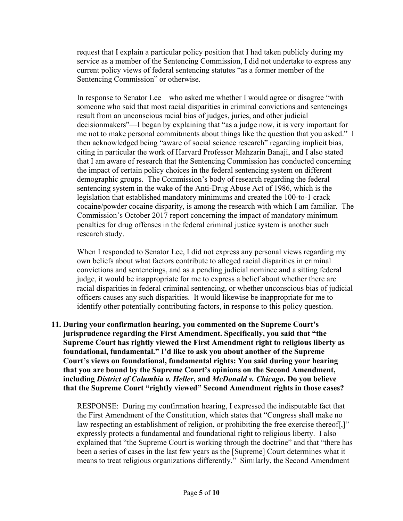request that I explain a particular policy position that I had taken publicly during my service as a member of the Sentencing Commission, I did not undertake to express any current policy views of federal sentencing statutes "as a former member of the Sentencing Commission" or otherwise.

In response to Senator Lee—who asked me whether I would agree or disagree "with someone who said that most racial disparities in criminal convictions and sentencings result from an unconscious racial bias of judges, juries, and other judicial decisionmakers"—I began by explaining that "as a judge now, it is very important for me not to make personal commitments about things like the question that you asked." I then acknowledged being "aware of social science research" regarding implicit bias, citing in particular the work of Harvard Professor Mahzarin Banaji, and I also stated that I am aware of research that the Sentencing Commission has conducted concerning the impact of certain policy choices in the federal sentencing system on different demographic groups. The Commission's body of research regarding the federal sentencing system in the wake of the Anti-Drug Abuse Act of 1986, which is the legislation that established mandatory minimums and created the 100-to-1 crack cocaine/powder cocaine disparity, is among the research with which I am familiar. The Commission's October 2017 report concerning the impact of mandatory minimum penalties for drug offenses in the federal criminal justice system is another such research study.

When I responded to Senator Lee, I did not express any personal views regarding my own beliefs about what factors contribute to alleged racial disparities in criminal convictions and sentencings, and as a pending judicial nominee and a sitting federal judge, it would be inappropriate for me to express a belief about whether there are racial disparities in federal criminal sentencing, or whether unconscious bias of judicial officers causes any such disparities. It would likewise be inappropriate for me to identify other potentially contributing factors, in response to this policy question.

**11. During your confirmation hearing, you commented on the Supreme Court's jurisprudence regarding the First Amendment. Specifically, you said that "the Supreme Court has rightly viewed the First Amendment right to religious liberty as foundational, fundamental." I'd like to ask you about another of the Supreme Court's views on foundational, fundamental rights: You said during your hearing that you are bound by the Supreme Court's opinions on the Second Amendment, including** *District of Columbia v. Heller***, and** *McDonald v. Chicago***. Do you believe that the Supreme Court "rightly viewed" Second Amendment rights in those cases?**

RESPONSE: During my confirmation hearing, I expressed the indisputable fact that the First Amendment of the Constitution, which states that "Congress shall make no law respecting an establishment of religion, or prohibiting the free exercise thereof.]" expressly protects a fundamental and foundational right to religious liberty. I also explained that "the Supreme Court is working through the doctrine" and that "there has been a series of cases in the last few years as the [Supreme] Court determines what it means to treat religious organizations differently." Similarly, the Second Amendment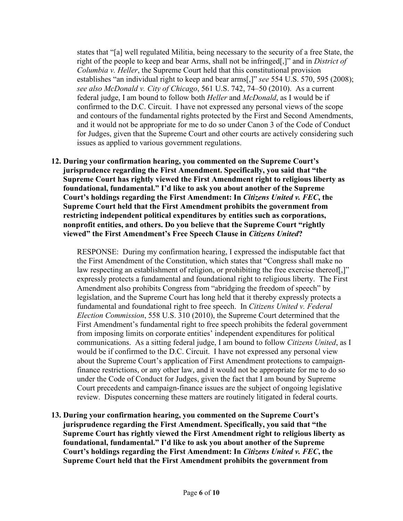states that "[a] well regulated Militia, being necessary to the security of a free State, the right of the people to keep and bear Arms, shall not be infringed[,]" and in *District of Columbia v. Heller*, the Supreme Court held that this constitutional provision establishes "an individual right to keep and bear arms[,]" *see* 554 U.S. 570, 595 (2008); *see also McDonald v. City of Chicago*, 561 U.S. 742, 74–50 (2010). As a current federal judge, I am bound to follow both *Heller* and *McDonald*, as I would be if confirmed to the D.C. Circuit. I have not expressed any personal views of the scope and contours of the fundamental rights protected by the First and Second Amendments, and it would not be appropriate for me to do so under Canon 3 of the Code of Conduct for Judges, given that the Supreme Court and other courts are actively considering such issues as applied to various government regulations.

**12. During your confirmation hearing, you commented on the Supreme Court's jurisprudence regarding the First Amendment. Specifically, you said that "the Supreme Court has rightly viewed the First Amendment right to religious liberty as foundational, fundamental." I'd like to ask you about another of the Supreme Court's holdings regarding the First Amendment: In** *Citizens United v. FEC***, the Supreme Court held that the First Amendment prohibits the government from restricting independent political expenditures by entities such as corporations, nonprofit entities, and others. Do you believe that the Supreme Court "rightly viewed" the First Amendment's Free Speech Clause in** *Citizens United***?**

RESPONSE: During my confirmation hearing, I expressed the indisputable fact that the First Amendment of the Constitution, which states that "Congress shall make no law respecting an establishment of religion, or prohibiting the free exercise thereof.]" expressly protects a fundamental and foundational right to religious liberty. The First Amendment also prohibits Congress from "abridging the freedom of speech" by legislation, and the Supreme Court has long held that it thereby expressly protects a fundamental and foundational right to free speech. In *Citizens United v. Federal Election Commission*, 558 U.S. 310 (2010), the Supreme Court determined that the First Amendment's fundamental right to free speech prohibits the federal government from imposing limits on corporate entities' independent expenditures for political communications. As a sitting federal judge, I am bound to follow *Citizens United*, as I would be if confirmed to the D.C. Circuit. I have not expressed any personal view about the Supreme Court's application of First Amendment protections to campaignfinance restrictions, or any other law, and it would not be appropriate for me to do so under the Code of Conduct for Judges, given the fact that I am bound by Supreme Court precedents and campaign-finance issues are the subject of ongoing legislative review. Disputes concerning these matters are routinely litigated in federal courts.

**13. During your confirmation hearing, you commented on the Supreme Court's jurisprudence regarding the First Amendment. Specifically, you said that "the Supreme Court has rightly viewed the First Amendment right to religious liberty as foundational, fundamental." I'd like to ask you about another of the Supreme Court's holdings regarding the First Amendment: In** *Citizens United v. FEC***, the Supreme Court held that the First Amendment prohibits the government from**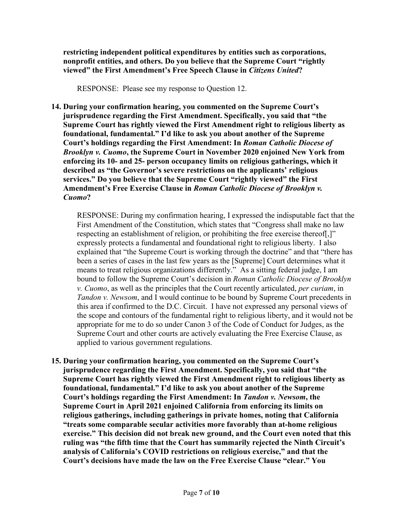**restricting independent political expenditures by entities such as corporations, nonprofit entities, and others. Do you believe that the Supreme Court "rightly viewed" the First Amendment's Free Speech Clause in** *Citizens United***?**

RESPONSE: Please see my response to Question 12.

**14. During your confirmation hearing, you commented on the Supreme Court's jurisprudence regarding the First Amendment. Specifically, you said that "the Supreme Court has rightly viewed the First Amendment right to religious liberty as foundational, fundamental." I'd like to ask you about another of the Supreme Court's holdings regarding the First Amendment: In** *Roman Catholic Diocese of Brooklyn v. Cuomo***, the Supreme Court in November 2020 enjoined New York from enforcing its 10- and 25- person occupancy limits on religious gatherings, which it described as "the Governor's severe restrictions on the applicants' religious services." Do you believe that the Supreme Court "rightly viewed" the First Amendment's Free Exercise Clause in** *Roman Catholic Diocese of Brooklyn v. Cuomo***?**

RESPONSE: During my confirmation hearing, I expressed the indisputable fact that the First Amendment of the Constitution, which states that "Congress shall make no law respecting an establishment of religion, or prohibiting the free exercise thereof[,]" expressly protects a fundamental and foundational right to religious liberty. I also explained that "the Supreme Court is working through the doctrine" and that "there has been a series of cases in the last few years as the [Supreme] Court determines what it means to treat religious organizations differently." As a sitting federal judge, I am bound to follow the Supreme Court's decision in *Roman Catholic Diocese of Brooklyn v. Cuomo*, as well as the principles that the Court recently articulated, *per curiam*, in *Tandon v. Newsom*, and I would continue to be bound by Supreme Court precedents in this area if confirmed to the D.C. Circuit. I have not expressed any personal views of the scope and contours of the fundamental right to religious liberty, and it would not be appropriate for me to do so under Canon 3 of the Code of Conduct for Judges, as the Supreme Court and other courts are actively evaluating the Free Exercise Clause, as applied to various government regulations.

**15. During your confirmation hearing, you commented on the Supreme Court's jurisprudence regarding the First Amendment. Specifically, you said that "the Supreme Court has rightly viewed the First Amendment right to religious liberty as foundational, fundamental." I'd like to ask you about another of the Supreme Court's holdings regarding the First Amendment: In** *Tandon v. Newsom***, the Supreme Court in April 2021 enjoined California from enforcing its limits on religious gatherings, including gatherings in private homes, noting that California "treats some comparable secular activities more favorably than at-home religious exercise." This decision did not break new ground, and the Court even noted that this ruling was "the fifth time that the Court has summarily rejected the Ninth Circuit's analysis of California's COVID restrictions on religious exercise," and that the Court's decisions have made the law on the Free Exercise Clause "clear." You**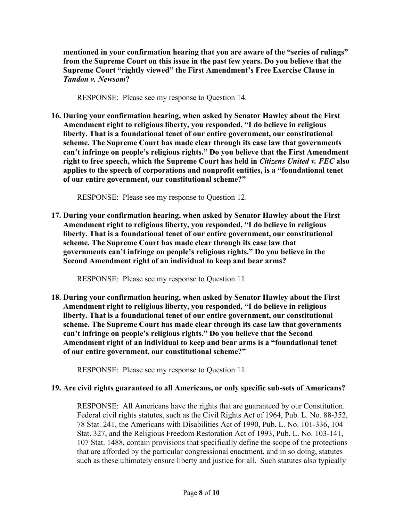**mentioned in your confirmation hearing that you are aware of the "series of rulings" from the Supreme Court on this issue in the past few years. Do you believe that the Supreme Court "rightly viewed" the First Amendment's Free Exercise Clause in**  *Tandon v. Newsom***?**

RESPONSE: Please see my response to Question 14.

**16. During your confirmation hearing, when asked by Senator Hawley about the First Amendment right to religious liberty, you responded, "I do believe in religious liberty. That is a foundational tenet of our entire government, our constitutional scheme. The Supreme Court has made clear through its case law that governments can't infringe on people's religious rights." Do you believe that the First Amendment right to free speech, which the Supreme Court has held in** *Citizens United v. FEC* **also applies to the speech of corporations and nonprofit entities, is a "foundational tenet of our entire government, our constitutional scheme?"**

RESPONSE: Please see my response to Question 12.

**17. During your confirmation hearing, when asked by Senator Hawley about the First Amendment right to religious liberty, you responded, "I do believe in religious liberty. That is a foundational tenet of our entire government, our constitutional scheme. The Supreme Court has made clear through its case law that governments can't infringe on people's religious rights." Do you believe in the Second Amendment right of an individual to keep and bear arms?**

RESPONSE: Please see my response to Question 11.

**18. During your confirmation hearing, when asked by Senator Hawley about the First Amendment right to religious liberty, you responded, "I do believe in religious liberty. That is a foundational tenet of our entire government, our constitutional scheme. The Supreme Court has made clear through its case law that governments can't infringe on people's religious rights." Do you believe that the Second Amendment right of an individual to keep and bear arms is a "foundational tenet of our entire government, our constitutional scheme?"**

RESPONSE: Please see my response to Question 11.

#### **19. Are civil rights guaranteed to all Americans, or only specific sub-sets of Americans?**

RESPONSE: All Americans have the rights that are guaranteed by our Constitution. Federal civil rights statutes, such as the Civil Rights Act of 1964, Pub. L. No. 88-352, 78 Stat. 241, the Americans with Disabilities Act of 1990, Pub. L. No. 101-336, 104 Stat. 327, and the Religious Freedom Restoration Act of 1993, Pub. L. No. 103-141, 107 Stat. 1488, contain provisions that specifically define the scope of the protections that are afforded by the particular congressional enactment, and in so doing, statutes such as these ultimately ensure liberty and justice for all. Such statutes also typically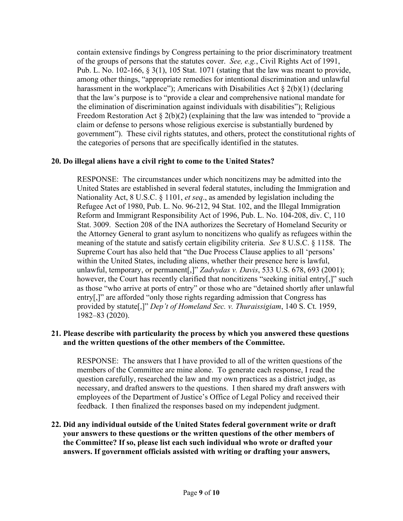contain extensive findings by Congress pertaining to the prior discriminatory treatment of the groups of persons that the statutes cover. *See, e.g.*, Civil Rights Act of 1991, Pub. L. No. 102-166, § 3(1), 105 Stat. 1071 (stating that the law was meant to provide, among other things, "appropriate remedies for intentional discrimination and unlawful harassment in the workplace"); Americans with Disabilities Act  $\S 2(b)(1)$  (declaring that the law's purpose is to "provide a clear and comprehensive national mandate for the elimination of discrimination against individuals with disabilities"); Religious Freedom Restoration Act  $\S 2(b)(2)$  (explaining that the law was intended to "provide a claim or defense to persons whose religious exercise is substantially burdened by government"). These civil rights statutes, and others, protect the constitutional rights of the categories of persons that are specifically identified in the statutes.

#### **20. Do illegal aliens have a civil right to come to the United States?**

RESPONSE: The circumstances under which noncitizens may be admitted into the United States are established in several federal statutes, including the Immigration and Nationality Act, 8 U.S.C. § 1101, *et seq*., as amended by legislation including the Refugee Act of 1980, Pub. L. No. 96-212, 94 Stat. 102, and the Illegal Immigration Reform and Immigrant Responsibility Act of 1996, Pub. L. No. 104-208, div. C, 110 Stat. 3009. Section 208 of the INA authorizes the Secretary of Homeland Security or the Attorney General to grant asylum to noncitizens who qualify as refugees within the meaning of the statute and satisfy certain eligibility criteria. *See* 8 U.S.C. § 1158. The Supreme Court has also held that "the Due Process Clause applies to all 'persons' within the United States, including aliens, whether their presence here is lawful, unlawful, temporary, or permanent[,]" *Zadvydas v. Davis*, 533 U.S. 678, 693 (2001); however, the Court has recently clarified that noncitizens "seeking initial entry[,]" such as those "who arrive at ports of entry" or those who are "detained shortly after unlawful entry[,]" are afforded "only those rights regarding admission that Congress has provided by statute[,]" *Dep't of Homeland Sec. v. Thuraissigiam*, 140 S. Ct. 1959, 1982–83 (2020).

#### **21. Please describe with particularity the process by which you answered these questions and the written questions of the other members of the Committee.**

RESPONSE: The answers that I have provided to all of the written questions of the members of the Committee are mine alone. To generate each response, I read the question carefully, researched the law and my own practices as a district judge, as necessary, and drafted answers to the questions. I then shared my draft answers with employees of the Department of Justice's Office of Legal Policy and received their feedback. I then finalized the responses based on my independent judgment.

## **22. Did any individual outside of the United States federal government write or draft your answers to these questions or the written questions of the other members of the Committee? If so, please list each such individual who wrote or drafted your answers. If government officials assisted with writing or drafting your answers,**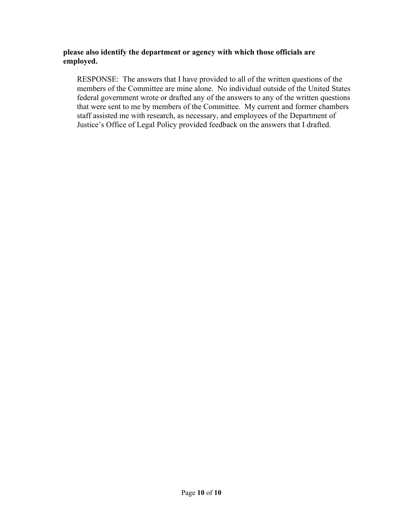## **please also identify the department or agency with which those officials are employed.**

RESPONSE: The answers that I have provided to all of the written questions of the members of the Committee are mine alone. No individual outside of the United States federal government wrote or drafted any of the answers to any of the written questions that were sent to me by members of the Committee. My current and former chambers staff assisted me with research, as necessary, and employees of the Department of Justice's Office of Legal Policy provided feedback on the answers that I drafted.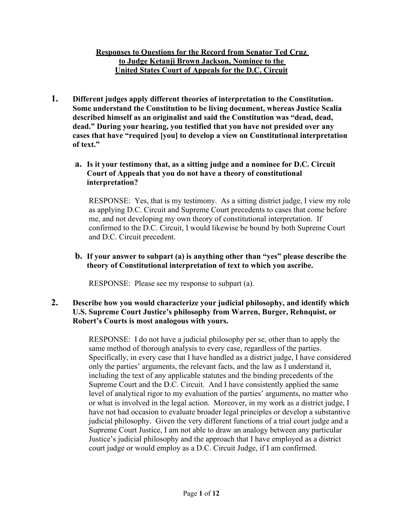# **Responses to Questions for the Record from Senator Ted Cruz to Judge Ketanji Brown Jackson, Nominee to the United States Court of Appeals for the D.C. Circuit**

**1. Different judges apply different theories of interpretation to the Constitution. Some understand the Constitution to be living document, whereas Justice Scalia described himself as an originalist and said the Constitution was "dead, dead, dead." During your hearing, you testified that you have not presided over any cases that have "required [you] to develop a view on Constitutional interpretation of text."**

# **a. Is it your testimony that, as a sitting judge and a nominee for D.C. Circuit Court of Appeals that you do not have a theory of constitutional interpretation?**

RESPONSE: Yes, that is my testimony. As a sitting district judge, I view my role as applying D.C. Circuit and Supreme Court precedents to cases that come before me, and not developing my own theory of constitutional interpretation. If confirmed to the D.C. Circuit, I would likewise be bound by both Supreme Court and D.C. Circuit precedent.

# **b. If your answer to subpart (a) is anything other than "yes" please describe the theory of Constitutional interpretation of text to which you ascribe.**

RESPONSE: Please see my response to subpart (a).

# **2. Describe how you would characterize your judicial philosophy, and identify which U.S. Supreme Court Justice's philosophy from Warren, Burger, Rehnquist, or Robert's Courts is most analogous with yours.**

RESPONSE: I do not have a judicial philosophy per se, other than to apply the same method of thorough analysis to every case, regardless of the parties. Specifically, in every case that I have handled as a district judge, I have considered only the parties' arguments, the relevant facts, and the law as I understand it, including the text of any applicable statutes and the binding precedents of the Supreme Court and the D.C. Circuit. And I have consistently applied the same level of analytical rigor to my evaluation of the parties' arguments, no matter who or what is involved in the legal action. Moreover, in my work as a district judge, I have not had occasion to evaluate broader legal principles or develop a substantive judicial philosophy. Given the very different functions of a trial court judge and a Supreme Court Justice, I am not able to draw an analogy between any particular Justice's judicial philosophy and the approach that I have employed as a district court judge or would employ as a D.C. Circuit Judge, if I am confirmed.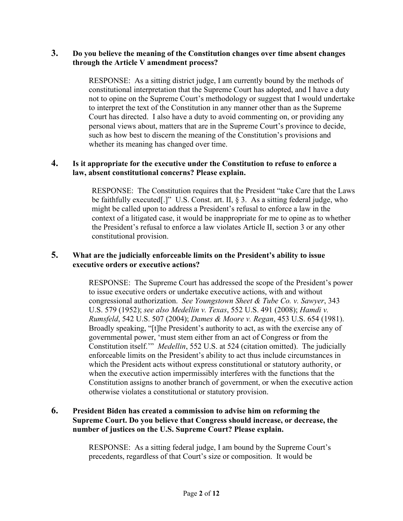# **3. Do you believe the meaning of the Constitution changes over time absent changes through the Article V amendment process?**

RESPONSE: As a sitting district judge, I am currently bound by the methods of constitutional interpretation that the Supreme Court has adopted, and I have a duty not to opine on the Supreme Court's methodology or suggest that I would undertake to interpret the text of the Constitution in any manner other than as the Supreme Court has directed. I also have a duty to avoid commenting on, or providing any personal views about, matters that are in the Supreme Court's province to decide, such as how best to discern the meaning of the Constitution's provisions and whether its meaning has changed over time.

#### **4. Is it appropriate for the executive under the Constitution to refuse to enforce a law, absent constitutional concerns? Please explain.**

RESPONSE: The Constitution requires that the President "take Care that the Laws be faithfully executed[.]" U.S. Const. art. II, § 3. As a sitting federal judge, who might be called upon to address a President's refusal to enforce a law in the context of a litigated case, it would be inappropriate for me to opine as to whether the President's refusal to enforce a law violates Article II, section 3 or any other constitutional provision.

## **5. What are the judicially enforceable limits on the President's ability to issue executive orders or executive actions?**

RESPONSE: The Supreme Court has addressed the scope of the President's power to issue executive orders or undertake executive actions, with and without congressional authorization. *See Youngstown Sheet & Tube Co. v. Sawyer*, 343 U.S. 579 (1952); *see also Medellin v. Texas*, 552 U.S. 491 (2008); *Hamdi v. Rumsfeld*, 542 U.S. 507 (2004); *Dames & Moore v. Regan*, 453 U.S. 654 (1981). Broadly speaking, "[t]he President's authority to act, as with the exercise any of governmental power, 'must stem either from an act of Congress or from the Constitution itself.'" *Medellin*, 552 U.S. at 524 (citation omitted). The judicially enforceable limits on the President's ability to act thus include circumstances in which the President acts without express constitutional or statutory authority, or when the executive action impermissibly interferes with the functions that the Constitution assigns to another branch of government, or when the executive action otherwise violates a constitutional or statutory provision.

# **6. President Biden has created a commission to advise him on reforming the Supreme Court. Do you believe that Congress should increase, or decrease, the number of justices on the U.S. Supreme Court? Please explain.**

RESPONSE: As a sitting federal judge, I am bound by the Supreme Court's precedents, regardless of that Court's size or composition. It would be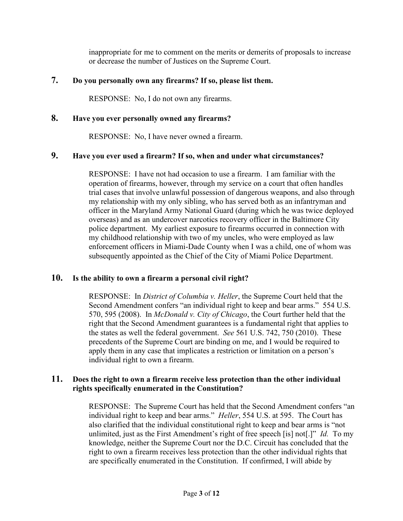inappropriate for me to comment on the merits or demerits of proposals to increase or decrease the number of Justices on the Supreme Court.

# **7. Do you personally own any firearms? If so, please list them.**

RESPONSE: No, I do not own any firearms.

# **8. Have you ever personally owned any firearms?**

RESPONSE: No, I have never owned a firearm.

#### **9. Have you ever used a firearm? If so, when and under what circumstances?**

RESPONSE: I have not had occasion to use a firearm. I am familiar with the operation of firearms, however, through my service on a court that often handles trial cases that involve unlawful possession of dangerous weapons, and also through my relationship with my only sibling, who has served both as an infantryman and officer in the Maryland Army National Guard (during which he was twice deployed overseas) and as an undercover narcotics recovery officer in the Baltimore City police department. My earliest exposure to firearms occurred in connection with my childhood relationship with two of my uncles, who were employed as law enforcement officers in Miami-Dade County when I was a child, one of whom was subsequently appointed as the Chief of the City of Miami Police Department.

# **10. Is the ability to own a firearm a personal civil right?**

RESPONSE: In *District of Columbia v. Heller*, the Supreme Court held that the Second Amendment confers "an individual right to keep and bear arms." 554 U.S. 570, 595 (2008). In *McDonald v. City of Chicago*, the Court further held that the right that the Second Amendment guarantees is a fundamental right that applies to the states as well the federal government. *See* 561 U.S. 742, 750 (2010). These precedents of the Supreme Court are binding on me, and I would be required to apply them in any case that implicates a restriction or limitation on a person's individual right to own a firearm.

#### **11. Does the right to own a firearm receive less protection than the other individual rights specifically enumerated in the Constitution?**

RESPONSE: The Supreme Court has held that the Second Amendment confers "an individual right to keep and bear arms." *Heller*, 554 U.S. at 595. The Court has also clarified that the individual constitutional right to keep and bear arms is "not unlimited, just as the First Amendment's right of free speech [is] not[.]" *Id.* To my knowledge, neither the Supreme Court nor the D.C. Circuit has concluded that the right to own a firearm receives less protection than the other individual rights that are specifically enumerated in the Constitution. If confirmed, I will abide by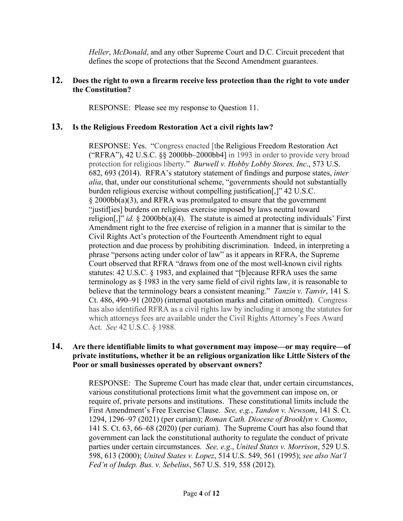*Heller*, *McDonald*, and any other Supreme Court and D.C. Circuit precedent that defines the scope of protections that the Second Amendment guarantees.

#### **12. Does the right to own a firearm receive less protection than the right to vote under the Constitution?**

RESPONSE: Please see my response to Question 11.

## **13. Is the Religious Freedom Restoration Act a civil rights law?**

RESPONSE: Yes. "Congress enacted [the Religious Freedom Restoration Act ("RFRA"), 42 U.S.C. §§ 2000bb–2000bb4] in 1993 in order to provide very broad protection for religious liberty*.*" *Burwell v. Hobby Lobby Stores, Inc*., 573 U.S. 682, 693 (2014). RFRA's statutory statement of findings and purpose states, *inter alia*, that, under our constitutional scheme, "governments should not substantially burden religious exercise without compelling justification[,]" 42 U.S.C. § 2000bb(a)(3), and RFRA was promulgated to ensure that the government "justif[ies] burdens on religious exercise imposed by laws neutral toward religion[,]" *id.* § 2000bb(a)(4). The statute is aimed at protecting individuals' First Amendment right to the free exercise of religion in a manner that is similar to the Civil Rights Act's protection of the Fourteenth Amendment right to equal protection and due process by prohibiting discrimination. Indeed, in interpreting a phrase "persons acting under color of law" as it appears in RFRA, the Supreme Court observed that RFRA "draws from one of the most well-known civil rights statutes: 42 U.S.C. § 1983, and explained that "[b]ecause RFRA uses the same terminology as § 1983 in the very same field of civil rights law, it is reasonable to believe that the terminology bears a consistent meaning." *Tanzin v. Tanvir*, 141 S. Ct. 486, 490–91 (2020) (internal quotation marks and citation omitted). Congress has also identified RFRA as a civil rights law by including it among the statutes for which attorneys fees are available under the Civil Rights Attorney's Fees Award Act. *See* 42 U.S.C. § 1988.

# **14. Are there identifiable limits to what government may impose—or may require—of private institutions, whether it be an religious organization like Little Sisters of the Poor or small businesses operated by observant owners?**

RESPONSE: The Supreme Court has made clear that, under certain circumstances, various constitutional protections limit what the government can impose on, or require of, private persons and institutions. These constitutional limits include the First Amendment's Free Exercise Clause. *See, e.g.*, *Tandon v. Newsom*, 141 S. Ct. 1294, 1296–97 (2021) (per curiam); *Roman Cath. Diocese of Brooklyn v. Cuomo*, 141 S. Ct. 63, 66–68 (2020) (per curiam). The Supreme Court has also found that government can lack the constitutional authority to regulate the conduct of private parties under certain circumstances. *See, e.g*., *United States v. Morrison*, 529 U.S. 598, 613 (2000); *United States v. Lopez*, 514 U.S. 549, 561 (1995); *see also Nat'l Fed'n of Indep. Bus. v. Sebelius*, 567 U.S. 519, 558 (2012).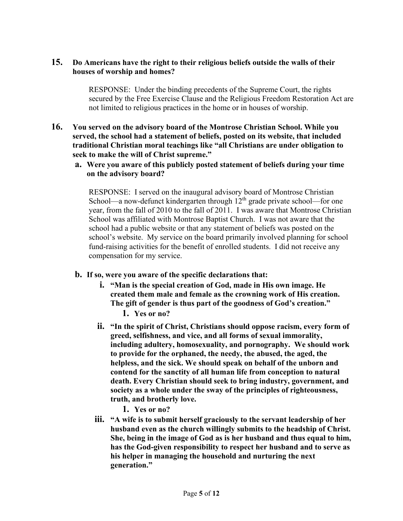#### **15. Do Americans have the right to their religious beliefs outside the walls of their houses of worship and homes?**

RESPONSE: Under the binding precedents of the Supreme Court, the rights secured by the Free Exercise Clause and the Religious Freedom Restoration Act are not limited to religious practices in the home or in houses of worship.

- **16. You served on the advisory board of the Montrose Christian School. While you served, the school had a statement of beliefs, posted on its website, that included traditional Christian moral teachings like "all Christians are under obligation to seek to make the will of Christ supreme."**
	- **a. Were you aware of this publicly posted statement of beliefs during your time on the advisory board?**

RESPONSE: I served on the inaugural advisory board of Montrose Christian School—a now-defunct kindergarten through  $12<sup>th</sup>$  grade private school—for one year, from the fall of 2010 to the fall of 2011. I was aware that Montrose Christian School was affiliated with Montrose Baptist Church. I was not aware that the school had a public website or that any statement of beliefs was posted on the school's website. My service on the board primarily involved planning for school fund-raising activities for the benefit of enrolled students. I did not receive any compensation for my service.

- **b. If so, were you aware of the specific declarations that:**
	- **i. "Man is the special creation of God, made in His own image. He created them male and female as the crowning work of His creation. The gift of gender is thus part of the goodness of God's creation."**
		- **1. Yes or no?**
	- **ii. "In the spirit of Christ, Christians should oppose racism, every form of greed, selfishness, and vice, and all forms of sexual immorality, including adultery, homosexuality, and pornography. We should work to provide for the orphaned, the needy, the abused, the aged, the helpless, and the sick. We should speak on behalf of the unborn and contend for the sanctity of all human life from conception to natural death. Every Christian should seek to bring industry, government, and society as a whole under the sway of the principles of righteousness, truth, and brotherly love.**
		- **1. Yes or no?**
	- **iii. "A wife is to submit herself graciously to the servant leadership of her husband even as the church willingly submits to the headship of Christ. She, being in the image of God as is her husband and thus equal to him, has the God-given responsibility to respect her husband and to serve as his helper in managing the household and nurturing the next generation."**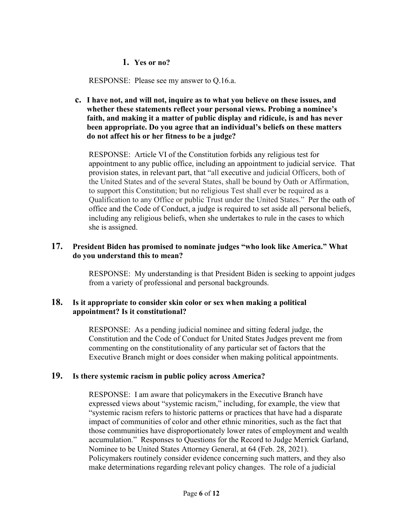## **1. Yes or no?**

RESPONSE: Please see my answer to Q.16.a.

**c. I have not, and will not, inquire as to what you believe on these issues, and whether these statements reflect your personal views. Probing a nominee's faith, and making it a matter of public display and ridicule, is and has never been appropriate. Do you agree that an individual's beliefs on these matters do not affect his or her fitness to be a judge?**

RESPONSE: Article VI of the Constitution forbids any religious test for appointment to any public office, including an appointment to judicial service. That provision states, in relevant part, that "all executive and judicial Officers, both of the United States and of the several States, shall be bound by Oath or Affirmation, to support this Constitution; but no religious Test shall ever be required as a Qualification to any Office or public Trust under the United States." Per the oath of office and the Code of Conduct, a judge is required to set aside all personal beliefs, including any religious beliefs, when she undertakes to rule in the cases to which she is assigned.

#### **17. President Biden has promised to nominate judges "who look like America." What do you understand this to mean?**

RESPONSE: My understanding is that President Biden is seeking to appoint judges from a variety of professional and personal backgrounds.

## **18. Is it appropriate to consider skin color or sex when making a political appointment? Is it constitutional?**

RESPONSE: As a pending judicial nominee and sitting federal judge, the Constitution and the Code of Conduct for United States Judges prevent me from commenting on the constitutionality of any particular set of factors that the Executive Branch might or does consider when making political appointments.

## **19. Is there systemic racism in public policy across America?**

RESPONSE: I am aware that policymakers in the Executive Branch have expressed views about "systemic racism," including, for example, the view that "systemic racism refers to historic patterns or practices that have had a disparate impact of communities of color and other ethnic minorities, such as the fact that those communities have disproportionately lower rates of employment and wealth accumulation." Responses to Questions for the Record to Judge Merrick Garland, Nominee to be United States Attorney General, at 64 (Feb. 28, 2021). Policymakers routinely consider evidence concerning such matters, and they also make determinations regarding relevant policy changes. The role of a judicial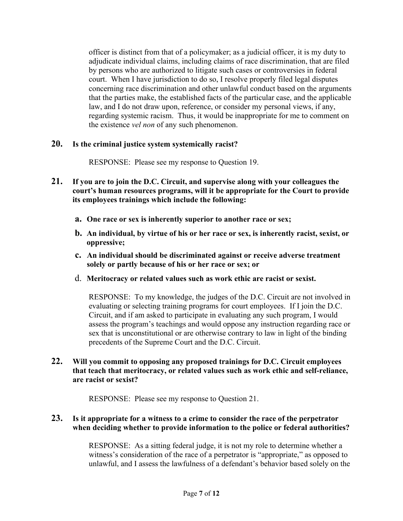officer is distinct from that of a policymaker; as a judicial officer, it is my duty to adjudicate individual claims, including claims of race discrimination, that are filed by persons who are authorized to litigate such cases or controversies in federal court. When I have jurisdiction to do so, I resolve properly filed legal disputes concerning race discrimination and other unlawful conduct based on the arguments that the parties make, the established facts of the particular case, and the applicable law, and I do not draw upon, reference, or consider my personal views, if any, regarding systemic racism. Thus, it would be inappropriate for me to comment on the existence *vel non* of any such phenomenon.

#### **20. Is the criminal justice system systemically racist?**

RESPONSE: Please see my response to Question 19.

- **21. If you are to join the D.C. Circuit, and supervise along with your colleagues the court's human resources programs, will it be appropriate for the Court to provide its employees trainings which include the following:**
	- **a. One race or sex is inherently superior to another race or sex;**
	- **b. An individual, by virtue of his or her race or sex, is inherently racist, sexist, or oppressive;**
	- **c. An individual should be discriminated against or receive adverse treatment solely or partly because of his or her race or sex; or**
	- d. **Meritocracy or related values such as work ethic are racist or sexist.**

RESPONSE: To my knowledge, the judges of the D.C. Circuit are not involved in evaluating or selecting training programs for court employees. If I join the D.C. Circuit, and if am asked to participate in evaluating any such program, I would assess the program's teachings and would oppose any instruction regarding race or sex that is unconstitutional or are otherwise contrary to law in light of the binding precedents of the Supreme Court and the D.C. Circuit.

#### **22. Will you commit to opposing any proposed trainings for D.C. Circuit employees that teach that meritocracy, or related values such as work ethic and self-reliance, are racist or sexist?**

RESPONSE: Please see my response to Question 21.

## **23. Is it appropriate for a witness to a crime to consider the race of the perpetrator when deciding whether to provide information to the police or federal authorities?**

RESPONSE: As a sitting federal judge, it is not my role to determine whether a witness's consideration of the race of a perpetrator is "appropriate," as opposed to unlawful, and I assess the lawfulness of a defendant's behavior based solely on the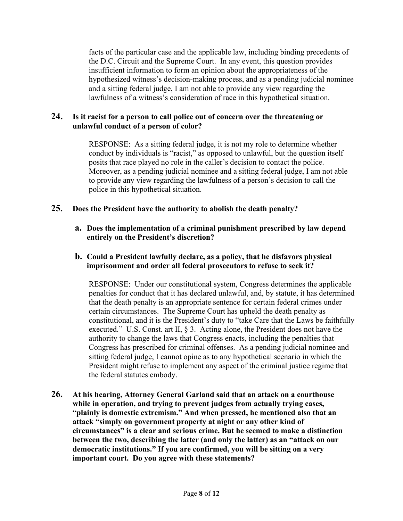facts of the particular case and the applicable law, including binding precedents of the D.C. Circuit and the Supreme Court. In any event, this question provides insufficient information to form an opinion about the appropriateness of the hypothesized witness's decision-making process, and as a pending judicial nominee and a sitting federal judge, I am not able to provide any view regarding the lawfulness of a witness's consideration of race in this hypothetical situation.

#### **24. Is it racist for a person to call police out of concern over the threatening or unlawful conduct of a person of color?**

RESPONSE: As a sitting federal judge, it is not my role to determine whether conduct by individuals is "racist," as opposed to unlawful, but the question itself posits that race played no role in the caller's decision to contact the police. Moreover, as a pending judicial nominee and a sitting federal judge, I am not able to provide any view regarding the lawfulness of a person's decision to call the police in this hypothetical situation.

# **25. Does the President have the authority to abolish the death penalty?**

**a. Does the implementation of a criminal punishment prescribed by law depend entirely on the President's discretion?**

#### **b. Could a President lawfully declare, as a policy, that he disfavors physical imprisonment and order all federal prosecutors to refuse to seek it?**

RESPONSE: Under our constitutional system, Congress determines the applicable penalties for conduct that it has declared unlawful, and, by statute, it has determined that the death penalty is an appropriate sentence for certain federal crimes under certain circumstances. The Supreme Court has upheld the death penalty as constitutional, and it is the President's duty to "take Care that the Laws be faithfully executed." U.S. Const. art II, § 3. Acting alone, the President does not have the authority to change the laws that Congress enacts, including the penalties that Congress has prescribed for criminal offenses. As a pending judicial nominee and sitting federal judge, I cannot opine as to any hypothetical scenario in which the President might refuse to implement any aspect of the criminal justice regime that the federal statutes embody.

**26. At his hearing, Attorney General Garland said that an attack on a courthouse while in operation, and trying to prevent judges from actually trying cases, "plainly is domestic extremism." And when pressed, he mentioned also that an attack "simply on government property at night or any other kind of circumstances" is a clear and serious crime. But he seemed to make a distinction between the two, describing the latter (and only the latter) as an "attack on our democratic institutions." If you are confirmed, you will be sitting on a very important court. Do you agree with these statements?**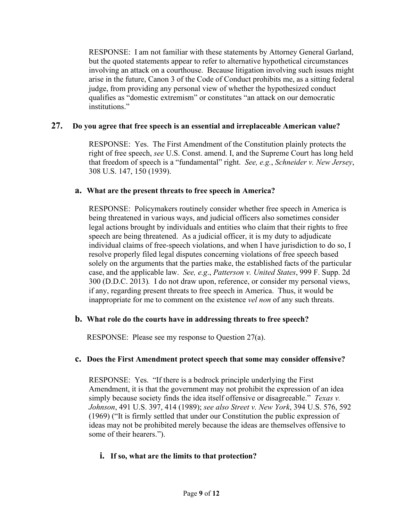RESPONSE: I am not familiar with these statements by Attorney General Garland, but the quoted statements appear to refer to alternative hypothetical circumstances involving an attack on a courthouse. Because litigation involving such issues might arise in the future, Canon 3 of the Code of Conduct prohibits me, as a sitting federal judge, from providing any personal view of whether the hypothesized conduct qualifies as "domestic extremism" or constitutes "an attack on our democratic institutions."

#### **27. Do you agree that free speech is an essential and irreplaceable American value?**

RESPONSE: Yes. The First Amendment of the Constitution plainly protects the right of free speech, *see* U.S. Const. amend. I, and the Supreme Court has long held that freedom of speech is a "fundamental" right. *See, e.g.*, *Schneider v. New Jersey*, 308 U.S. 147, 150 (1939).

#### **a. What are the present threats to free speech in America?**

RESPONSE: Policymakers routinely consider whether free speech in America is being threatened in various ways, and judicial officers also sometimes consider legal actions brought by individuals and entities who claim that their rights to free speech are being threatened. As a judicial officer, it is my duty to adjudicate individual claims of free-speech violations, and when I have jurisdiction to do so, I resolve properly filed legal disputes concerning violations of free speech based solely on the arguments that the parties make, the established facts of the particular case, and the applicable law. *See, e.g*., *Patterson v. United States*, 999 F. Supp. 2d 300 (D.D.C. 2013)*.* I do not draw upon, reference, or consider my personal views, if any, regarding present threats to free speech in America. Thus, it would be inappropriate for me to comment on the existence *vel non* of any such threats.

## **b. What role do the courts have in addressing threats to free speech?**

RESPONSE: Please see my response to Question 27(a).

## **c. Does the First Amendment protect speech that some may consider offensive?**

RESPONSE: Yes. "If there is a bedrock principle underlying the First Amendment, it is that the government may not prohibit the expression of an idea simply because society finds the idea itself offensive or disagreeable." *Texas v. Johnson*, 491 U.S. 397, 414 (1989); *see also Street v. New York*, 394 U.S. 576, 592 (1969) ("It is firmly settled that under our Constitution the public expression of ideas may not be prohibited merely because the ideas are themselves offensive to some of their hearers.").

## **i. If so, what are the limits to that protection?**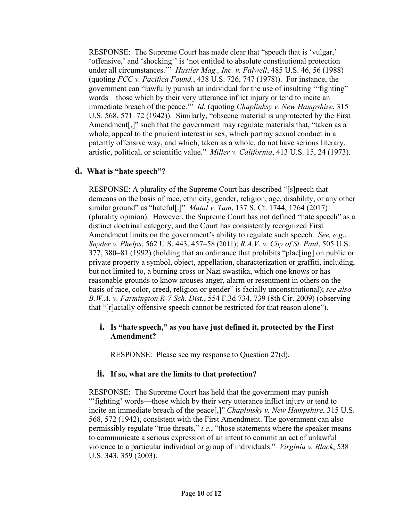RESPONSE: The Supreme Court has made clear that "speech that is 'vulgar,' 'offensive,' and 'shocking`' is 'not entitled to absolute constitutional protection under all circumstances.'" *Hustler Mag., Inc. v. Falwell*, 485 U.S. 46, 56 (1988) (quoting *FCC v. Pacifica Found.*, 438 U.S. 726, 747 (1978)). For instance, the government can "lawfully punish an individual for the use of insulting '"fighting" words—those which by their very utterance inflict injury or tend to incite an immediate breach of the peace.'" *Id.* (quoting *Chaplinksy v. New Hampshire*, 315 U.S. 568, 571–72 (1942)). Similarly, "obscene material is unprotected by the First Amendment[,]" such that the government may regulate materials that, "taken as a whole, appeal to the prurient interest in sex, which portray sexual conduct in a patently offensive way, and which, taken as a whole, do not have serious literary, artistic, political, or scientific value." *Miller v. California*, 413 U.S. 15, 24 (1973).

# **d. What is "hate speech"?**

RESPONSE: A plurality of the Supreme Court has described "[s]peech that demeans on the basis of race, ethnicity, gender, religion, age, disability, or any other similar ground" as "hateful[.]" *Matal v. Tam*, 137 S. Ct. 1744, 1764 (2017) (plurality opinion). However, the Supreme Court has not defined "hate speech" as a distinct doctrinal category, and the Court has consistently recognized First Amendment limits on the government's ability to regulate such speech. *See, e.g*., *Snyder v. Phelps*, 562 U.S. 443, 457–58 (2011); *R.A.V. v. City of St. Paul*, 505 U.S. 377, 380–81 (1992) (holding that an ordinance that prohibits "plac[ing] on public or private property a symbol, object, appellation, characterization or graffiti, including, but not limited to, a burning cross or Nazi swastika, which one knows or has reasonable grounds to know arouses anger, alarm or resentment in others on the basis of race, color, creed, religion or gender" is facially unconstitutional); *see also B.W.A. v. Farmington R-7 Sch. Dist.*, 554 F.3d 734, 739 (8th Cir. 2009) (observing that "[r]acially offensive speech cannot be restricted for that reason alone").

# **i. Is "hate speech," as you have just defined it, protected by the First Amendment?**

RESPONSE: Please see my response to Question 27(d).

## **ii. If so, what are the limits to that protection?**

RESPONSE: The Supreme Court has held that the government may punish "'fighting' words—those which by their very utterance inflict injury or tend to incite an immediate breach of the peace[,]" *Chaplinsky v. New Hampshire*, 315 U.S. 568, 572 (1942), consistent with the First Amendment. The government can also permissibly regulate "true threats," *i.e.*, "those statements where the speaker means to communicate a serious expression of an intent to commit an act of unlawful violence to a particular individual or group of individuals." *Virginia v. Black*, 538 U.S. 343, 359 (2003).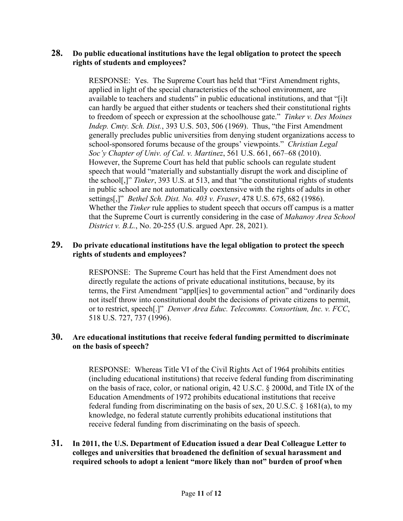#### **28. Do public educational institutions have the legal obligation to protect the speech rights of students and employees?**

RESPONSE: Yes. The Supreme Court has held that "First Amendment rights, applied in light of the special characteristics of the school environment, are available to teachers and students" in public educational institutions, and that "[i]t can hardly be argued that either students or teachers shed their constitutional rights to freedom of speech or expression at the schoolhouse gate." *Tinker v. Des Moines Indep. Cmty. Sch. Dist.*, 393 U.S. 503, 506 (1969). Thus, "the First Amendment generally precludes public universities from denying student organizations access to school-sponsored forums because of the groups' viewpoints." *Christian Legal Soc'y Chapter of Univ. of Cal. v. Martinez*, 561 U.S. 661, 667–68 (2010). However, the Supreme Court has held that public schools can regulate student speech that would "materially and substantially disrupt the work and discipline of the school[,]" *Tinker*, 393 U.S. at 513, and that "the constitutional rights of students in public school are not automatically coextensive with the rights of adults in other settings[,]" *Bethel Sch. Dist. No. 403 v. Fraser*, 478 U.S. 675, 682 (1986). Whether the *Tinker* rule applies to student speech that occurs off campus is a matter that the Supreme Court is currently considering in the case of *Mahanoy Area School District v. B.L.*, No. 20-255 (U.S. argued Apr. 28, 2021).

## **29. Do private educational institutions have the legal obligation to protect the speech rights of students and employees?**

RESPONSE: The Supreme Court has held that the First Amendment does not directly regulate the actions of private educational institutions, because, by its terms, the First Amendment "appl[ies] to governmental action" and "ordinarily does not itself throw into constitutional doubt the decisions of private citizens to permit, or to restrict, speech[.]" *Denver Area Educ. Telecomms. Consortium, Inc. v. FCC*, 518 U.S. 727, 737 (1996).

#### **30. Are educational institutions that receive federal funding permitted to discriminate on the basis of speech?**

RESPONSE: Whereas Title VI of the Civil Rights Act of 1964 prohibits entities (including educational institutions) that receive federal funding from discriminating on the basis of race, color, or national origin, 42 U.S.C. § 2000d, and Title IX of the Education Amendments of 1972 prohibits educational institutions that receive federal funding from discriminating on the basis of sex, 20 U.S.C. § 1681(a), to my knowledge, no federal statute currently prohibits educational institutions that receive federal funding from discriminating on the basis of speech.

## **31. In 2011, the U.S. Department of Education issued a dear Deal Colleague Letter to colleges and universities that broadened the definition of sexual harassment and required schools to adopt a lenient "more likely than not" burden of proof when**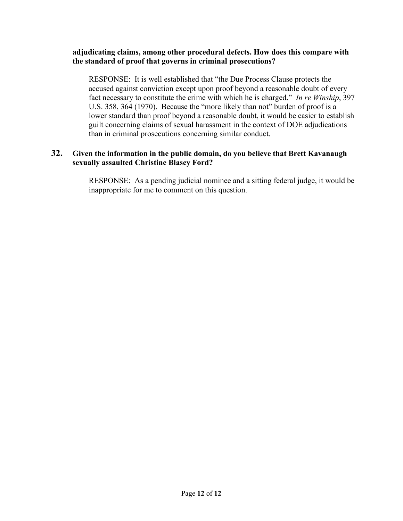#### **adjudicating claims, among other procedural defects. How does this compare with the standard of proof that governs in criminal prosecutions?**

RESPONSE: It is well established that "the Due Process Clause protects the accused against conviction except upon proof beyond a reasonable doubt of every fact necessary to constitute the crime with which he is charged." *In re Winship*, 397 U.S. 358, 364 (1970). Because the "more likely than not" burden of proof is a lower standard than proof beyond a reasonable doubt, it would be easier to establish guilt concerning claims of sexual harassment in the context of DOE adjudications than in criminal prosecutions concerning similar conduct.

#### **32. Given the information in the public domain, do you believe that Brett Kavanaugh sexually assaulted Christine Blasey Ford?**

RESPONSE: As a pending judicial nominee and a sitting federal judge, it would be inappropriate for me to comment on this question.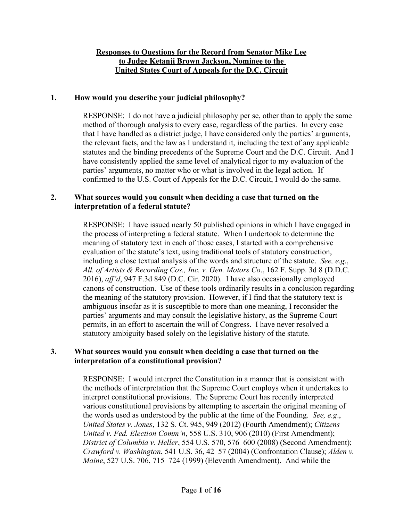## **Responses to Questions for the Record from Senator Mike Lee to Judge Ketanji Brown Jackson, Nominee to the United States Court of Appeals for the D.C. Circuit**

## **1. How would you describe your judicial philosophy?**

RESPONSE: I do not have a judicial philosophy per se, other than to apply the same method of thorough analysis to every case, regardless of the parties. In every case that I have handled as a district judge, I have considered only the parties' arguments, the relevant facts, and the law as I understand it, including the text of any applicable statutes and the binding precedents of the Supreme Court and the D.C. Circuit. And I have consistently applied the same level of analytical rigor to my evaluation of the parties' arguments, no matter who or what is involved in the legal action. If confirmed to the U.S. Court of Appeals for the D.C. Circuit, I would do the same.

## **2. What sources would you consult when deciding a case that turned on the interpretation of a federal statute?**

RESPONSE: I have issued nearly 50 published opinions in which I have engaged in the process of interpreting a federal statute. When I undertook to determine the meaning of statutory text in each of those cases, I started with a comprehensive evaluation of the statute's text, using traditional tools of statutory construction, including a close textual analysis of the words and structure of the statute. *See, e.g*., *All. of Artists & Recording Cos., Inc. v. Gen. Motors Co*., 162 F. Supp. 3d 8 (D.D.C. 2016), *aff'd*, 947 F.3d 849 (D.C. Cir. 2020). I have also occasionally employed canons of construction. Use of these tools ordinarily results in a conclusion regarding the meaning of the statutory provision. However, if I find that the statutory text is ambiguous insofar as it is susceptible to more than one meaning, I reconsider the parties' arguments and may consult the legislative history, as the Supreme Court permits, in an effort to ascertain the will of Congress. I have never resolved a statutory ambiguity based solely on the legislative history of the statute.

## **3. What sources would you consult when deciding a case that turned on the interpretation of a constitutional provision?**

RESPONSE: I would interpret the Constitution in a manner that is consistent with the methods of interpretation that the Supreme Court employs when it undertakes to interpret constitutional provisions. The Supreme Court has recently interpreted various constitutional provisions by attempting to ascertain the original meaning of the words used as understood by the public at the time of the Founding. *See, e.g*., *United States v. Jones*, 132 S. Ct. 945, 949 (2012) (Fourth Amendment); *Citizens United v. Fed. Election Comm'n*, 558 U.S. 310, 906 (2010) (First Amendment); *District of Columbia v. Heller*, 554 U.S. 570, 576–600 (2008) (Second Amendment); *Crawford v. Washington*, 541 U.S. 36, 42–57 (2004) (Confrontation Clause); *Alden v. Maine*, 527 U.S. 706, 715–724 (1999) (Eleventh Amendment). And while the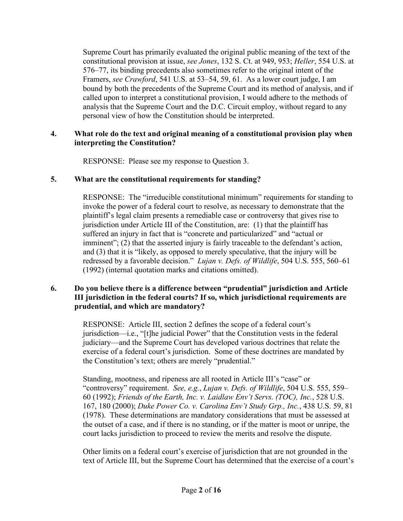Supreme Court has primarily evaluated the original public meaning of the text of the constitutional provision at issue, *see Jones*, 132 S. Ct. at 949, 953; *Heller*, 554 U.S. at 576–77, its binding precedents also sometimes refer to the original intent of the Framers, *see Crawford*, 541 U.S. at 53–54, 59, 61. As a lower court judge, I am bound by both the precedents of the Supreme Court and its method of analysis, and if called upon to interpret a constitutional provision, I would adhere to the methods of analysis that the Supreme Court and the D.C. Circuit employ, without regard to any personal view of how the Constitution should be interpreted.

#### **4. What role do the text and original meaning of a constitutional provision play when interpreting the Constitution?**

RESPONSE: Please see my response to Question 3.

#### **5. What are the constitutional requirements for standing?**

RESPONSE: The "irreducible constitutional minimum" requirements for standing to invoke the power of a federal court to resolve, as necessary to demonstrate that the plaintiff's legal claim presents a remediable case or controversy that gives rise to jurisdiction under Article III of the Constitution, are: (1) that the plaintiff has suffered an injury in fact that is "concrete and particularized" and "actual or imminent"; (2) that the asserted injury is fairly traceable to the defendant's action, and (3) that it is "likely, as opposed to merely speculative, that the injury will be redressed by a favorable decision." *Lujan v. Defs. of Wildlife*, 504 U.S. 555, 560–61 (1992) (internal quotation marks and citations omitted).

#### **6. Do you believe there is a difference between "prudential" jurisdiction and Article III jurisdiction in the federal courts? If so, which jurisdictional requirements are prudential, and which are mandatory?**

RESPONSE: Article III, section 2 defines the scope of a federal court's jurisdiction—i.e., "[t]he judicial Power" that the Constitution vests in the federal judiciary—and the Supreme Court has developed various doctrines that relate the exercise of a federal court's jurisdiction. Some of these doctrines are mandated by the Constitution's text; others are merely "prudential."

Standing, mootness, and ripeness are all rooted in Article III's "case" or "controversy" requirement. *See, e.g.*, *Lujan v. Defs. of Wildlife*, 504 U.S. 555, 559– 60 (1992); *Friends of the Earth, Inc. v. Laidlaw Env't Servs. (TOC), Inc.*, 528 U.S. 167, 180 (2000); *Duke Power Co. v. Carolina Env't Study Grp., Inc.*, 438 U.S. 59, 81 (1978). These determinations are mandatory considerations that must be assessed at the outset of a case, and if there is no standing, or if the matter is moot or unripe, the court lacks jurisdiction to proceed to review the merits and resolve the dispute.

Other limits on a federal court's exercise of jurisdiction that are not grounded in the text of Article III, but the Supreme Court has determined that the exercise of a court's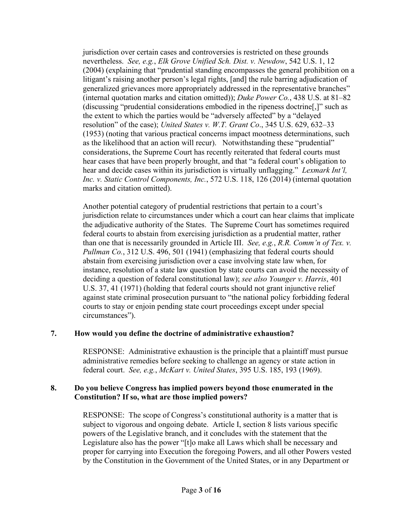jurisdiction over certain cases and controversies is restricted on these grounds nevertheless. *See, e.g.*, *Elk Grove Unified Sch. Dist. v. Newdow*, 542 U.S. 1, 12 (2004) (explaining that "prudential standing encompasses the general prohibition on a litigant's raising another person's legal rights, [and] the rule barring adjudication of generalized grievances more appropriately addressed in the representative branches" (internal quotation marks and citation omitted)); *Duke Power Co.*, 438 U.S. at 81–82 (discussing "prudential considerations embodied in the ripeness doctrine[,]" such as the extent to which the parties would be "adversely affected" by a "delayed resolution" of the case); *United States v. W.T. Grant Co*., 345 U.S. 629, 632–33 (1953) (noting that various practical concerns impact mootness determinations, such as the likelihood that an action will recur). Notwithstanding these "prudential" considerations, the Supreme Court has recently reiterated that federal courts must hear cases that have been properly brought, and that "a federal court's obligation to hear and decide cases within its jurisdiction is virtually unflagging." *Lexmark Int'l, Inc. v. Static Control Components, Inc.*, 572 U.S. 118, 126 (2014) (internal quotation marks and citation omitted).

Another potential category of prudential restrictions that pertain to a court's jurisdiction relate to circumstances under which a court can hear claims that implicate the adjudicative authority of the States. The Supreme Court has sometimes required federal courts to abstain from exercising jurisdiction as a prudential matter, rather than one that is necessarily grounded in Article III. *See, e.g.*, *R.R. Comm'n of Tex. v. Pullman Co.*, 312 U.S. 496, 501 (1941) (emphasizing that federal courts should abstain from exercising jurisdiction over a case involving state law when, for instance, resolution of a state law question by state courts can avoid the necessity of deciding a question of federal constitutional law); *see also Younger v. Harris*, 401 U.S. 37, 41 (1971) (holding that federal courts should not grant injunctive relief against state criminal prosecution pursuant to "the national policy forbidding federal courts to stay or enjoin pending state court proceedings except under special circumstances").

## **7. How would you define the doctrine of administrative exhaustion?**

RESPONSE: Administrative exhaustion is the principle that a plaintiff must pursue administrative remedies before seeking to challenge an agency or state action in federal court. *See, e.g.*, *McKart v. United States*, 395 U.S. 185, 193 (1969).

#### **8. Do you believe Congress has implied powers beyond those enumerated in the Constitution? If so, what are those implied powers?**

RESPONSE: The scope of Congress's constitutional authority is a matter that is subject to vigorous and ongoing debate. Article I, section 8 lists various specific powers of the Legislative branch, and it concludes with the statement that the Legislature also has the power "[t]o make all Laws which shall be necessary and proper for carrying into Execution the foregoing Powers, and all other Powers vested by the Constitution in the Government of the United States, or in any Department or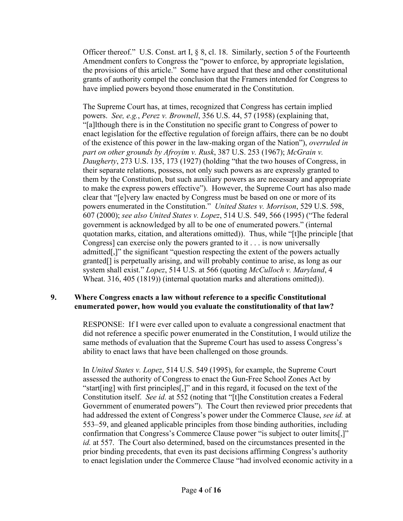Officer thereof." U.S. Const. art I, § 8, cl. 18. Similarly, section 5 of the Fourteenth Amendment confers to Congress the "power to enforce, by appropriate legislation, the provisions of this article." Some have argued that these and other constitutional grants of authority compel the conclusion that the Framers intended for Congress to have implied powers beyond those enumerated in the Constitution.

The Supreme Court has, at times, recognized that Congress has certain implied powers. *See, e.g.*, *Perez v. Brownell*, 356 U.S. 44, 57 (1958) (explaining that, "[a]lthough there is in the Constitution no specific grant to Congress of power to enact legislation for the effective regulation of foreign affairs, there can be no doubt of the existence of this power in the law-making organ of the Nation"), *overruled in part on other grounds by Afroyim v. Rusk*, 387 U.S. 253 (1967); *McGrain v. Daugherty*, 273 U.S. 135, 173 (1927) (holding "that the two houses of Congress, in their separate relations, possess, not only such powers as are expressly granted to them by the Constitution, but such auxiliary powers as are necessary and appropriate to make the express powers effective"). However, the Supreme Court has also made clear that "[e]very law enacted by Congress must be based on one or more of its powers enumerated in the Constitution." *United States v. Morrison*, 529 U.S. 598, 607 (2000); *see also United States v. Lopez*, 514 U.S. 549, 566 (1995) ("The federal government is acknowledged by all to be one of enumerated powers." (internal quotation marks, citation, and alterations omitted)). Thus, while "[t]he principle [that Congress] can exercise only the powers granted to it . . . is now universally admitted[,]" the significant "question respecting the extent of the powers actually granted[] is perpetually arising, and will probably continue to arise, as long as our system shall exist." *Lopez*, 514 U.S. at 566 (quoting *McCulloch v. Maryland*, 4 Wheat. 316, 405 (1819)) (internal quotation marks and alterations omitted)).

#### **9. Where Congress enacts a law without reference to a specific Constitutional enumerated power, how would you evaluate the constitutionality of that law?**

RESPONSE: If I were ever called upon to evaluate a congressional enactment that did not reference a specific power enumerated in the Constitution, I would utilize the same methods of evaluation that the Supreme Court has used to assess Congress's ability to enact laws that have been challenged on those grounds.

In *United States v. Lopez*, 514 U.S. 549 (1995), for example, the Supreme Court assessed the authority of Congress to enact the Gun-Free School Zones Act by "start[ing] with first principles[,]" and in this regard, it focused on the text of the Constitution itself. *See id.* at 552 (noting that "[t]he Constitution creates a Federal Government of enumerated powers"). The Court then reviewed prior precedents that had addressed the extent of Congress's power under the Commerce Clause, *see id.* at 553–59, and gleaned applicable principles from those binding authorities, including confirmation that Congress's Commerce Clause power "is subject to outer limits[,]" *id.* at 557. The Court also determined, based on the circumstances presented in the prior binding precedents, that even its past decisions affirming Congress's authority to enact legislation under the Commerce Clause "had involved economic activity in a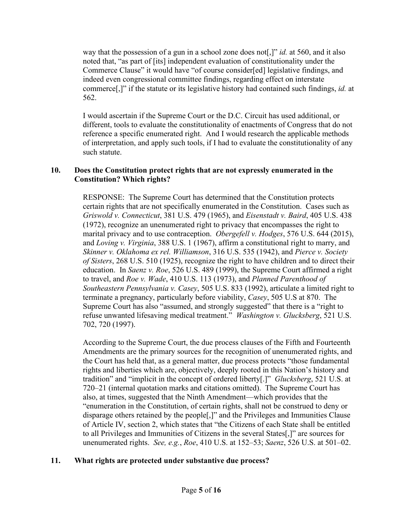way that the possession of a gun in a school zone does not[,]" *id.* at 560, and it also noted that, "as part of [its] independent evaluation of constitutionality under the Commerce Clause" it would have "of course consider[ed] legislative findings, and indeed even congressional committee findings, regarding effect on interstate commerce[,]" if the statute or its legislative history had contained such findings, *id.* at 562.

I would ascertain if the Supreme Court or the D.C. Circuit has used additional, or different, tools to evaluate the constitutionality of enactments of Congress that do not reference a specific enumerated right. And I would research the applicable methods of interpretation, and apply such tools, if I had to evaluate the constitutionality of any such statute.

## **10. Does the Constitution protect rights that are not expressly enumerated in the Constitution? Which rights?**

RESPONSE: The Supreme Court has determined that the Constitution protects certain rights that are not specifically enumerated in the Constitution. Cases such as *Griswold v. Connecticut*, 381 U.S. 479 (1965), and *Eisenstadt v. Baird*, 405 U.S. 438 (1972), recognize an unenumerated right to privacy that encompasses the right to marital privacy and to use contraception. *Obergefell v. Hodges*, 576 U.S. 644 (2015), and *Loving v. Virginia*, 388 U.S. 1 (1967), affirm a constitutional right to marry, and *Skinner v. Oklahoma ex rel. Williamson*, 316 U.S. 535 (1942), and *Pierce v. Society of Sisters*, 268 U.S. 510 (1925), recognize the right to have children and to direct their education. In *Saenz v. Roe*, 526 U.S. 489 (1999), the Supreme Court affirmed a right to travel, and *Roe v. Wade*, 410 U.S. 113 (1973), and *Planned Parenthood of Southeastern Pennsylvania v. Casey*, 505 U.S. 833 (1992), articulate a limited right to terminate a pregnancy, particularly before viability, *Casey*, 505 U.S at 870. The Supreme Court has also "assumed, and strongly suggested" that there is a "right to refuse unwanted lifesaving medical treatment." *Washington v. Glucksberg*, 521 U.S. 702, 720 (1997).

According to the Supreme Court, the due process clauses of the Fifth and Fourteenth Amendments are the primary sources for the recognition of unenumerated rights, and the Court has held that, as a general matter, due process protects "those fundamental rights and liberties which are, objectively, deeply rooted in this Nation's history and tradition" and "implicit in the concept of ordered liberty[.]" *Glucksberg*, 521 U.S. at 720–21 (internal quotation marks and citations omitted). The Supreme Court has also, at times, suggested that the Ninth Amendment—which provides that the "enumeration in the Constitution, of certain rights, shall not be construed to deny or disparage others retained by the people[,]" and the Privileges and Immunities Clause of Article IV, section 2, which states that "the Citizens of each State shall be entitled to all Privileges and Immunities of Citizens in the several States[,]" are sources for unenumerated rights. *See, e.g.*, *Roe*, 410 U.S. at 152–53; *Saenz*, 526 U.S. at 501–02.

## **11. What rights are protected under substantive due process?**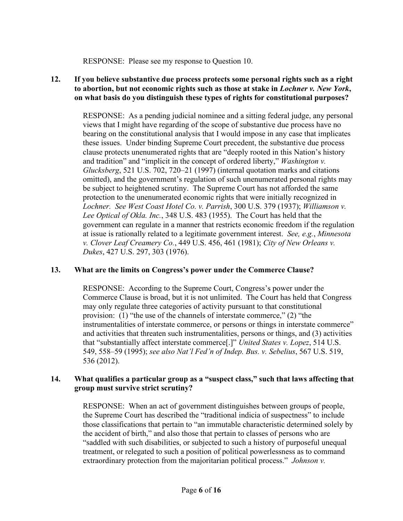RESPONSE: Please see my response to Question 10.

**12. If you believe substantive due process protects some personal rights such as a right to abortion, but not economic rights such as those at stake in** *Lochner v. New York***, on what basis do you distinguish these types of rights for constitutional purposes?**

> RESPONSE: As a pending judicial nominee and a sitting federal judge, any personal views that I might have regarding of the scope of substantive due process have no bearing on the constitutional analysis that I would impose in any case that implicates these issues. Under binding Supreme Court precedent, the substantive due process clause protects unenumerated rights that are "deeply rooted in this Nation's history and tradition" and "implicit in the concept of ordered liberty," *Washington v. Glucksberg*, 521 U.S. 702, 720–21 (1997) (internal quotation marks and citations omitted), and the government's regulation of such unenumerated personal rights may be subject to heightened scrutiny. The Supreme Court has not afforded the same protection to the unenumerated economic rights that were initially recognized in *Lochner. See West Coast Hotel Co. v. Parrish*, 300 U.S. 379 (1937); *Williamson v. Lee Optical of Okla. Inc.*, 348 U.S. 483 (1955). The Court has held that the government can regulate in a manner that restricts economic freedom if the regulation at issue is rationally related to a legitimate government interest. *See, e.g.*, *Minnesota v. Clover Leaf Creamery Co.*, 449 U.S. 456, 461 (1981); *City of New Orleans v. Dukes*, 427 U.S. 297, 303 (1976).

## **13. What are the limits on Congress's power under the Commerce Clause?**

RESPONSE: According to the Supreme Court, Congress's power under the Commerce Clause is broad, but it is not unlimited. The Court has held that Congress may only regulate three categories of activity pursuant to that constitutional provision: (1) "the use of the channels of interstate commerce," (2) "the instrumentalities of interstate commerce, or persons or things in interstate commerce" and activities that threaten such instrumentalities, persons or things, and (3) activities that "substantially affect interstate commerce[.]" *United States v. Lopez*, 514 U.S. 549, 558–59 (1995); *see also Nat'l Fed'n of Indep. Bus. v. Sebelius*, 567 U.S. 519, 536 (2012).

## **14. What qualifies a particular group as a "suspect class," such that laws affecting that group must survive strict scrutiny?**

RESPONSE: When an act of government distinguishes between groups of people, the Supreme Court has described the "traditional indicia of suspectness" to include those classifications that pertain to "an immutable characteristic determined solely by the accident of birth," and also those that pertain to classes of persons who are "saddled with such disabilities, or subjected to such a history of purposeful unequal treatment, or relegated to such a position of political powerlessness as to command extraordinary protection from the majoritarian political process." *Johnson v.*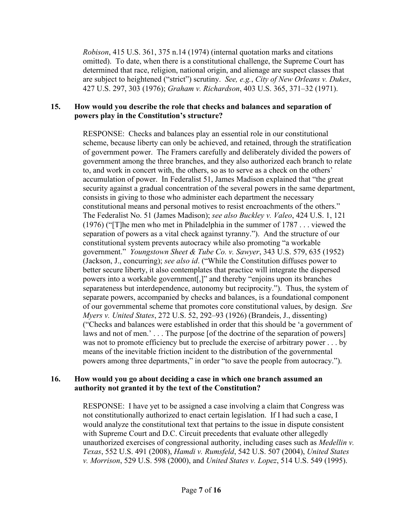*Robison*, 415 U.S. 361, 375 n.14 (1974) (internal quotation marks and citations omitted). To date, when there is a constitutional challenge, the Supreme Court has determined that race, religion, national origin, and alienage are suspect classes that are subject to heightened ("strict") scrutiny. *See, e.g.*, *City of New Orleans v. Dukes*, 427 U.S. 297, 303 (1976); *Graham v. Richardson*, 403 U.S. 365, 371–32 (1971).

#### **15. How would you describe the role that checks and balances and separation of powers play in the Constitution's structure?**

RESPONSE: Checks and balances play an essential role in our constitutional scheme, because liberty can only be achieved, and retained, through the stratification of government power. The Framers carefully and deliberately divided the powers of government among the three branches, and they also authorized each branch to relate to, and work in concert with, the others, so as to serve as a check on the others' accumulation of power. In Federalist 51, James Madison explained that "the great security against a gradual concentration of the several powers in the same department, consists in giving to those who administer each department the necessary constitutional means and personal motives to resist encroachments of the others." The Federalist No. 51 (James Madison); *see also Buckley v. Valeo*, 424 U.S. 1, 121 (1976) ("[T]he men who met in Philadelphia in the summer of 1787 . . . viewed the separation of powers as a vital check against tyranny."). And the structure of our constitutional system prevents autocracy while also promoting "a workable government." *Youngstown Sheet & Tube Co. v. Sawyer*, 343 U.S. 579, 635 (1952) (Jackson, J., concurring); *see also id*. ("While the Constitution diffuses power to better secure liberty, it also contemplates that practice will integrate the dispersed powers into a workable government[,]" and thereby "enjoins upon its branches separateness but interdependence, autonomy but reciprocity."). Thus, the system of separate powers, accompanied by checks and balances, is a foundational component of our governmental scheme that promotes core constitutional values, by design. *See Myers v. United States*, 272 U.S. 52, 292–93 (1926) (Brandeis, J., dissenting) ("Checks and balances were established in order that this should be 'a government of laws and not of men.'... The purpose [of the doctrine of the separation of powers] was not to promote efficiency but to preclude the exercise of arbitrary power . . . by means of the inevitable friction incident to the distribution of the governmental powers among three departments," in order "to save the people from autocracy.").

#### **16. How would you go about deciding a case in which one branch assumed an authority not granted it by the text of the Constitution?**

RESPONSE: I have yet to be assigned a case involving a claim that Congress was not constitutionally authorized to enact certain legislation. If I had such a case, I would analyze the constitutional text that pertains to the issue in dispute consistent with Supreme Court and D.C. Circuit precedents that evaluate other allegedly unauthorized exercises of congressional authority, including cases such as *Medellin v. Texas*, 552 U.S. 491 (2008), *Hamdi v. Rumsfeld*, 542 U.S. 507 (2004), *United States v. Morrison*, 529 U.S. 598 (2000), and *United States v. Lopez*, 514 U.S. 549 (1995).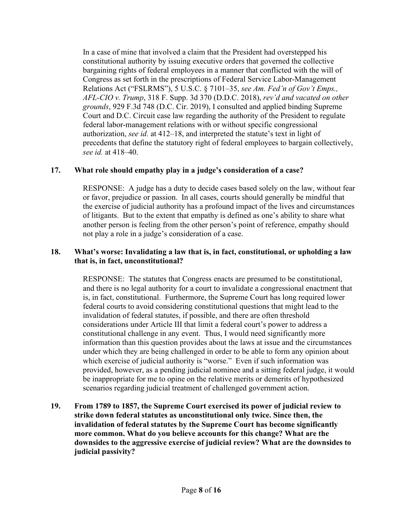In a case of mine that involved a claim that the President had overstepped his constitutional authority by issuing executive orders that governed the collective bargaining rights of federal employees in a manner that conflicted with the will of Congress as set forth in the prescriptions of Federal Service Labor-Management Relations Act ("FSLRMS"), 5 U.S.C. § 7101–35, *see Am. Fed'n of Gov't Emps., AFL-CIO v. Trump*, 318 F. Supp. 3d 370 (D.D.C. 2018), *rev'd and vacated on other grounds*, 929 F.3d 748 (D.C. Cir. 2019), I consulted and applied binding Supreme Court and D.C. Circuit case law regarding the authority of the President to regulate federal labor-management relations with or without specific congressional authorization, *see id.* at 412–18, and interpreted the statute's text in light of precedents that define the statutory right of federal employees to bargain collectively, *see id.* at 418–40.

# **17. What role should empathy play in a judge's consideration of a case?**

RESPONSE: A judge has a duty to decide cases based solely on the law, without fear or favor, prejudice or passion. In all cases, courts should generally be mindful that the exercise of judicial authority has a profound impact of the lives and circumstances of litigants. But to the extent that empathy is defined as one's ability to share what another person is feeling from the other person's point of reference, empathy should not play a role in a judge's consideration of a case.

## **18. What's worse: Invalidating a law that is, in fact, constitutional, or upholding a law that is, in fact, unconstitutional?**

RESPONSE: The statutes that Congress enacts are presumed to be constitutional, and there is no legal authority for a court to invalidate a congressional enactment that is, in fact, constitutional. Furthermore, the Supreme Court has long required lower federal courts to avoid considering constitutional questions that might lead to the invalidation of federal statutes, if possible, and there are often threshold considerations under Article III that limit a federal court's power to address a constitutional challenge in any event. Thus, I would need significantly more information than this question provides about the laws at issue and the circumstances under which they are being challenged in order to be able to form any opinion about which exercise of judicial authority is "worse." Even if such information was provided, however, as a pending judicial nominee and a sitting federal judge, it would be inappropriate for me to opine on the relative merits or demerits of hypothesized scenarios regarding judicial treatment of challenged government action.

**19. From 1789 to 1857, the Supreme Court exercised its power of judicial review to strike down federal statutes as unconstitutional only twice. Since then, the invalidation of federal statutes by the Supreme Court has become significantly more common. What do you believe accounts for this change? What are the downsides to the aggressive exercise of judicial review? What are the downsides to judicial passivity?**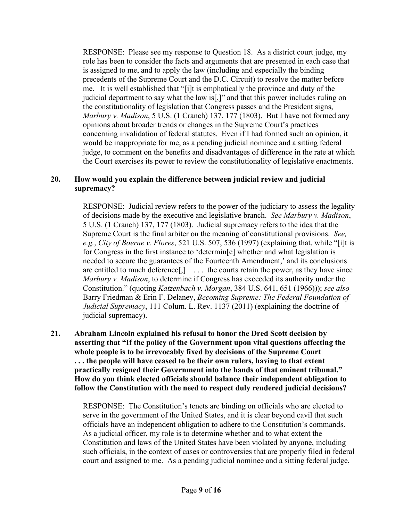RESPONSE: Please see my response to Question 18. As a district court judge, my role has been to consider the facts and arguments that are presented in each case that is assigned to me, and to apply the law (including and especially the binding precedents of the Supreme Court and the D.C. Circuit) to resolve the matter before me. It is well established that "[i]t is emphatically the province and duty of the judicial department to say what the law is[,]" and that this power includes ruling on the constitutionality of legislation that Congress passes and the President signs, *Marbury v. Madison*, 5 U.S. (1 Cranch) 137, 177 (1803). But I have not formed any opinions about broader trends or changes in the Supreme Court's practices concerning invalidation of federal statutes. Even if I had formed such an opinion, it would be inappropriate for me, as a pending judicial nominee and a sitting federal judge, to comment on the benefits and disadvantages of difference in the rate at which the Court exercises its power to review the constitutionality of legislative enactments.

## **20. How would you explain the difference between judicial review and judicial supremacy?**

RESPONSE: Judicial review refers to the power of the judiciary to assess the legality of decisions made by the executive and legislative branch. *See Marbury v. Madison*, 5 U.S. (1 Cranch) 137, 177 (1803). Judicial supremacy refers to the idea that the Supreme Court is the final arbiter on the meaning of constitutional provisions. *See, e.g.*, *City of Boerne v. Flores*, 521 U.S. 507, 536 (1997) (explaining that, while "[i]t is for Congress in the first instance to 'determin[e] whether and what legislation is needed to secure the guarantees of the Fourteenth Amendment,' and its conclusions are entitled to much deference<sup>[1]</sup>  $\ldots$  the courts retain the power, as they have since *Marbury v. Madison*, to determine if Congress has exceeded its authority under the Constitution." (quoting *Katzenbach v. Morgan*, 384 U.S. 641, 651 (1966))); *see also* Barry Friedman & Erin F. Delaney, *Becoming Supreme: The Federal Foundation of Judicial Supremacy*, 111 Colum. L. Rev. 1137 (2011) (explaining the doctrine of judicial supremacy).

**21. Abraham Lincoln explained his refusal to honor the Dred Scott decision by asserting that "If the policy of the Government upon vital questions affecting the whole people is to be irrevocably fixed by decisions of the Supreme Court . . . the people will have ceased to be their own rulers, having to that extent practically resigned their Government into the hands of that eminent tribunal." How do you think elected officials should balance their independent obligation to follow the Constitution with the need to respect duly rendered judicial decisions?**

> RESPONSE: The Constitution's tenets are binding on officials who are elected to serve in the government of the United States, and it is clear beyond cavil that such officials have an independent obligation to adhere to the Constitution's commands. As a judicial officer, my role is to determine whether and to what extent the Constitution and laws of the United States have been violated by anyone, including such officials, in the context of cases or controversies that are properly filed in federal court and assigned to me. As a pending judicial nominee and a sitting federal judge,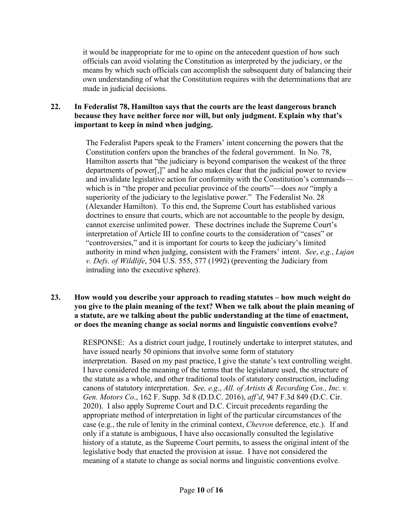it would be inappropriate for me to opine on the antecedent question of how such officials can avoid violating the Constitution as interpreted by the judiciary, or the means by which such officials can accomplish the subsequent duty of balancing their own understanding of what the Constitution requires with the determinations that are made in judicial decisions.

## **22. In Federalist 78, Hamilton says that the courts are the least dangerous branch because they have neither force nor will, but only judgment. Explain why that's important to keep in mind when judging.**

The Federalist Papers speak to the Framers' intent concerning the powers that the Constitution confers upon the branches of the federal government. In No. 78, Hamilton asserts that "the judiciary is beyond comparison the weakest of the three departments of power[,]" and he also makes clear that the judicial power to review and invalidate legislative action for conformity with the Constitution's commands which is in "the proper and peculiar province of the courts"—does *not* "imply a superiority of the judiciary to the legislative power." The Federalist No. 28 (Alexander Hamilton). To this end, the Supreme Court has established various doctrines to ensure that courts, which are not accountable to the people by design, cannot exercise unlimited power. These doctrines include the Supreme Court's interpretation of Article III to confine courts to the consideration of "cases" or "controversies," and it is important for courts to keep the judiciary's limited authority in mind when judging, consistent with the Framers' intent. *See*, *e.g.*, *Lujan v. Defs. of Wildlife*, 504 U.S. 555, 577 (1992) (preventing the Judiciary from intruding into the executive sphere).

#### **23. How would you describe your approach to reading statutes – how much weight do you give to the plain meaning of the text? When we talk about the plain meaning of a statute, are we talking about the public understanding at the time of enactment, or does the meaning change as social norms and linguistic conventions evolve?**

RESPONSE: As a district court judge, I routinely undertake to interpret statutes, and have issued nearly 50 opinions that involve some form of statutory interpretation. Based on my past practice, I give the statute's text controlling weight. I have considered the meaning of the terms that the legislature used, the structure of the statute as a whole, and other traditional tools of statutory construction, including canons of statutory interpretation. *See, e.g*., *All. of Artists & Recording Cos., Inc. v. Gen. Motors Co*., 162 F. Supp. 3d 8 (D.D.C. 2016), *aff'd*, 947 F.3d 849 (D.C. Cir. 2020). I also apply Supreme Court and D.C. Circuit precedents regarding the appropriate method of interpretation in light of the particular circumstances of the case (e.g., the rule of lenity in the criminal context, *Chevron* deference, etc.). If and only if a statute is ambiguous, I have also occasionally consulted the legislative history of a statute, as the Supreme Court permits, to assess the original intent of the legislative body that enacted the provision at issue. I have not considered the meaning of a statute to change as social norms and linguistic conventions evolve.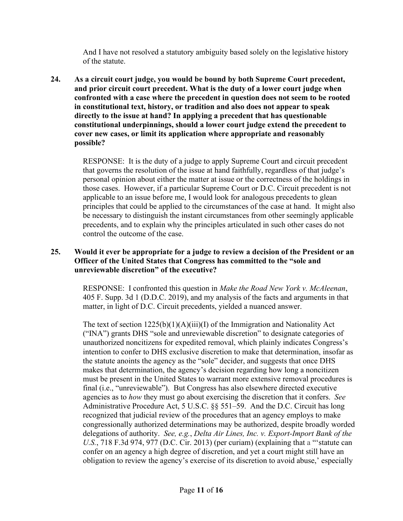And I have not resolved a statutory ambiguity based solely on the legislative history of the statute.

**24. As a circuit court judge, you would be bound by both Supreme Court precedent, and prior circuit court precedent. What is the duty of a lower court judge when confronted with a case where the precedent in question does not seem to be rooted in constitutional text, history, or tradition and also does not appear to speak directly to the issue at hand? In applying a precedent that has questionable constitutional underpinnings, should a lower court judge extend the precedent to cover new cases, or limit its application where appropriate and reasonably possible?**

> RESPONSE: It is the duty of a judge to apply Supreme Court and circuit precedent that governs the resolution of the issue at hand faithfully, regardless of that judge's personal opinion about either the matter at issue or the correctness of the holdings in those cases. However, if a particular Supreme Court or D.C. Circuit precedent is not applicable to an issue before me, I would look for analogous precedents to glean principles that could be applied to the circumstances of the case at hand. It might also be necessary to distinguish the instant circumstances from other seemingly applicable precedents, and to explain why the principles articulated in such other cases do not control the outcome of the case.

## **25. Would it ever be appropriate for a judge to review a decision of the President or an Officer of the United States that Congress has committed to the "sole and unreviewable discretion" of the executive?**

RESPONSE: I confronted this question in *Make the Road New York v. McAleenan*, 405 F. Supp. 3d 1 (D.D.C. 2019), and my analysis of the facts and arguments in that matter, in light of D.C. Circuit precedents, yielded a nuanced answer.

The text of section  $1225(b)(1)(A)(iii)(I)$  of the Immigration and Nationality Act ("INA") grants DHS "sole and unreviewable discretion" to designate categories of unauthorized noncitizens for expedited removal, which plainly indicates Congress's intention to confer to DHS exclusive discretion to make that determination, insofar as the statute anoints the agency as the "sole" decider, and suggests that once DHS makes that determination, the agency's decision regarding how long a noncitizen must be present in the United States to warrant more extensive removal procedures is final (i.e., "unreviewable"). But Congress has also elsewhere directed executive agencies as to *how* they must go about exercising the discretion that it confers. *See* Administrative Procedure Act, 5 U.S.C. §§ 551–59. And the D.C. Circuit has long recognized that judicial review of the procedures that an agency employs to make congressionally authorized determinations may be authorized, despite broadly worded delegations of authority. *See, e.g.*, *Delta Air Lines, Inc. v. Export-Import Bank of the U.S.*, 718 F.3d 974, 977 (D.C. Cir. 2013) (per curiam) (explaining that a "'statute can confer on an agency a high degree of discretion, and yet a court might still have an obligation to review the agency's exercise of its discretion to avoid abuse,' especially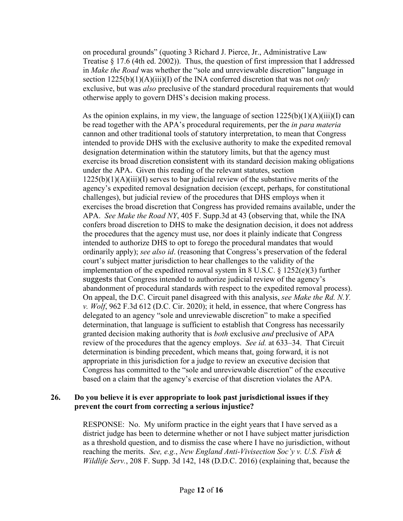on procedural grounds" (quoting 3 Richard J. Pierce, Jr., Administrative Law Treatise § 17.6 (4th ed. 2002)). Thus, the question of first impression that I addressed in *Make the Road* was whether the "sole and unreviewable discretion" language in section 1225(b)(1)(A)(iii)(I) of the INA conferred discretion that was not *only* exclusive, but was *also* preclusive of the standard procedural requirements that would otherwise apply to govern DHS's decision making process.

As the opinion explains, in my view, the language of section  $1225(b)(1)(A)(iii)(I)$  can be read together with the APA's procedural requirements, per the *in para materia* cannon and other traditional tools of statutory interpretation, to mean that Congress intended to provide DHS with the exclusive authority to make the expedited removal designation determination within the statutory limits, but that the agency must exercise its broad discretion consistent with its standard decision making obligations under the APA. Given this reading of the relevant statutes, section  $1225(b)(1)(A)(iii)(I)$  serves to bar judicial review of the substantive merits of the agency's expedited removal designation decision (except, perhaps, for constitutional challenges), but judicial review of the procedures that DHS employs when it exercises the broad discretion that Congress has provided remains available, under the APA. *See Make the Road NY*, 405 F. Supp.3d at 43 (observing that, while the INA confers broad discretion to DHS to make the designation decision, it does not address the procedures that the agency must use, nor does it plainly indicate that Congress intended to authorize DHS to opt to forego the procedural mandates that would ordinarily apply); *see also id*. (reasoning that Congress's preservation of the federal court's subject matter jurisdiction to hear challenges to the validity of the implementation of the expedited removal system in 8 U.S.C.  $\S$  1252(e)(3) further suggests that Congress intended to authorize judicial review of the agency's abandonment of procedural standards with respect to the expedited removal process). On appeal, the D.C. Circuit panel disagreed with this analysis, *see Make the Rd. N.Y. v. Wolf*, 962 F.3d 612 (D.C. Cir. 2020); it held, in essence, that where Congress has delegated to an agency "sole and unreviewable discretion" to make a specified determination, that language is sufficient to establish that Congress has necessarily granted decision making authority that is *both* exclusive *and* preclusive of APA review of the procedures that the agency employs. *See id.* at 633–34. That Circuit determination is binding precedent, which means that, going forward, it is not appropriate in this jurisdiction for a judge to review an executive decision that Congress has committed to the "sole and unreviewable discretion" of the executive based on a claim that the agency's exercise of that discretion violates the APA.

## **26. Do you believe it is ever appropriate to look past jurisdictional issues if they prevent the court from correcting a serious injustice?**

RESPONSE: No. My uniform practice in the eight years that I have served as a district judge has been to determine whether or not I have subject matter jurisdiction as a threshold question, and to dismiss the case where I have no jurisdiction, without reaching the merits. *See, e.g.*, *New England Anti-Vivisection Soc'y v. U.S. Fish & Wildlife Serv.*, 208 F. Supp. 3d 142, 148 (D.D.C. 2016) (explaining that, because the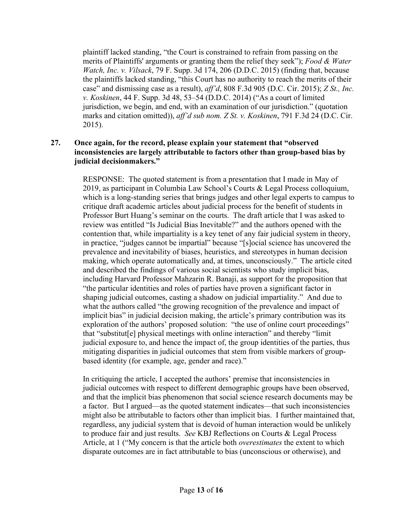plaintiff lacked standing, "the Court is constrained to refrain from passing on the merits of Plaintiffs' arguments or granting them the relief they seek"); *Food & Water Watch, Inc. v. Vilsack*, 79 F. Supp. 3d 174, 206 (D.D.C. 2015) (finding that, because the plaintiffs lacked standing, "this Court has no authority to reach the merits of their case" and dismissing case as a result), *aff'd*, 808 F.3d 905 (D.C. Cir. 2015); *Z St., Inc. v. Koskinen*, 44 F. Supp. 3d 48, 53–54 (D.D.C. 2014) ("As a court of limited jurisdiction, we begin, and end, with an examination of our jurisdiction." (quotation marks and citation omitted)), *aff'd sub nom. Z St. v. Koskinen*, 791 F.3d 24 (D.C. Cir. 2015).

## **27. Once again, for the record, please explain your statement that "observed inconsistencies are largely attributable to factors other than group-based bias by judicial decisionmakers."**

RESPONSE: The quoted statement is from a presentation that I made in May of 2019, as participant in Columbia Law School's Courts & Legal Process colloquium, which is a long-standing series that brings judges and other legal experts to campus to critique draft academic articles about judicial process for the benefit of students in Professor Burt Huang's seminar on the courts. The draft article that I was asked to review was entitled "Is Judicial Bias Inevitable?" and the authors opened with the contention that, while impartiality is a key tenet of any fair judicial system in theory, in practice, "judges cannot be impartial" because "[s]ocial science has uncovered the prevalence and inevitability of biases, heuristics, and stereotypes in human decision making, which operate automatically and, at times, unconsciously." The article cited and described the findings of various social scientists who study implicit bias, including Harvard Professor Mahzarin R. Banaji, as support for the proposition that "the particular identities and roles of parties have proven a significant factor in shaping judicial outcomes, casting a shadow on judicial impartiality." And due to what the authors called "the growing recognition of the prevalence and impact of implicit bias" in judicial decision making, the article's primary contribution was its exploration of the authors' proposed solution: "the use of online court proceedings" that "substitut[e] physical meetings with online interaction" and thereby "limit judicial exposure to, and hence the impact of, the group identities of the parties, thus mitigating disparities in judicial outcomes that stem from visible markers of groupbased identity (for example, age, gender and race)."

In critiquing the article, I accepted the authors' premise that inconsistencies in judicial outcomes with respect to different demographic groups have been observed, and that the implicit bias phenomenon that social science research documents may be a factor. But I argued—as the quoted statement indicates—that such inconsistencies might also be attributable to factors other than implicit bias. I further maintained that, regardless, any judicial system that is devoid of human interaction would be unlikely to produce fair and just results. *See* KBJ Reflections on Courts & Legal Process Article, at 1 ("My concern is that the article both *overestimates* the extent to which disparate outcomes are in fact attributable to bias (unconscious or otherwise), and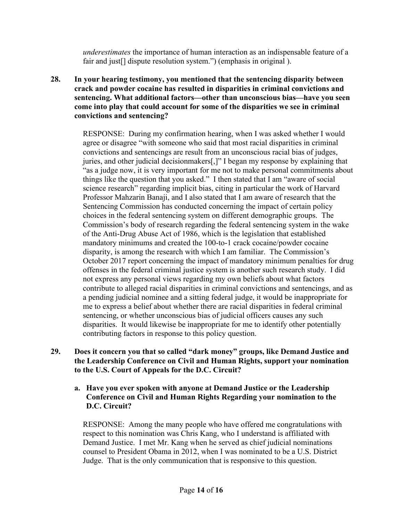*underestimates* the importance of human interaction as an indispensable feature of a fair and just<sup>[]</sup> dispute resolution system.") (emphasis in original).

**28. In your hearing testimony, you mentioned that the sentencing disparity between crack and powder cocaine has resulted in disparities in criminal convictions and sentencing. What additional factors—other than unconscious bias—have you seen come into play that could account for some of the disparities we see in criminal convictions and sentencing?**

> RESPONSE: During my confirmation hearing, when I was asked whether I would agree or disagree "with someone who said that most racial disparities in criminal convictions and sentencings are result from an unconscious racial bias of judges, juries, and other judicial decisionmakers[,]" I began my response by explaining that "as a judge now, it is very important for me not to make personal commitments about things like the question that you asked." I then stated that I am "aware of social science research" regarding implicit bias, citing in particular the work of Harvard Professor Mahzarin Banaji, and I also stated that I am aware of research that the Sentencing Commission has conducted concerning the impact of certain policy choices in the federal sentencing system on different demographic groups. The Commission's body of research regarding the federal sentencing system in the wake of the Anti-Drug Abuse Act of 1986, which is the legislation that established mandatory minimums and created the 100-to-1 crack cocaine/powder cocaine disparity, is among the research with which I am familiar. The Commission's October 2017 report concerning the impact of mandatory minimum penalties for drug offenses in the federal criminal justice system is another such research study. I did not express any personal views regarding my own beliefs about what factors contribute to alleged racial disparities in criminal convictions and sentencings, and as a pending judicial nominee and a sitting federal judge, it would be inappropriate for me to express a belief about whether there are racial disparities in federal criminal sentencing, or whether unconscious bias of judicial officers causes any such disparities. It would likewise be inappropriate for me to identify other potentially contributing factors in response to this policy question.

# **29. Does it concern you that so called "dark money" groups, like Demand Justice and the Leadership Conference on Civil and Human Rights, support your nomination to the U.S. Court of Appeals for the D.C. Circuit?**

#### **a. Have you ever spoken with anyone at Demand Justice or the Leadership Conference on Civil and Human Rights Regarding your nomination to the D.C. Circuit?**

RESPONSE: Among the many people who have offered me congratulations with respect to this nomination was Chris Kang, who I understand is affiliated with Demand Justice. I met Mr. Kang when he served as chief judicial nominations counsel to President Obama in 2012, when I was nominated to be a U.S. District Judge. That is the only communication that is responsive to this question.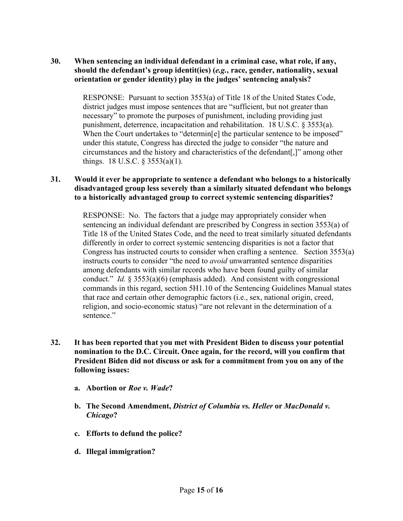## **30. When sentencing an individual defendant in a criminal case, what role, if any, should the defendant's group identit(ies) (***e.g.***, race, gender, nationality, sexual orientation or gender identity) play in the judges' sentencing analysis?**

RESPONSE: Pursuant to section 3553(a) of Title 18 of the United States Code, district judges must impose sentences that are "sufficient, but not greater than necessary" to promote the purposes of punishment, including providing just punishment, deterrence, incapacitation and rehabilitation. 18 U.S.C. § 3553(a). When the Court undertakes to "determin<sup>[e]</sup> the particular sentence to be imposed" under this statute, Congress has directed the judge to consider "the nature and circumstances and the history and characteristics of the defendant[,]" among other things. 18 U.S.C.  $\S 3553(a)(1)$ .

#### **31. Would it ever be appropriate to sentence a defendant who belongs to a historically disadvantaged group less severely than a similarly situated defendant who belongs to a historically advantaged group to correct systemic sentencing disparities?**

RESPONSE: No. The factors that a judge may appropriately consider when sentencing an individual defendant are prescribed by Congress in section 3553(a) of Title 18 of the United States Code, and the need to treat similarly situated defendants differently in order to correct systemic sentencing disparities is not a factor that Congress has instructed courts to consider when crafting a sentence. Section 3553(a) instructs courts to consider "the need to *avoid* unwarranted sentence disparities among defendants with similar records who have been found guilty of similar conduct." *Id.* § 3553(a)(6) (emphasis added). And consistent with congressional commands in this regard, section 5H1.10 of the Sentencing Guidelines Manual states that race and certain other demographic factors (i.e., sex, national origin, creed, religion, and socio-economic status) "are not relevant in the determination of a sentence."

- **32. It has been reported that you met with President Biden to discuss your potential nomination to the D.C. Circuit. Once again, for the record, will you confirm that President Biden did not discuss or ask for a commitment from you on any of the following issues:**
	- **a. Abortion or** *Roe v. Wade***?**
	- **b. The Second Amendment,** *District of Columbia vs. Heller* **or** *MacDonald v. Chicago***?**
	- **c. Efforts to defund the police?**
	- **d. Illegal immigration?**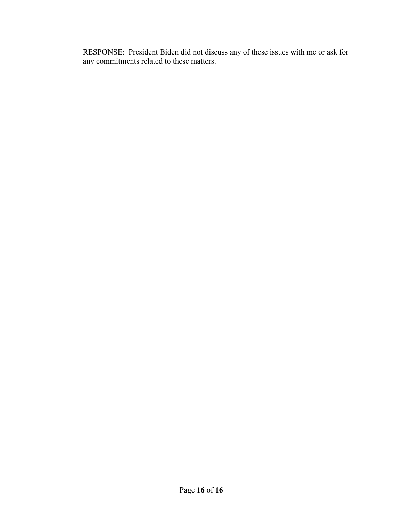RESPONSE: President Biden did not discuss any of these issues with me or ask for any commitments related to these matters.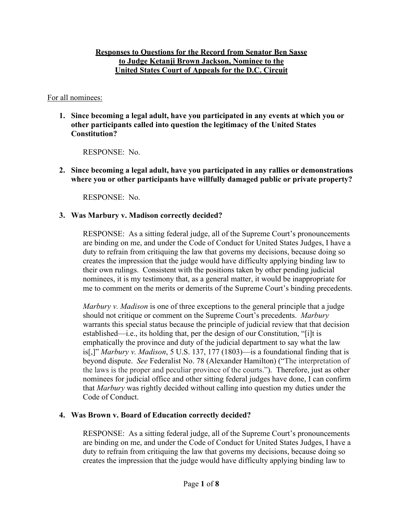# **Responses to Questions for the Record from Senator Ben Sasse to Judge Ketanji Brown Jackson, Nominee to the United States Court of Appeals for the D.C. Circuit**

#### For all nominees:

**1. Since becoming a legal adult, have you participated in any events at which you or other participants called into question the legitimacy of the United States Constitution?**

RESPONSE: No.

**2. Since becoming a legal adult, have you participated in any rallies or demonstrations where you or other participants have willfully damaged public or private property?**

RESPONSE: No.

# **3. Was Marbury v. Madison correctly decided?**

RESPONSE: As a sitting federal judge, all of the Supreme Court's pronouncements are binding on me, and under the Code of Conduct for United States Judges, I have a duty to refrain from critiquing the law that governs my decisions, because doing so creates the impression that the judge would have difficulty applying binding law to their own rulings. Consistent with the positions taken by other pending judicial nominees, it is my testimony that, as a general matter, it would be inappropriate for me to comment on the merits or demerits of the Supreme Court's binding precedents.

*Marbury v. Madison* is one of three exceptions to the general principle that a judge should not critique or comment on the Supreme Court's precedents. *Marbury* warrants this special status because the principle of judicial review that that decision established—i.e., its holding that, per the design of our Constitution, "[i]t is emphatically the province and duty of the judicial department to say what the law is[,]" *Marbury v. Madison*, 5 U.S. 137, 177 (1803)—is a foundational finding that is beyond dispute. *See* Federalist No. 78 (Alexander Hamilton) ("The interpretation of the laws is the proper and peculiar province of the courts."). Therefore, just as other nominees for judicial office and other sitting federal judges have done, I can confirm that *Marbury* was rightly decided without calling into question my duties under the Code of Conduct.

## **4. Was Brown v. Board of Education correctly decided?**

RESPONSE: As a sitting federal judge, all of the Supreme Court's pronouncements are binding on me, and under the Code of Conduct for United States Judges, I have a duty to refrain from critiquing the law that governs my decisions, because doing so creates the impression that the judge would have difficulty applying binding law to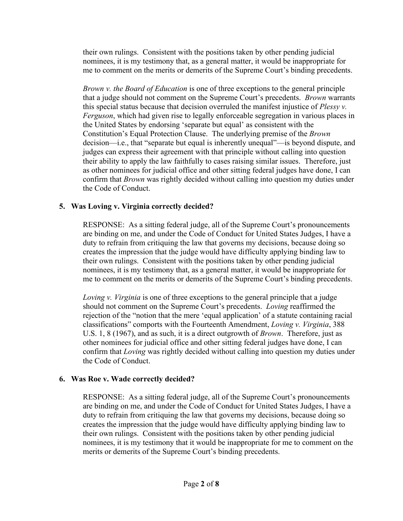their own rulings. Consistent with the positions taken by other pending judicial nominees, it is my testimony that, as a general matter, it would be inappropriate for me to comment on the merits or demerits of the Supreme Court's binding precedents.

*Brown v. the Board of Education* is one of three exceptions to the general principle that a judge should not comment on the Supreme Court's precedents. *Brown* warrants this special status because that decision overruled the manifest injustice of *Plessy v. Ferguson*, which had given rise to legally enforceable segregation in various places in the United States by endorsing 'separate but equal' as consistent with the Constitution's Equal Protection Clause. The underlying premise of the *Brown* decision—i.e., that "separate but equal is inherently unequal"—is beyond dispute, and judges can express their agreement with that principle without calling into question their ability to apply the law faithfully to cases raising similar issues. Therefore, just as other nominees for judicial office and other sitting federal judges have done, I can confirm that *Brown* was rightly decided without calling into question my duties under the Code of Conduct.

# **5. Was Loving v. Virginia correctly decided?**

RESPONSE: As a sitting federal judge, all of the Supreme Court's pronouncements are binding on me, and under the Code of Conduct for United States Judges, I have a duty to refrain from critiquing the law that governs my decisions, because doing so creates the impression that the judge would have difficulty applying binding law to their own rulings. Consistent with the positions taken by other pending judicial nominees, it is my testimony that, as a general matter, it would be inappropriate for me to comment on the merits or demerits of the Supreme Court's binding precedents.

*Loving v. Virginia* is one of three exceptions to the general principle that a judge should not comment on the Supreme Court's precedents. *Loving* reaffirmed the rejection of the "notion that the mere 'equal application' of a statute containing racial classifications" comports with the Fourteenth Amendment, *Loving v. Virginia*, 388 U.S. 1, 8 (1967), and as such, it is a direct outgrowth of *Brown*. Therefore, just as other nominees for judicial office and other sitting federal judges have done, I can confirm that *Loving* was rightly decided without calling into question my duties under the Code of Conduct.

## **6. Was Roe v. Wade correctly decided?**

RESPONSE: As a sitting federal judge, all of the Supreme Court's pronouncements are binding on me, and under the Code of Conduct for United States Judges, I have a duty to refrain from critiquing the law that governs my decisions, because doing so creates the impression that the judge would have difficulty applying binding law to their own rulings. Consistent with the positions taken by other pending judicial nominees, it is my testimony that it would be inappropriate for me to comment on the merits or demerits of the Supreme Court's binding precedents.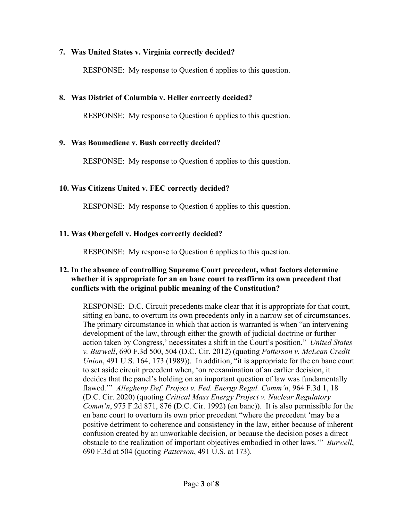## **7. Was United States v. Virginia correctly decided?**

RESPONSE: My response to Question 6 applies to this question.

# **8. Was District of Columbia v. Heller correctly decided?**

RESPONSE: My response to Question 6 applies to this question.

# **9. Was Boumediene v. Bush correctly decided?**

RESPONSE: My response to Question 6 applies to this question.

# **10. Was Citizens United v. FEC correctly decided?**

RESPONSE: My response to Question 6 applies to this question.

# **11. Was Obergefell v. Hodges correctly decided?**

RESPONSE: My response to Question 6 applies to this question.

#### **12. In the absence of controlling Supreme Court precedent, what factors determine whether it is appropriate for an en banc court to reaffirm its own precedent that conflicts with the original public meaning of the Constitution?**

RESPONSE: D.C. Circuit precedents make clear that it is appropriate for that court, sitting en banc, to overturn its own precedents only in a narrow set of circumstances. The primary circumstance in which that action is warranted is when "an intervening development of the law, through either the growth of judicial doctrine or further action taken by Congress,' necessitates a shift in the Court's position." *United States v. Burwell*, 690 F.3d 500, 504 (D.C. Cir. 2012) (quoting *Patterson v. McLean Credit Union*, 491 U.S. 164, 173 (1989)). In addition, "it is appropriate for the en banc court to set aside circuit precedent when, 'on reexamination of an earlier decision, it decides that the panel's holding on an important question of law was fundamentally flawed.'" *Allegheny Def. Project v. Fed. Energy Regul. Comm'n*, 964 F.3d 1, 18 (D.C. Cir. 2020) (quoting *Critical Mass Energy Project v. Nuclear Regulatory Comm'n*, 975 F.2d 871, 876 (D.C. Cir. 1992) (en banc)). It is also permissible for the en banc court to overturn its own prior precedent "where the precedent 'may be a positive detriment to coherence and consistency in the law, either because of inherent confusion created by an unworkable decision, or because the decision poses a direct obstacle to the realization of important objectives embodied in other laws.'" *Burwell*, 690 F.3d at 504 (quoting *Patterson*, 491 U.S. at 173).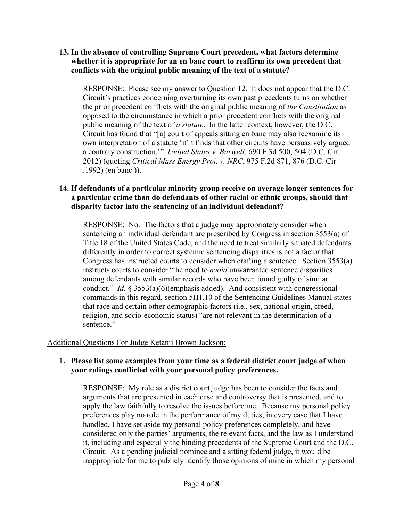#### **13. In the absence of controlling Supreme Court precedent, what factors determine whether it is appropriate for an en banc court to reaffirm its own precedent that conflicts with the original public meaning of the text of a statute?**

RESPONSE: Please see my answer to Question 12. It does not appear that the D.C. Circuit's practices concerning overturning its own past precedents turns on whether the prior precedent conflicts with the original public meaning of *the Constitution* as opposed to the circumstance in which a prior precedent conflicts with the original public meaning of the text of *a statute*. In the latter context, however, the D.C. Circuit has found that "[a] court of appeals sitting en banc may also reexamine its own interpretation of a statute 'if it finds that other circuits have persuasively argued a contrary construction.'" *United States v. Burwell*, 690 F.3d 500, 504 (D.C. Cir. 2012) (quoting *Critical Mass Energy Proj. v. NRC*, 975 F.2d 871, 876 (D.C. Cir .1992) (en banc )).

## **14. If defendants of a particular minority group receive on average longer sentences for a particular crime than do defendants of other racial or ethnic groups, should that disparity factor into the sentencing of an individual defendant?**

RESPONSE: No. The factors that a judge may appropriately consider when sentencing an individual defendant are prescribed by Congress in section 3553(a) of Title 18 of the United States Code, and the need to treat similarly situated defendants differently in order to correct systemic sentencing disparities is not a factor that Congress has instructed courts to consider when crafting a sentence. Section 3553(a) instructs courts to consider "the need to *avoid* unwarranted sentence disparities among defendants with similar records who have been found guilty of similar conduct." *Id.* § 3553(a)(6)(emphasis added). And consistent with congressional commands in this regard, section 5H1.10 of the Sentencing Guidelines Manual states that race and certain other demographic factors (i.e., sex, national origin, creed, religion, and socio-economic status) "are not relevant in the determination of a sentence."

## Additional Questions For Judge Ketanji Brown Jackson:

# **1. Please list some examples from your time as a federal district court judge of when your rulings conflicted with your personal policy preferences.**

RESPONSE: My role as a district court judge has been to consider the facts and arguments that are presented in each case and controversy that is presented, and to apply the law faithfully to resolve the issues before me. Because my personal policy preferences play no role in the performance of my duties, in every case that I have handled, I have set aside my personal policy preferences completely, and have considered only the parties' arguments, the relevant facts, and the law as I understand it, including and especially the binding precedents of the Supreme Court and the D.C. Circuit. As a pending judicial nominee and a sitting federal judge, it would be inappropriate for me to publicly identify those opinions of mine in which my personal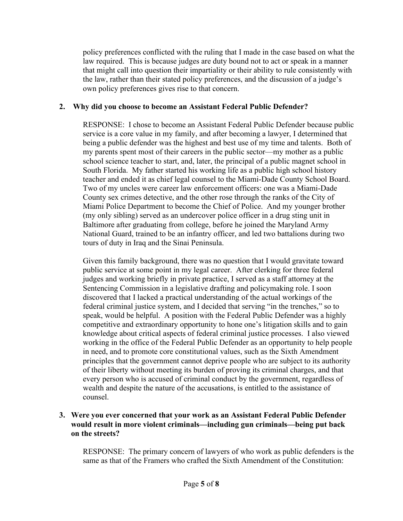policy preferences conflicted with the ruling that I made in the case based on what the law required. This is because judges are duty bound not to act or speak in a manner that might call into question their impartiality or their ability to rule consistently with the law, rather than their stated policy preferences, and the discussion of a judge's own policy preferences gives rise to that concern.

# **2. Why did you choose to become an Assistant Federal Public Defender?**

RESPONSE: I chose to become an Assistant Federal Public Defender because public service is a core value in my family, and after becoming a lawyer, I determined that being a public defender was the highest and best use of my time and talents. Both of my parents spent most of their careers in the public sector—my mother as a public school science teacher to start, and, later, the principal of a public magnet school in South Florida. My father started his working life as a public high school history teacher and ended it as chief legal counsel to the Miami-Dade County School Board. Two of my uncles were career law enforcement officers: one was a Miami-Dade County sex crimes detective, and the other rose through the ranks of the City of Miami Police Department to become the Chief of Police. And my younger brother (my only sibling) served as an undercover police officer in a drug sting unit in Baltimore after graduating from college, before he joined the Maryland Army National Guard, trained to be an infantry officer, and led two battalions during two tours of duty in Iraq and the Sinai Peninsula.

Given this family background, there was no question that I would gravitate toward public service at some point in my legal career. After clerking for three federal judges and working briefly in private practice, I served as a staff attorney at the Sentencing Commission in a legislative drafting and policymaking role. I soon discovered that I lacked a practical understanding of the actual workings of the federal criminal justice system, and I decided that serving "in the trenches," so to speak, would be helpful. A position with the Federal Public Defender was a highly competitive and extraordinary opportunity to hone one's litigation skills and to gain knowledge about critical aspects of federal criminal justice processes. I also viewed working in the office of the Federal Public Defender as an opportunity to help people in need, and to promote core constitutional values, such as the Sixth Amendment principles that the government cannot deprive people who are subject to its authority of their liberty without meeting its burden of proving its criminal charges, and that every person who is accused of criminal conduct by the government, regardless of wealth and despite the nature of the accusations, is entitled to the assistance of counsel.

## **3. Were you ever concerned that your work as an Assistant Federal Public Defender would result in more violent criminals—including gun criminals—being put back on the streets?**

RESPONSE: The primary concern of lawyers of who work as public defenders is the same as that of the Framers who crafted the Sixth Amendment of the Constitution: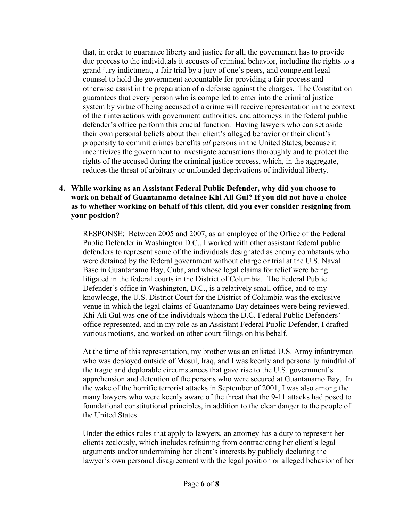that, in order to guarantee liberty and justice for all, the government has to provide due process to the individuals it accuses of criminal behavior, including the rights to a grand jury indictment, a fair trial by a jury of one's peers, and competent legal counsel to hold the government accountable for providing a fair process and otherwise assist in the preparation of a defense against the charges. The Constitution guarantees that every person who is compelled to enter into the criminal justice system by virtue of being accused of a crime will receive representation in the context of their interactions with government authorities, and attorneys in the federal public defender's office perform this crucial function. Having lawyers who can set aside their own personal beliefs about their client's alleged behavior or their client's propensity to commit crimes benefits *all* persons in the United States, because it incentivizes the government to investigate accusations thoroughly and to protect the rights of the accused during the criminal justice process, which, in the aggregate, reduces the threat of arbitrary or unfounded deprivations of individual liberty.

#### **4. While working as an Assistant Federal Public Defender, why did you choose to work on behalf of Guantanamo detainee Khi Ali Gul? If you did not have a choice as to whether working on behalf of this client, did you ever consider resigning from your position?**

RESPONSE: Between 2005 and 2007, as an employee of the Office of the Federal Public Defender in Washington D.C., I worked with other assistant federal public defenders to represent some of the individuals designated as enemy combatants who were detained by the federal government without charge or trial at the U.S. Naval Base in Guantanamo Bay, Cuba, and whose legal claims for relief were being litigated in the federal courts in the District of Columbia. The Federal Public Defender's office in Washington, D.C., is a relatively small office, and to my knowledge, the U.S. District Court for the District of Columbia was the exclusive venue in which the legal claims of Guantanamo Bay detainees were being reviewed. Khi Ali Gul was one of the individuals whom the D.C. Federal Public Defenders' office represented, and in my role as an Assistant Federal Public Defender, I drafted various motions, and worked on other court filings on his behalf.

At the time of this representation, my brother was an enlisted U.S. Army infantryman who was deployed outside of Mosul, Iraq, and I was keenly and personally mindful of the tragic and deplorable circumstances that gave rise to the U.S. government's apprehension and detention of the persons who were secured at Guantanamo Bay. In the wake of the horrific terrorist attacks in September of 2001, I was also among the many lawyers who were keenly aware of the threat that the 9-11 attacks had posed to foundational constitutional principles, in addition to the clear danger to the people of the United States.

Under the ethics rules that apply to lawyers, an attorney has a duty to represent her clients zealously, which includes refraining from contradicting her client's legal arguments and/or undermining her client's interests by publicly declaring the lawyer's own personal disagreement with the legal position or alleged behavior of her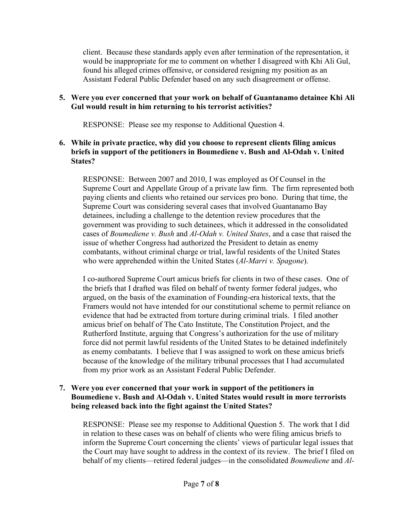client. Because these standards apply even after termination of the representation, it would be inappropriate for me to comment on whether I disagreed with Khi Ali Gul, found his alleged crimes offensive, or considered resigning my position as an Assistant Federal Public Defender based on any such disagreement or offense.

## **5. Were you ever concerned that your work on behalf of Guantanamo detainee Khi Ali Gul would result in him returning to his terrorist activities?**

RESPONSE: Please see my response to Additional Question 4.

# **6. While in private practice, why did you choose to represent clients filing amicus briefs in support of the petitioners in Boumediene v. Bush and Al-Odah v. United States?**

RESPONSE: Between 2007 and 2010, I was employed as Of Counsel in the Supreme Court and Appellate Group of a private law firm. The firm represented both paying clients and clients who retained our services pro bono. During that time, the Supreme Court was considering several cases that involved Guantanamo Bay detainees, including a challenge to the detention review procedures that the government was providing to such detainees, which it addressed in the consolidated cases of *Boumediene v. Bush* and *Al-Odah v. United States*, and a case that raised the issue of whether Congress had authorized the President to detain as enemy combatants, without criminal charge or trial, lawful residents of the United States who were apprehended within the United States (*Al-Marri v. Spagone*).

I co-authored Supreme Court amicus briefs for clients in two of these cases. One of the briefs that I drafted was filed on behalf of twenty former federal judges, who argued, on the basis of the examination of Founding-era historical texts, that the Framers would not have intended for our constitutional scheme to permit reliance on evidence that had be extracted from torture during criminal trials. I filed another amicus brief on behalf of The Cato Institute, The Constitution Project, and the Rutherford Institute, arguing that Congress's authorization for the use of military force did not permit lawful residents of the United States to be detained indefinitely as enemy combatants. I believe that I was assigned to work on these amicus briefs because of the knowledge of the military tribunal processes that I had accumulated from my prior work as an Assistant Federal Public Defender.

#### **7. Were you ever concerned that your work in support of the petitioners in Boumediene v. Bush and Al-Odah v. United States would result in more terrorists being released back into the fight against the United States?**

RESPONSE: Please see my response to Additional Question 5. The work that I did in relation to these cases was on behalf of clients who were filing amicus briefs to inform the Supreme Court concerning the clients' views of particular legal issues that the Court may have sought to address in the context of its review. The brief I filed on behalf of my clients—retired federal judges—in the consolidated *Boumediene* and *Al-*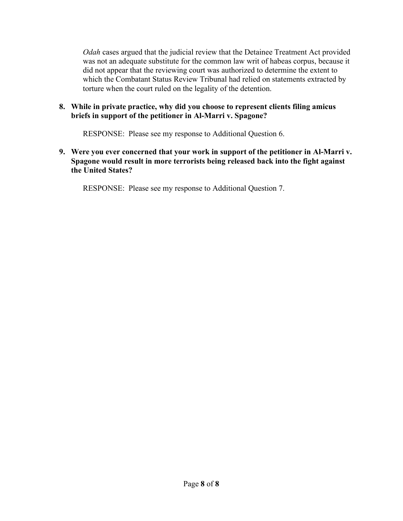*Odah* cases argued that the judicial review that the Detainee Treatment Act provided was not an adequate substitute for the common law writ of habeas corpus, because it did not appear that the reviewing court was authorized to determine the extent to which the Combatant Status Review Tribunal had relied on statements extracted by torture when the court ruled on the legality of the detention.

## **8. While in private practice, why did you choose to represent clients filing amicus briefs in support of the petitioner in Al-Marri v. Spagone?**

RESPONSE: Please see my response to Additional Question 6.

**9. Were you ever concerned that your work in support of the petitioner in Al-Marri v. Spagone would result in more terrorists being released back into the fight against the United States?**

RESPONSE: Please see my response to Additional Question 7.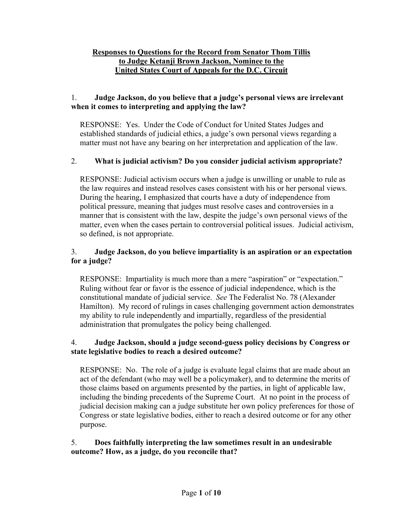# **Responses to Questions for the Record from Senator Thom Tillis to Judge Ketanji Brown Jackson, Nominee to the United States Court of Appeals for the D.C. Circuit**

## 1. **Judge Jackson, do you believe that a judge's personal views are irrelevant when it comes to interpreting and applying the law?**

RESPONSE: Yes. Under the Code of Conduct for United States Judges and established standards of judicial ethics, a judge's own personal views regarding a matter must not have any bearing on her interpretation and application of the law.

# 2. **What is judicial activism? Do you consider judicial activism appropriate?**

RESPONSE: Judicial activism occurs when a judge is unwilling or unable to rule as the law requires and instead resolves cases consistent with his or her personal views. During the hearing, I emphasized that courts have a duty of independence from political pressure, meaning that judges must resolve cases and controversies in a manner that is consistent with the law, despite the judge's own personal views of the matter, even when the cases pertain to controversial political issues. Judicial activism, so defined, is not appropriate.

## 3. **Judge Jackson, do you believe impartiality is an aspiration or an expectation for a judge?**

RESPONSE: Impartiality is much more than a mere "aspiration" or "expectation." Ruling without fear or favor is the essence of judicial independence, which is the constitutional mandate of judicial service. *See* The Federalist No. 78 (Alexander Hamilton). My record of rulings in cases challenging government action demonstrates my ability to rule independently and impartially, regardless of the presidential administration that promulgates the policy being challenged.

## 4. **Judge Jackson, should a judge second-guess policy decisions by Congress or state legislative bodies to reach a desired outcome?**

RESPONSE: No. The role of a judge is evaluate legal claims that are made about an act of the defendant (who may well be a policymaker), and to determine the merits of those claims based on arguments presented by the parties, in light of applicable law, including the binding precedents of the Supreme Court. At no point in the process of judicial decision making can a judge substitute her own policy preferences for those of Congress or state legislative bodies, either to reach a desired outcome or for any other purpose.

## 5. **Does faithfully interpreting the law sometimes result in an undesirable outcome? How, as a judge, do you reconcile that?**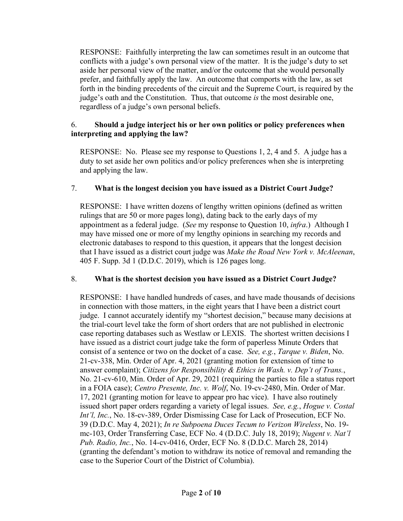RESPONSE: Faithfully interpreting the law can sometimes result in an outcome that conflicts with a judge's own personal view of the matter. It is the judge's duty to set aside her personal view of the matter, and/or the outcome that she would personally prefer, and faithfully apply the law. An outcome that comports with the law, as set forth in the binding precedents of the circuit and the Supreme Court, is required by the judge's oath and the Constitution. Thus, that outcome *is* the most desirable one, regardless of a judge's own personal beliefs.

## 6. **Should a judge interject his or her own politics or policy preferences when interpreting and applying the law?**

RESPONSE: No. Please see my response to Questions 1, 2, 4 and 5. A judge has a duty to set aside her own politics and/or policy preferences when she is interpreting and applying the law.

# 7. **What is the longest decision you have issued as a District Court Judge?**

RESPONSE: I have written dozens of lengthy written opinions (defined as written rulings that are 50 or more pages long), dating back to the early days of my appointment as a federal judge. (*See* my response to Question 10, *infra*.) Although I may have missed one or more of my lengthy opinions in searching my records and electronic databases to respond to this question, it appears that the longest decision that I have issued as a district court judge was *Make the Road New York v. McAleenan*, 405 F. Supp. 3d 1 (D.D.C. 2019), which is 126 pages long.

# 8. **What is the shortest decision you have issued as a District Court Judge?**

RESPONSE: I have handled hundreds of cases, and have made thousands of decisions in connection with those matters, in the eight years that I have been a district court judge. I cannot accurately identify my "shortest decision," because many decisions at the trial-court level take the form of short orders that are not published in electronic case reporting databases such as Westlaw or LEXIS. The shortest written decisions I have issued as a district court judge take the form of paperless Minute Orders that consist of a sentence or two on the docket of a case. *See, e.g.*, *Tarque v. Biden*, No. 21-cv-338, Min. Order of Apr. 4, 2021 (granting motion for extension of time to answer complaint); *Citizens for Responsibility & Ethics in Wash. v. Dep't of Trans.*, No. 21-cv-610, Min. Order of Apr. 29, 2021 (requiring the parties to file a status report in a FOIA case); *Centro Presente, Inc. v. Wolf*, No. 19-cv-2480, Min. Order of Mar. 17, 2021 (granting motion for leave to appear pro hac vice). I have also routinely issued short paper orders regarding a variety of legal issues. *See, e.g.*, *Hogue v. Costal Int'l, Inc.*, No. 18-cv-389, Order Dismissing Case for Lack of Prosecution, ECF No. 39 (D.D.C. May 4, 2021); *In re Subpoena Duces Tecum to Verizon Wireless*, No. 19 mc-103, Order Transferring Case, ECF No. 4 (D.D.C. July 18, 2019); *Nugent v. Nat'l Pub. Radio, Inc.*, No. 14-cv-0416, Order, ECF No. 8 (D.D.C. March 28, 2014) (granting the defendant's motion to withdraw its notice of removal and remanding the case to the Superior Court of the District of Columbia).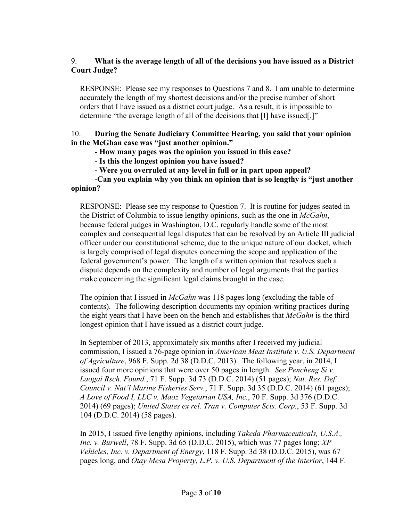# 9. **What is the average length of all of the decisions you have issued as a District Court Judge?**

RESPONSE: Please see my responses to Questions 7 and 8. I am unable to determine accurately the length of my shortest decisions and/or the precise number of short orders that I have issued as a district court judge. As a result, it is impossible to determine "the average length of all of the decisions that [I] have issued[.]"

#### 10. **During the Senate Judiciary Committee Hearing, you said that your opinion in the McGhan case was "just another opinion."**

## **- How many pages was the opinion you issued in this case?**

**- Is this the longest opinion you have issued?**

**- Were you overruled at any level in full or in part upon appeal?**

**-Can you explain why you think an opinion that is so lengthy is "just another opinion?**

RESPONSE: Please see my response to Question 7. It is routine for judges seated in the District of Columbia to issue lengthy opinions, such as the one in *McGahn*, because federal judges in Washington, D.C. regularly handle some of the most complex and consequential legal disputes that can be resolved by an Article III judicial officer under our constitutional scheme, due to the unique nature of our docket, which is largely comprised of legal disputes concerning the scope and application of the federal government's power. The length of a written opinion that resolves such a dispute depends on the complexity and number of legal arguments that the parties make concerning the significant legal claims brought in the case.

The opinion that I issued in *McGahn* was 118 pages long (excluding the table of contents). The following description documents my opinion-writing practices during the eight years that I have been on the bench and establishes that *McGahn* is the third longest opinion that I have issued as a district court judge.

In September of 2013, approximately six months after I received my judicial commission, I issued a 76-page opinion in *American Meat Institute v. U.S. Department of Agriculture*, 968 F. Supp. 2d 38 (D.D.C. 2013). The following year, in 2014, I issued four more opinions that were over 50 pages in length. *See Pencheng Si v. Laogai Rsch. Found.*, 71 F. Supp. 3d 73 (D.D.C. 2014) (51 pages); *Nat. Res. Def. Council v. Nat'l Marine Fisheries Serv.*, 71 F. Supp. 3d 35 (D.D.C. 2014) (61 pages); *A Love of Food I, LLC v. Maoz Vegetarian USA, Inc.*, 70 F. Supp. 3d 376 (D.D.C. 2014) (69 pages); *United States ex rel. Tran v. Computer Scis. Corp.*, 53 F. Supp. 3d 104 (D.D.C. 2014) (58 pages).

In 2015, I issued five lengthy opinions, including *Takeda Pharmaceuticals, U.S.A., Inc. v. Burwell*, 78 F. Supp. 3d 65 (D.D.C. 2015), which was 77 pages long; *XP Vehicles, Inc. v. Department of Energy*, 118 F. Supp. 3d 38 (D.D.C. 2015), was 67 pages long, and *Otay Mesa Property, L.P. v. U.S. Department of the Interior*, 144 F.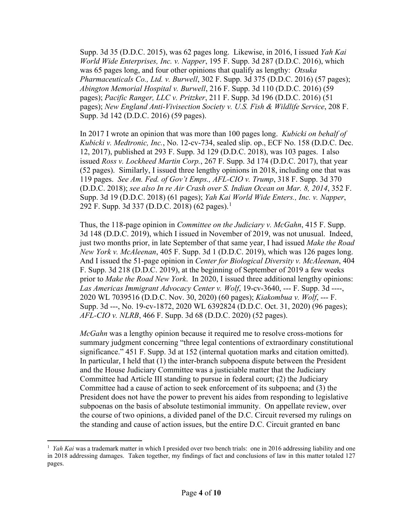Supp. 3d 35 (D.D.C. 2015), was 62 pages long. Likewise, in 2016, I issued *Yah Kai World Wide Enterprises, Inc. v. Napper*, 195 F. Supp. 3d 287 (D.D.C. 2016), which was 65 pages long, and four other opinions that qualify as lengthy: *Otsuka Pharmaceuticals Co., Ltd. v. Burwell*, 302 F. Supp. 3d 375 (D.D.C. 2016) (57 pages); *Abington Memorial Hospital v. Burwell*, 216 F. Supp. 3d 110 (D.D.C. 2016) (59 pages); *Pacific Ranger, LLC v. Pritzker*, 211 F. Supp. 3d 196 (D.D.C. 2016) (51 pages); *New England Anti-Vivisection Society v. U.S. Fish & Wildlife Service*, 208 F. Supp. 3d 142 (D.D.C. 2016) (59 pages).

In 2017 I wrote an opinion that was more than 100 pages long. *Kubicki on behalf of Kubicki v. Medtronic, Inc.*, No. 12-cv-734, sealed slip. op., ECF No. 158 (D.D.C. Dec. 12, 2017), published at 293 F. Supp. 3d 129 (D.D.C. 2018), was 103 pages. I also issued *Ross v. Lockheed Martin Corp.*, 267 F. Supp. 3d 174 (D.D.C. 2017), that year (52 pages). Similarly, I issued three lengthy opinions in 2018, including one that was 119 pages. *See Am. Fed. of Gov't Emps., AFL-CIO v. Trump*, 318 F. Supp. 3d 370 (D.D.C. 2018); *see also In re Air Crash over S. Indian Ocean on Mar. 8, 2014*, 352 F. Supp. 3d 19 (D.D.C. 2018) (61 pages); *Yah Kai World Wide Enters., Inc. v. Napper*, 292 F. Supp. 3d 337 (D.D.C. 20[1](#page-70-0)8) (62 pages).<sup>1</sup>

Thus, the 118-page opinion in *Committee on the Judiciary v. McGahn*, 415 F. Supp. 3d 148 (D.D.C. 2019), which I issued in November of 2019, was not unusual. Indeed, just two months prior, in late September of that same year, I had issued *Make the Road New York v. McAleenan*, 405 F. Supp. 3d 1 (D.D.C. 2019), which was 126 pages long. And I issued the 51-page opinion in *Center for Biological Diversity v. McAleenan*, 404 F. Supp. 3d 218 (D.D.C. 2019), at the beginning of September of 2019 a few weeks prior to *Make the Road New York*. In 2020, I issued three additional lengthy opinions: *Las Americas Immigrant Advocacy Center v. Wolf*, 19-cv-3640, --- F. Supp. 3d ----, 2020 WL 7039516 (D.D.C. Nov. 30, 2020) (60 pages); *Kiakombua v. Wolf*, --- F. Supp. 3d ---, No. 19-cv-1872, 2020 WL 6392824 (D.D.C. Oct. 31, 2020) (96 pages); *AFL-CIO v. NLRB*, 466 F. Supp. 3d 68 (D.D.C. 2020) (52 pages).

*McGahn* was a lengthy opinion because it required me to resolve cross-motions for summary judgment concerning "three legal contentions of extraordinary constitutional significance." 451 F. Supp. 3d at 152 (internal quotation marks and citation omitted). In particular, I held that (1) the inter-branch subpoena dispute between the President and the House Judiciary Committee was a justiciable matter that the Judiciary Committee had Article III standing to pursue in federal court; (2) the Judiciary Committee had a cause of action to seek enforcement of its subpoena; and (3) the President does not have the power to prevent his aides from responding to legislative subpoenas on the basis of absolute testimonial immunity. On appellate review, over the course of two opinions, a divided panel of the D.C. Circuit reversed my rulings on the standing and cause of action issues, but the entire D.C. Circuit granted en banc

<span id="page-70-0"></span><sup>&</sup>lt;sup>1</sup> *Yah Kai* was a trademark matter in which I presided over two bench trials: one in 2016 addressing liability and one in 2018 addressing damages. Taken together, my findings of fact and conclusions of law in this matter totaled 127 pages.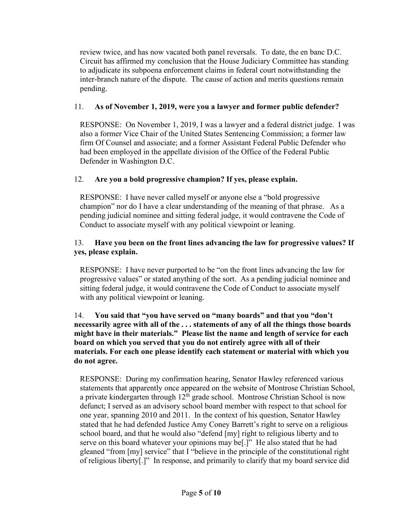review twice, and has now vacated both panel reversals. To date, the en banc D.C. Circuit has affirmed my conclusion that the House Judiciary Committee has standing to adjudicate its subpoena enforcement claims in federal court notwithstanding the inter-branch nature of the dispute. The cause of action and merits questions remain pending.

## 11. **As of November 1, 2019, were you a lawyer and former public defender?**

RESPONSE: On November 1, 2019, I was a lawyer and a federal district judge. I was also a former Vice Chair of the United States Sentencing Commission; a former law firm Of Counsel and associate; and a former Assistant Federal Public Defender who had been employed in the appellate division of the Office of the Federal Public Defender in Washington D.C.

# 12. **Are you a bold progressive champion? If yes, please explain.**

RESPONSE: I have never called myself or anyone else a "bold progressive champion" nor do I have a clear understanding of the meaning of that phrase. As a pending judicial nominee and sitting federal judge, it would contravene the Code of Conduct to associate myself with any political viewpoint or leaning.

# 13. **Have you been on the front lines advancing the law for progressive values? If yes, please explain.**

RESPONSE: I have never purported to be "on the front lines advancing the law for progressive values" or stated anything of the sort. As a pending judicial nominee and sitting federal judge, it would contravene the Code of Conduct to associate myself with any political viewpoint or leaning.

#### 14. **You said that "you have served on "many boards" and that you "don't necessarily agree with all of the . . . statements of any of all the things those boards might have in their materials." Please list the name and length of service for each board on which you served that you do not entirely agree with all of their materials. For each one please identify each statement or material with which you do not agree.**

RESPONSE: During my confirmation hearing, Senator Hawley referenced various statements that apparently once appeared on the website of Montrose Christian School, a private kindergarten through  $12<sup>th</sup>$  grade school. Montrose Christian School is now defunct; I served as an advisory school board member with respect to that school for one year, spanning 2010 and 2011. In the context of his question, Senator Hawley stated that he had defended Justice Amy Coney Barrett's right to serve on a religious school board, and that he would also "defend [my] right to religious liberty and to serve on this board whatever your opinions may be[.]" He also stated that he had gleaned "from [my] service" that I "believe in the principle of the constitutional right of religious liberty[.]" In response, and primarily to clarify that my board service did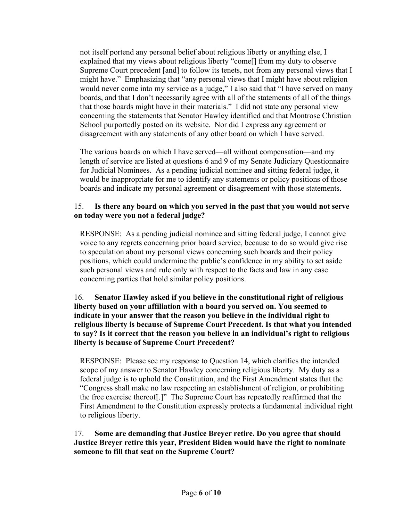not itself portend any personal belief about religious liberty or anything else, I explained that my views about religious liberty "come[] from my duty to observe Supreme Court precedent [and] to follow its tenets, not from any personal views that I might have." Emphasizing that "any personal views that I might have about religion would never come into my service as a judge," I also said that "I have served on many boards, and that I don't necessarily agree with all of the statements of all of the things that those boards might have in their materials." I did not state any personal view concerning the statements that Senator Hawley identified and that Montrose Christian School purportedly posted on its website. Nor did I express any agreement or disagreement with any statements of any other board on which I have served.

The various boards on which I have served—all without compensation—and my length of service are listed at questions 6 and 9 of my Senate Judiciary Questionnaire for Judicial Nominees. As a pending judicial nominee and sitting federal judge, it would be inappropriate for me to identify any statements or policy positions of those boards and indicate my personal agreement or disagreement with those statements.

#### 15. **Is there any board on which you served in the past that you would not serve on today were you not a federal judge?**

RESPONSE: As a pending judicial nominee and sitting federal judge, I cannot give voice to any regrets concerning prior board service, because to do so would give rise to speculation about my personal views concerning such boards and their policy positions, which could undermine the public's confidence in my ability to set aside such personal views and rule only with respect to the facts and law in any case concerning parties that hold similar policy positions.

16. **Senator Hawley asked if you believe in the constitutional right of religious liberty based on your affiliation with a board you served on. You seemed to indicate in your answer that the reason you believe in the individual right to religious liberty is because of Supreme Court Precedent. Is that what you intended to say? Is it correct that the reason you believe in an individual's right to religious liberty is because of Supreme Court Precedent?** 

RESPONSE: Please see my response to Question 14, which clarifies the intended scope of my answer to Senator Hawley concerning religious liberty. My duty as a federal judge is to uphold the Constitution, and the First Amendment states that the "Congress shall make no law respecting an establishment of religion, or prohibiting the free exercise thereof[.]" The Supreme Court has repeatedly reaffirmed that the First Amendment to the Constitution expressly protects a fundamental individual right to religious liberty.

17. **Some are demanding that Justice Breyer retire. Do you agree that should Justice Breyer retire this year, President Biden would have the right to nominate someone to fill that seat on the Supreme Court?**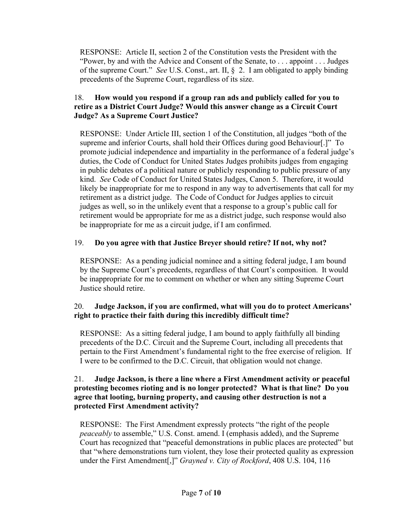RESPONSE: Article II, section 2 of the Constitution vests the President with the "Power, by and with the Advice and Consent of the Senate, to . . . appoint . . . Judges of the supreme Court." *See* U.S. Const., art. II, § 2. I am obligated to apply binding precedents of the Supreme Court, regardless of its size.

## 18. **How would you respond if a group ran ads and publicly called for you to retire as a District Court Judge? Would this answer change as a Circuit Court Judge? As a Supreme Court Justice?**

RESPONSE: Under Article III, section 1 of the Constitution, all judges "both of the supreme and inferior Courts, shall hold their Offices during good Behaviour[.]" To promote judicial independence and impartiality in the performance of a federal judge's duties, the Code of Conduct for United States Judges prohibits judges from engaging in public debates of a political nature or publicly responding to public pressure of any kind. *See* Code of Conduct for United States Judges, Canon 5. Therefore, it would likely be inappropriate for me to respond in any way to advertisements that call for my retirement as a district judge. The Code of Conduct for Judges applies to circuit judges as well, so in the unlikely event that a response to a group's public call for retirement would be appropriate for me as a district judge, such response would also be inappropriate for me as a circuit judge, if I am confirmed.

# 19. **Do you agree with that Justice Breyer should retire? If not, why not?**

RESPONSE: As a pending judicial nominee and a sitting federal judge, I am bound by the Supreme Court's precedents, regardless of that Court's composition. It would be inappropriate for me to comment on whether or when any sitting Supreme Court Justice should retire.

# 20. **Judge Jackson, if you are confirmed, what will you do to protect Americans' right to practice their faith during this incredibly difficult time?**

RESPONSE: As a sitting federal judge, I am bound to apply faithfully all binding precedents of the D.C. Circuit and the Supreme Court, including all precedents that pertain to the First Amendment's fundamental right to the free exercise of religion. If I were to be confirmed to the D.C. Circuit, that obligation would not change.

#### 21. **Judge Jackson, is there a line where a First Amendment activity or peaceful protesting becomes rioting and is no longer protected? What is that line? Do you agree that looting, burning property, and causing other destruction is not a protected First Amendment activity?**

RESPONSE: The First Amendment expressly protects "the right of the people *peaceably* to assemble," U.S. Const. amend. I (emphasis added), and the Supreme Court has recognized that "peaceful demonstrations in public places are protected" but that "where demonstrations turn violent, they lose their protected quality as expression under the First Amendment[,]" *Grayned v. City of Rockford*, 408 U.S. 104, 116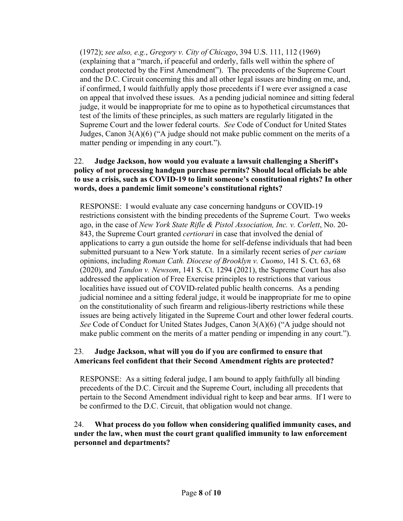(1972); *see also, e.g.*, *Gregory v. City of Chicago*, 394 U.S. 111, 112 (1969) (explaining that a "march, if peaceful and orderly, falls well within the sphere of conduct protected by the First Amendment"). The precedents of the Supreme Court and the D.C. Circuit concerning this and all other legal issues are binding on me, and, if confirmed, I would faithfully apply those precedents if I were ever assigned a case on appeal that involved these issues. As a pending judicial nominee and sitting federal judge, it would be inappropriate for me to opine as to hypothetical circumstances that test of the limits of these principles, as such matters are regularly litigated in the Supreme Court and the lower federal courts. *See* Code of Conduct for United States Judges, Canon 3(A)(6) ("A judge should not make public comment on the merits of a matter pending or impending in any court.").

#### 22. **Judge Jackson, how would you evaluate a lawsuit challenging a Sheriff's policy of not processing handgun purchase permits? Should local officials be able to use a crisis, such as COVID-19 to limit someone's constitutional rights? In other words, does a pandemic limit someone's constitutional rights?**

RESPONSE: I would evaluate any case concerning handguns or COVID-19 restrictions consistent with the binding precedents of the Supreme Court. Two weeks ago, in the case of *New York State Rifle & Pistol Association, Inc. v. Corlett*, No. 20- 843, the Supreme Court granted *certiorari* in case that involved the denial of applications to carry a gun outside the home for self-defense individuals that had been submitted pursuant to a New York statute. In a similarly recent series of *per curiam* opinions, including *Roman Cath. Diocese of Brooklyn v. Cuomo*, 141 S. Ct. 63, 68 (2020), and *Tandon v. Newsom*, 141 S. Ct. 1294 (2021), the Supreme Court has also addressed the application of Free Exercise principles to restrictions that various localities have issued out of COVID-related public health concerns. As a pending judicial nominee and a sitting federal judge, it would be inappropriate for me to opine on the constitutionality of such firearm and religious-liberty restrictions while these issues are being actively litigated in the Supreme Court and other lower federal courts. *See* Code of Conduct for United States Judges, Canon 3(A)(6) ("A judge should not make public comment on the merits of a matter pending or impending in any court.").

## 23. **Judge Jackson, what will you do if you are confirmed to ensure that Americans feel confident that their Second Amendment rights are protected?**

RESPONSE: As a sitting federal judge, I am bound to apply faithfully all binding precedents of the D.C. Circuit and the Supreme Court, including all precedents that pertain to the Second Amendment individual right to keep and bear arms. If I were to be confirmed to the D.C. Circuit, that obligation would not change.

## 24. **What process do you follow when considering qualified immunity cases, and under the law, when must the court grant qualified immunity to law enforcement personnel and departments?**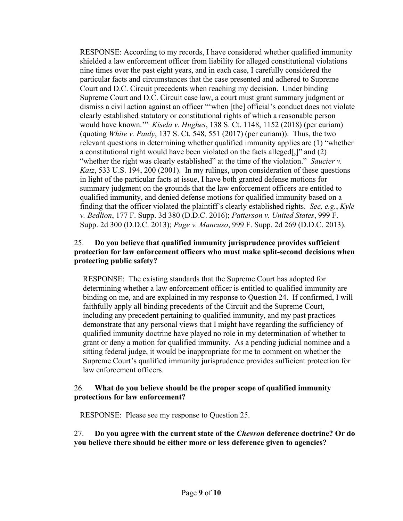RESPONSE: According to my records, I have considered whether qualified immunity shielded a law enforcement officer from liability for alleged constitutional violations nine times over the past eight years, and in each case, I carefully considered the particular facts and circumstances that the case presented and adhered to Supreme Court and D.C. Circuit precedents when reaching my decision. Under binding Supreme Court and D.C. Circuit case law, a court must grant summary judgment or dismiss a civil action against an officer "'when [the] official's conduct does not violate clearly established statutory or constitutional rights of which a reasonable person would have known.'" *Kisela v. Hughes*, 138 S. Ct. 1148, 1152 (2018) (per curiam) (quoting *White v. Pauly*, 137 S. Ct. 548, 551 (2017) (per curiam)). Thus, the two relevant questions in determining whether qualified immunity applies are (1) "whether a constitutional right would have been violated on the facts alleged[,]" and (2) "whether the right was clearly established" at the time of the violation." *Saucier v. Katz*, 533 U.S. 194, 200 (2001). In my rulings, upon consideration of these questions in light of the particular facts at issue, I have both granted defense motions for summary judgment on the grounds that the law enforcement officers are entitled to qualified immunity, and denied defense motions for qualified immunity based on a finding that the officer violated the plaintiff's clearly established rights. *See, e.g.*, *Kyle v. Bedlion*, 177 F. Supp. 3d 380 (D.D.C. 2016); *Patterson v. United States*, 999 F. Supp. 2d 300 (D.D.C. 2013); *Page v. Mancuso*, 999 F. Supp. 2d 269 (D.D.C. 2013).

## 25. **Do you believe that qualified immunity jurisprudence provides sufficient protection for law enforcement officers who must make split-second decisions when protecting public safety?**

RESPONSE: The existing standards that the Supreme Court has adopted for determining whether a law enforcement officer is entitled to qualified immunity are binding on me, and are explained in my response to Question 24. If confirmed, I will faithfully apply all binding precedents of the Circuit and the Supreme Court, including any precedent pertaining to qualified immunity, and my past practices demonstrate that any personal views that I might have regarding the sufficiency of qualified immunity doctrine have played no role in my determination of whether to grant or deny a motion for qualified immunity. As a pending judicial nominee and a sitting federal judge, it would be inappropriate for me to comment on whether the Supreme Court's qualified immunity jurisprudence provides sufficient protection for law enforcement officers.

#### 26. **What do you believe should be the proper scope of qualified immunity protections for law enforcement?**

RESPONSE: Please see my response to Question 25.

27. **Do you agree with the current state of the** *Chevron* **deference doctrine? Or do you believe there should be either more or less deference given to agencies?**